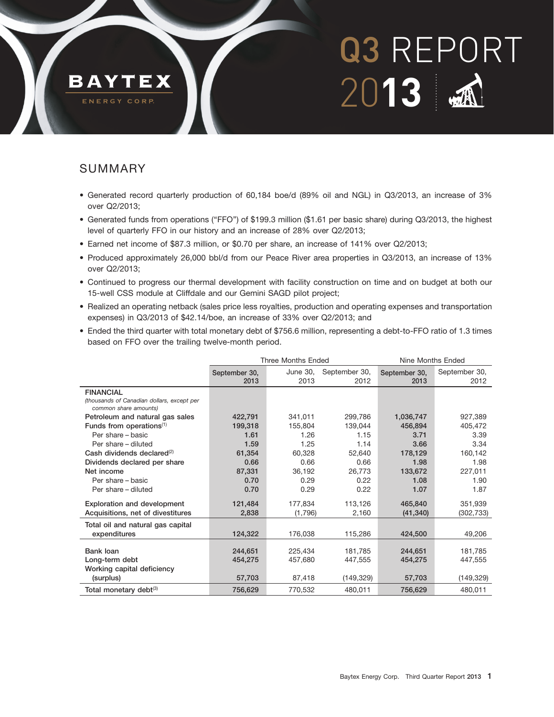# **BAYTEX**

Q3 REPORT 20**13**

30OCT20131247571

## ENERGY CORP.

## SUMMARY

- Generated record quarterly production of 60,184 boe/d (89% oil and NGL) in Q3/2013, an increase of 3% over Q2/2013;
- Generated funds from operations (''FFO'') of \$199.3 million (\$1.61 per basic share) during Q3/2013, the highest level of quarterly FFO in our history and an increase of 28% over Q2/2013;
- Earned net income of \$87.3 million, or \$0.70 per share, an increase of 141% over Q2/2013;
- Produced approximately 26,000 bbl/d from our Peace River area properties in Q3/2013, an increase of 13% over Q2/2013;
- Continued to progress our thermal development with facility construction on time and on budget at both our 15-well CSS module at Cliffdale and our Gemini SAGD pilot project;
- Realized an operating netback (sales price less royalties, production and operating expenses and transportation expenses) in Q3/2013 of \$42.14/boe, an increase of 33% over Q2/2013; and
- Ended the third quarter with total monetary debt of \$756.6 million, representing a debt-to-FFO ratio of 1.3 times based on FFO over the trailing twelve-month period.

|                                                                     |                       | <b>Three Months Ended</b> |                       | Nine Months Ended     |                       |
|---------------------------------------------------------------------|-----------------------|---------------------------|-----------------------|-----------------------|-----------------------|
|                                                                     | September 30,<br>2013 | June 30,<br>2013          | September 30,<br>2012 | September 30,<br>2013 | September 30,<br>2012 |
| <b>FINANCIAL</b>                                                    |                       |                           |                       |                       |                       |
| (thousands of Canadian dollars, except per<br>common share amounts) |                       |                           |                       |                       |                       |
| Petroleum and natural gas sales                                     | 422,791               | 341,011                   | 299,786               | 1,036,747             | 927,389               |
| Funds from operations $(1)$                                         | 199,318               | 155,804                   | 139,044               | 456,894               | 405,472               |
| Per share - basic                                                   | 1.61                  | 1.26                      | 1.15                  | 3.71                  | 3.39                  |
| Per share - diluted                                                 | 1.59                  | 1.25                      | 1.14                  | 3.66                  | 3.34                  |
| Cash dividends declared $^{(2)}$                                    | 61,354                | 60,328                    | 52,640                | 178,129               | 160,142               |
| Dividends declared per share                                        | 0.66                  | 0.66                      | 0.66                  | 1.98                  | 1.98                  |
| Net income                                                          | 87,331                | 36,192                    | 26,773                | 133.672               | 227,011               |
| Per share - basic                                                   | 0.70                  | 0.29                      | 0.22                  | 1.08                  | 1.90                  |
| Per share - diluted                                                 | 0.70                  | 0.29                      | 0.22                  | 1.07                  | 1.87                  |
| <b>Exploration and development</b>                                  | 121,484               | 177,834                   | 113,126               | 465.840               | 351,939               |
| Acquisitions, net of divestitures                                   | 2,838                 | (1,796)                   | 2,160                 | (41, 340)             | (302, 733)            |
| Total oil and natural gas capital                                   |                       |                           |                       |                       |                       |
| expenditures                                                        | 124,322               | 176,038                   | 115,286               | 424,500               | 49,206                |
|                                                                     |                       |                           |                       |                       |                       |
| Bank loan                                                           | 244.651               | 225.434                   | 181.785               | 244.651               | 181,785               |
| Long-term debt                                                      | 454,275               | 457,680                   | 447,555               | 454,275               | 447,555               |
| Working capital deficiency                                          |                       |                           |                       |                       |                       |
| (surplus)                                                           | 57,703                | 87,418                    | (149, 329)            | 57,703                | (149, 329)            |
| Total monetary debt <sup>(3)</sup>                                  | 756,629               | 770,532                   | 480,011               | 756,629               | 480,011               |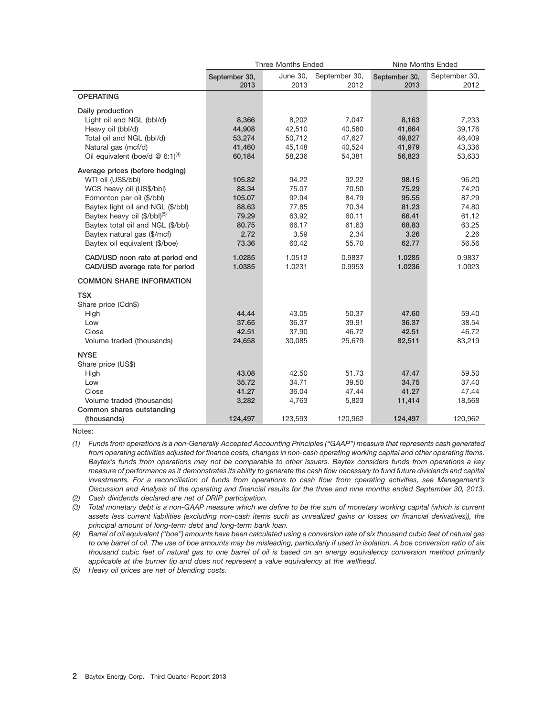|                                               | <b>Three Months Ended</b> | Nine Months Ended |                       |                       |                       |
|-----------------------------------------------|---------------------------|-------------------|-----------------------|-----------------------|-----------------------|
|                                               | September 30,<br>2013     | June 30,<br>2013  | September 30,<br>2012 | September 30,<br>2013 | September 30,<br>2012 |
| <b>OPERATING</b>                              |                           |                   |                       |                       |                       |
|                                               |                           |                   |                       |                       |                       |
| Daily production                              |                           |                   |                       |                       |                       |
| Light oil and NGL (bbl/d)                     | 8,366                     | 8,202             | 7,047                 | 8,163                 | 7,233                 |
| Heavy oil (bbl/d)                             | 44,908                    | 42,510            | 40,580                | 41,664                | 39,176                |
| Total oil and NGL (bbl/d)                     | 53,274                    | 50,712            | 47,627                | 49,827                | 46,409                |
| Natural gas (mcf/d)                           | 41,460                    | 45,148            | 40,524                | 41,979                | 43,336                |
| Oil equivalent (boe/d $@$ 6:1) <sup>(4)</sup> | 60,184                    | 58,236            | 54,381                | 56,823                | 53,633                |
| Average prices (before hedging)               |                           |                   |                       |                       |                       |
| WTI oil (US\$/bbl)                            | 105.82                    | 94.22             | 92.22                 | 98.15                 | 96.20                 |
| WCS heavy oil (US\$/bbl)                      | 88.34                     | 75.07             | 70.50                 | 75.29                 | 74.20                 |
| Edmonton par oil (\$/bbl)                     | 105.07                    | 92.94             | 84.79                 | 95.55                 | 87.29                 |
| Baytex light oil and NGL (\$/bbl)             | 88.63                     | 77.85             | 70.34                 | 81.23                 | 74.80                 |
| Baytex heavy oil (\$/bbl) <sup>(5)</sup>      | 79.29                     | 63.92             | 60.11                 | 66.41                 | 61.12                 |
| Baytex total oil and NGL (\$/bbl)             | 80.75                     | 66.17             | 61.63                 | 68.83                 | 63.25                 |
| Baytex natural gas (\$/mcf)                   | 2.72                      | 3.59              | 2.34                  | 3.26                  | 2.26                  |
| Baytex oil equivalent (\$/boe)                | 73.36                     | 60.42             | 55.70                 | 62.77                 | 56.56                 |
| CAD/USD noon rate at period end               | 1.0285                    | 1.0512            | 0.9837                | 1.0285                | 0.9837                |
| CAD/USD average rate for period               | 1.0385                    | 1.0231            | 0.9953                | 1.0236                | 1.0023                |
| <b>COMMON SHARE INFORMATION</b>               |                           |                   |                       |                       |                       |
| <b>TSX</b>                                    |                           |                   |                       |                       |                       |
| Share price (Cdn\$)                           |                           |                   |                       |                       |                       |
| High                                          | 44.44                     | 43.05             | 50.37                 | 47.60                 | 59.40                 |
| Low                                           | 37.65                     | 36.37             | 39.91                 | 36.37                 | 38.54                 |
| Close                                         | 42.51                     | 37.90             | 46.72                 | 42.51                 | 46.72                 |
| Volume traded (thousands)                     | 24,658                    | 30,085            | 25,679                | 82,511                | 83,219                |
| <b>NYSE</b>                                   |                           |                   |                       |                       |                       |
| Share price (US\$)                            |                           |                   |                       |                       |                       |
| High                                          | 43.08                     | 42.50             | 51.73                 | 47.47                 | 59.50                 |
| Low                                           | 35.72                     | 34.71             | 39.50                 | 34.75                 | 37.40                 |
| Close                                         | 41.27                     | 36.04             | 47.44                 | 41.27                 | 47.44                 |
| Volume traded (thousands)                     | 3,282                     | 4,763             | 5,823                 | 11,414                | 18,568                |
| Common shares outstanding                     |                           |                   |                       |                       |                       |
| (thousands)                                   | 124.497                   | 123,593           | 120,962               | 124.497               | 120,962               |

Notes:

*(1) Funds from operations is a non-Generally Accepted Accounting Principles (''GAAP'') measure that represents cash generated from operating activities adjusted for finance costs, changes in non-cash operating working capital and other operating items. Baytex's funds from operations may not be comparable to other issuers. Baytex considers funds from operations a key measure of performance as it demonstrates its ability to generate the cash flow necessary to fund future dividends and capital investments. For a reconciliation of funds from operations to cash flow from operating activities, see Management's Discussion and Analysis of the operating and financial results for the three and nine months ended September 30, 2013.*

*(2) Cash dividends declared are net of DRIP participation.*

*(3) Total monetary debt is a non-GAAP measure which we define to be the sum of monetary working capital (which is current assets less current liabilities (excluding non-cash items such as unrealized gains or losses on financial derivatives)), the principal amount of long-term debt and long-term bank loan.*

*(4) Barrel of oil equivalent (''boe'') amounts have been calculated using a conversion rate of six thousand cubic feet of natural gas to one barrel of oil. The use of boe amounts may be misleading, particularly if used in isolation. A boe conversion ratio of six thousand cubic feet of natural gas to one barrel of oil is based on an energy equivalency conversion method primarily applicable at the burner tip and does not represent a value equivalency at the wellhead.*

*(5) Heavy oil prices are net of blending costs.*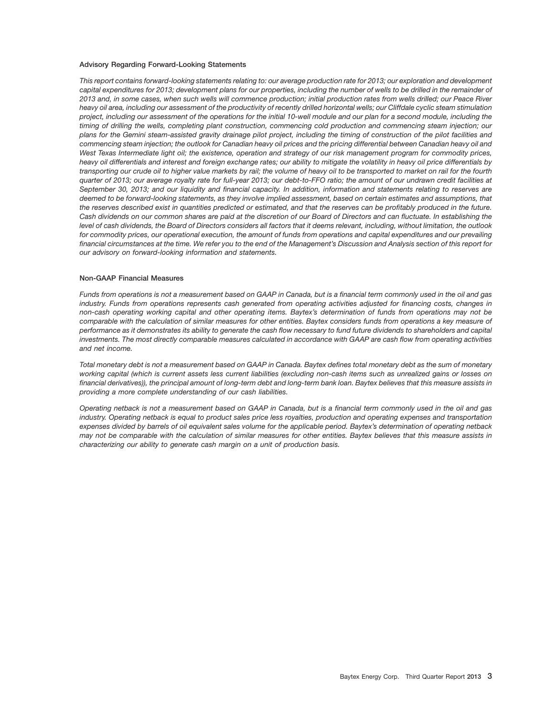### **Advisory Regarding Forward-Looking Statements**

*This report contains forward-looking statements relating to: our average production rate for 2013; our exploration and development capital expenditures for 2013; development plans for our properties, including the number of wells to be drilled in the remainder of 2013 and, in some cases, when such wells will commence production; initial production rates from wells drilled; our Peace River heavy oil area, including our assessment of the productivity of recently drilled horizontal wells; our Cliffdale cyclic steam stimulation project, including our assessment of the operations for the initial 10-well module and our plan for a second module, including the timing of drilling the wells, completing plant construction, commencing cold production and commencing steam injection; our plans for the Gemini steam-assisted gravity drainage pilot project, including the timing of construction of the pilot facilities and commencing steam injection; the outlook for Canadian heavy oil prices and the pricing differential between Canadian heavy oil and West Texas Intermediate light oil; the existence, operation and strategy of our risk management program for commodity prices, heavy oil differentials and interest and foreign exchange rates; our ability to mitigate the volatility in heavy oil price differentials by transporting our crude oil to higher value markets by rail; the volume of heavy oil to be transported to market on rail for the fourth quarter of 2013; our average royalty rate for full-year 2013; our debt-to-FFO ratio; the amount of our undrawn credit facilities at September 30, 2013; and our liquidity and financial capacity. In addition, information and statements relating to reserves are deemed to be forward-looking statements, as they involve implied assessment, based on certain estimates and assumptions, that the reserves described exist in quantities predicted or estimated, and that the reserves can be profitably produced in the future. Cash dividends on our common shares are paid at the discretion of our Board of Directors and can fluctuate. In establishing the level of cash dividends, the Board of Directors considers all factors that it deems relevant, including, without limitation, the outlook for commodity prices, our operational execution, the amount of funds from operations and capital expenditures and our prevailing financial circumstances at the time. We refer you to the end of the Management's Discussion and Analysis section of this report for our advisory on forward-looking information and statements.*

### **Non-GAAP Financial Measures**

*Funds from operations is not a measurement based on GAAP in Canada, but is a financial term commonly used in the oil and gas industry. Funds from operations represents cash generated from operating activities adjusted for financing costs, changes in non-cash operating working capital and other operating items. Baytex's determination of funds from operations may not be comparable with the calculation of similar measures for other entities. Baytex considers funds from operations a key measure of performance as it demonstrates its ability to generate the cash flow necessary to fund future dividends to shareholders and capital investments. The most directly comparable measures calculated in accordance with GAAP are cash flow from operating activities and net income.*

*Total monetary debt is not a measurement based on GAAP in Canada. Baytex defines total monetary debt as the sum of monetary working capital (which is current assets less current liabilities (excluding non-cash items such as unrealized gains or losses on financial derivatives)), the principal amount of long-term debt and long-term bank loan. Baytex believes that this measure assists in providing a more complete understanding of our cash liabilities.*

*Operating netback is not a measurement based on GAAP in Canada, but is a financial term commonly used in the oil and gas industry. Operating netback is equal to product sales price less royalties, production and operating expenses and transportation expenses divided by barrels of oil equivalent sales volume for the applicable period. Baytex's determination of operating netback may not be comparable with the calculation of similar measures for other entities. Baytex believes that this measure assists in characterizing our ability to generate cash margin on a unit of production basis.*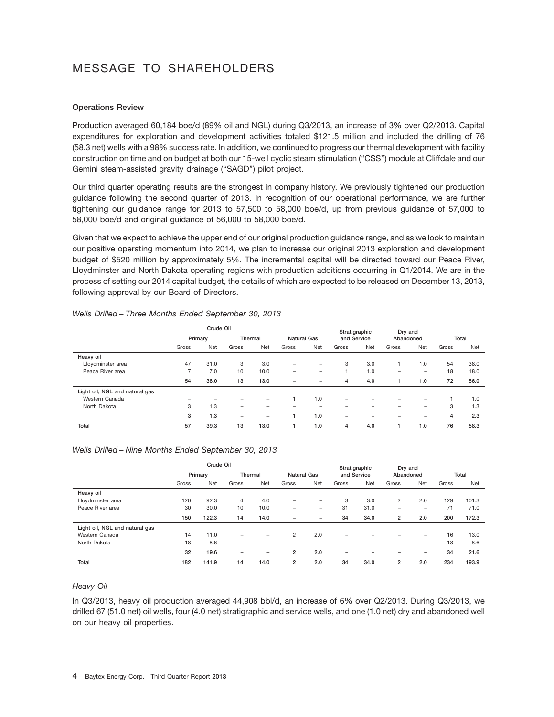## MESSAGE TO SHAREHOLDERS

## **Operations Review**

Production averaged 60,184 boe/d (89% oil and NGL) during Q3/2013, an increase of 3% over Q2/2013. Capital expenditures for exploration and development activities totaled \$121.5 million and included the drilling of 76 (58.3 net) wells with a 98% success rate. In addition, we continued to progress our thermal development with facility construction on time and on budget at both our 15-well cyclic steam stimulation (''CSS'') module at Cliffdale and our Gemini steam-assisted gravity drainage ("SAGD") pilot project.

Our third quarter operating results are the strongest in company history. We previously tightened our production guidance following the second quarter of 2013. In recognition of our operational performance, we are further tightening our guidance range for 2013 to 57,500 to 58,000 boe/d, up from previous guidance of 57,000 to 58,000 boe/d and original guidance of 56,000 to 58,000 boe/d.

Given that we expect to achieve the upper end of our original production guidance range, and as we look to maintain our positive operating momentum into 2014, we plan to increase our original 2013 exploration and development budget of \$520 million by approximately 5%. The incremental capital will be directed toward our Peace River, Lloydminster and North Dakota operating regions with production additions occurring in Q1/2014. We are in the process of setting our 2014 capital budget, the details of which are expected to be released on December 13, 2013, following approval by our Board of Directors.

|                                |       | Crude Oil |                          |                          |                    |                          | Stratigraphic            |                          | Dry and                  |     |       |      |
|--------------------------------|-------|-----------|--------------------------|--------------------------|--------------------|--------------------------|--------------------------|--------------------------|--------------------------|-----|-------|------|
|                                |       | Primary   |                          | Thermal                  | <b>Natural Gas</b> |                          | and Service              |                          | Abandoned                |     | Total |      |
|                                | Gross | Net       | Gross                    | Net                      | Gross              | Net                      | Gross                    | Net                      | Gross                    | Net | Gross | Net  |
| Heavy oil                      |       |           |                          |                          |                    |                          |                          |                          |                          |     |       |      |
| Lloydminster area              | 47    | 31.0      | 3                        | 3.0                      | $\qquad \qquad$    | $\qquad \qquad$          | 3                        | 3.0                      |                          | 1.0 | 54    | 38.0 |
| Peace River area               |       | 7.0       | 10                       | 10.0                     |                    |                          |                          | 1.0                      | $\overline{\phantom{0}}$ | -   | 18    | 18.0 |
|                                | 54    | 38.0      | 13                       | 13.0                     | $\qquad \qquad$    | $\overline{\phantom{0}}$ | 4                        | 4.0                      |                          | 1.0 | 72    | 56.0 |
| Light oil, NGL and natural gas |       |           |                          |                          |                    |                          |                          |                          |                          |     |       |      |
| Western Canada                 |       |           |                          | $\overline{\phantom{0}}$ |                    | 1.0                      | $\qquad \qquad$          | $\overline{\phantom{0}}$ |                          | -   |       | 1.0  |
| North Dakota                   | 3     | 1.3       | $\overline{\phantom{0}}$ | -                        |                    |                          | $\overline{\phantom{0}}$ | -                        |                          | -   | 3     | 1.3  |
|                                | 3     | 1.3       | $\overline{\phantom{0}}$ | $\overline{\phantom{0}}$ |                    | 1.0                      | $\overline{\phantom{0}}$ | $\overline{\phantom{0}}$ |                          | 1   | 4     | 2.3  |
| Total                          | 57    | 39.3      | 13                       | 13.0                     |                    | 1.0                      | 4                        | 4.0                      |                          | 1.0 | 76    | 58.3 |

## *Wells Drilled – Three Months Ended September 30, 2013*

### *Wells Drilled – Nine Months Ended September 30, 2013*

|                                |       | Crude Oil |                          |                          |                          |                          |                          | Stratigraphic            | Dry and                  |                          |       |       |
|--------------------------------|-------|-----------|--------------------------|--------------------------|--------------------------|--------------------------|--------------------------|--------------------------|--------------------------|--------------------------|-------|-------|
|                                |       | Primary   |                          | Thermal                  |                          | <b>Natural Gas</b>       |                          | and Service              |                          | Abandoned                |       | Total |
|                                | Gross | Net       | Gross                    | Net                      | Gross                    | Net                      | Gross                    | Net                      | Gross                    | Net                      | Gross | Net   |
| Heavy oil                      |       |           |                          |                          |                          |                          |                          |                          |                          |                          |       |       |
| Lloydminster area              | 120   | 92.3      | $\overline{4}$           | 4.0                      | $\qquad \qquad$          | $\overline{\phantom{0}}$ | 3                        | 3.0                      | 2                        | 2.0                      | 129   | 101.3 |
| Peace River area               | 30    | 30.0      | 10                       | 10.0                     | $\overline{\phantom{m}}$ | $\overline{\phantom{0}}$ | 31                       | 31.0                     | $\qquad \qquad$          | $\overline{\phantom{0}}$ | 71    | 71.0  |
|                                | 150   | 122.3     | 14                       | 14.0                     | $\qquad \qquad$          |                          | 34                       | 34.0                     | $\overline{2}$           | 2.0                      | 200   | 172.3 |
| Light oil, NGL and natural gas |       |           |                          |                          |                          |                          |                          |                          |                          |                          |       |       |
| Western Canada                 | 14    | 11.0      |                          | $\overline{\phantom{0}}$ | $\overline{2}$           | 2.0                      | $\overline{\phantom{0}}$ |                          |                          | $\overline{\phantom{0}}$ | 16    | 13.0  |
| North Dakota                   | 18    | 8.6       | $\overline{\phantom{0}}$ | -                        | -                        | $\overline{\phantom{0}}$ | -                        | -                        | -                        | $\overline{\phantom{0}}$ | 18    | 8.6   |
|                                | 32    | 19.6      | $\overline{\phantom{0}}$ | $\overline{\phantom{0}}$ | $\overline{2}$           | 2.0                      | $\overline{\phantom{0}}$ | $\overline{\phantom{0}}$ | $\overline{\phantom{0}}$ | $\overline{\phantom{0}}$ | 34    | 21.6  |
| Total                          | 182   | 141.9     | 14                       | 14.0                     | $\overline{2}$           | 2.0                      | 34                       | 34.0                     | $\overline{2}$           | 2.0                      | 234   | 193.9 |

## *Heavy Oil*

In Q3/2013, heavy oil production averaged 44,908 bbl/d, an increase of 6% over Q2/2013. During Q3/2013, we drilled 67 (51.0 net) oil wells, four (4.0 net) stratigraphic and service wells, and one (1.0 net) dry and abandoned well on our heavy oil properties.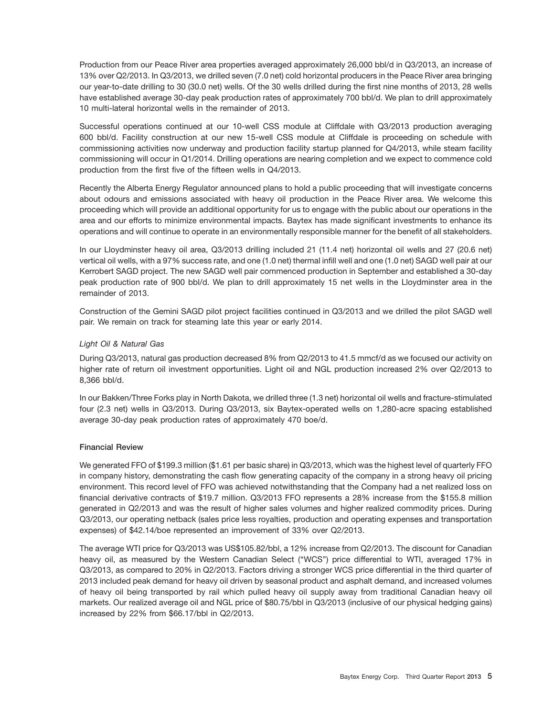Production from our Peace River area properties averaged approximately 26,000 bbl/d in Q3/2013, an increase of 13% over Q2/2013. In Q3/2013, we drilled seven (7.0 net) cold horizontal producers in the Peace River area bringing our year-to-date drilling to 30 (30.0 net) wells. Of the 30 wells drilled during the first nine months of 2013, 28 wells have established average 30-day peak production rates of approximately 700 bbl/d. We plan to drill approximately 10 multi-lateral horizontal wells in the remainder of 2013.

Successful operations continued at our 10-well CSS module at Cliffdale with Q3/2013 production averaging 600 bbl/d. Facility construction at our new 15-well CSS module at Cliffdale is proceeding on schedule with commissioning activities now underway and production facility startup planned for Q4/2013, while steam facility commissioning will occur in Q1/2014. Drilling operations are nearing completion and we expect to commence cold production from the first five of the fifteen wells in Q4/2013.

Recently the Alberta Energy Regulator announced plans to hold a public proceeding that will investigate concerns about odours and emissions associated with heavy oil production in the Peace River area. We welcome this proceeding which will provide an additional opportunity for us to engage with the public about our operations in the area and our efforts to minimize environmental impacts. Baytex has made significant investments to enhance its operations and will continue to operate in an environmentally responsible manner for the benefit of all stakeholders.

In our Lloydminster heavy oil area, Q3/2013 drilling included 21 (11.4 net) horizontal oil wells and 27 (20.6 net) vertical oil wells, with a 97% success rate, and one (1.0 net) thermal infill well and one (1.0 net) SAGD well pair at our Kerrobert SAGD project. The new SAGD well pair commenced production in September and established a 30-day peak production rate of 900 bbl/d. We plan to drill approximately 15 net wells in the Lloydminster area in the remainder of 2013.

Construction of the Gemini SAGD pilot project facilities continued in Q3/2013 and we drilled the pilot SAGD well pair. We remain on track for steaming late this year or early 2014.

## *Light Oil & Natural Gas*

During Q3/2013, natural gas production decreased 8% from Q2/2013 to 41.5 mmcf/d as we focused our activity on higher rate of return oil investment opportunities. Light oil and NGL production increased 2% over Q2/2013 to 8,366 bbl/d.

In our Bakken/Three Forks play in North Dakota, we drilled three (1.3 net) horizontal oil wells and fracture-stimulated four (2.3 net) wells in Q3/2013. During Q3/2013, six Baytex-operated wells on 1,280-acre spacing established average 30-day peak production rates of approximately 470 boe/d.

## **Financial Review**

We generated FFO of \$199.3 million (\$1.61 per basic share) in Q3/2013, which was the highest level of quarterly FFO in company history, demonstrating the cash flow generating capacity of the company in a strong heavy oil pricing environment. This record level of FFO was achieved notwithstanding that the Company had a net realized loss on financial derivative contracts of \$19.7 million. Q3/2013 FFO represents a 28% increase from the \$155.8 million generated in Q2/2013 and was the result of higher sales volumes and higher realized commodity prices. During Q3/2013, our operating netback (sales price less royalties, production and operating expenses and transportation expenses) of \$42.14/boe represented an improvement of 33% over Q2/2013.

The average WTI price for Q3/2013 was US\$105.82/bbl, a 12% increase from Q2/2013. The discount for Canadian heavy oil, as measured by the Western Canadian Select ("WCS") price differential to WTI, averaged 17% in Q3/2013, as compared to 20% in Q2/2013. Factors driving a stronger WCS price differential in the third quarter of 2013 included peak demand for heavy oil driven by seasonal product and asphalt demand, and increased volumes of heavy oil being transported by rail which pulled heavy oil supply away from traditional Canadian heavy oil markets. Our realized average oil and NGL price of \$80.75/bbl in Q3/2013 (inclusive of our physical hedging gains) increased by 22% from \$66.17/bbl in Q2/2013.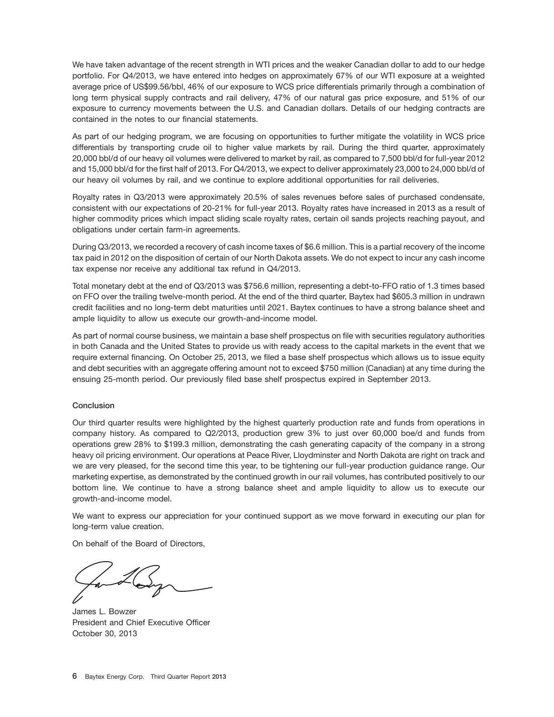We have taken advantage of the recent strength in WTI prices and the weaker Canadian dollar to add to our hedge portfolio. For Q4/2013, we have entered into hedges on approximately 67% of our WTI exposure at a weighted average price of US\$99.56/bbl, 46% of our exposure to WCS price differentials primarily through a combination of long term physical supply contracts and rail delivery, 47% of our natural gas price exposure, and 51% of our exposure to currency movements between the U.S. and Canadian dollars. Details of our hedging contracts are contained in the notes to our financial statements.

As part of our hedging program, we are focusing on opportunities to further mitigate the volatility in WCS price differentials by transporting crude oil to higher value markets by rail. During the third quarter, approximately 20,000 bbl/d of our heavy oil volumes were delivered to market by rail, as compared to 7,500 bbl/d for full-year 2012 and 15,000 bbl/d for the first half of 2013. For Q4/2013, we expect to deliver approximately 23,000 to 24,000 bbl/d of our heavy oil volumes by rail, and we continue to explore additional opportunities for rail deliveries.

Royalty rates in Q3/2013 were approximately 20.5% of sales revenues before sales of purchased condensate, consistent with our expectations of 20-21% for full-year 2013. Royalty rates have increased in 2013 as a result of higher commodity prices which impact sliding scale royalty rates, certain oil sands projects reaching payout, and obligations under certain farm-in agreements.

During Q3/2013, we recorded a recovery of cash income taxes of \$6.6 million. This is a partial recovery of the income tax paid in 2012 on the disposition of certain of our North Dakota assets. We do not expect to incur any cash income tax expense nor receive any additional tax refund in Q4/2013.

Total monetary debt at the end of Q3/2013 was \$756.6 million, representing a debt-to-FFO ratio of 1.3 times based on FFO over the trailing twelve-month period. At the end of the third quarter, Baytex had \$605.3 million in undrawn credit facilities and no long-term debt maturities until 2021. Baytex continues to have a strong balance sheet and ample liquidity to allow us execute our growth-and-income model.

As part of normal course business, we maintain a base shelf prospectus on file with securities regulatory authorities in both Canada and the United States to provide us with ready access to the capital markets in the event that we require external financing. On October 25, 2013, we filed a base shelf prospectus which allows us to issue equity and debt securities with an aggregate offering amount not to exceed \$750 million (Canadian) at any time during the ensuing 25-month period. Our previously filed base shelf prospectus expired in September 2013.

## **Conclusion**

Our third quarter results were highlighted by the highest quarterly production rate and funds from operations in company history. As compared to Q2/2013, production grew 3% to just over 60,000 boe/d and funds from operations grew 28% to \$199.3 million, demonstrating the cash generating capacity of the company in a strong heavy oil pricing environment. Our operations at Peace River, Lloydminster and North Dakota are right on track and we are very pleased, for the second time this year, to be tightening our full-year production guidance range. Our marketing expertise, as demonstrated by the continued growth in our rail volumes, has contributed positively to our bottom line. We continue to have a strong balance sheet and ample liquidity to allow us to execute our growth-and-income model.

We want to express our appreciation for your continued support as we move forward in executing our plan for long-term value creation.

On behalf of the Board of Directors,

James L. Bowzer President and Chief Executive Officer October 30, 2013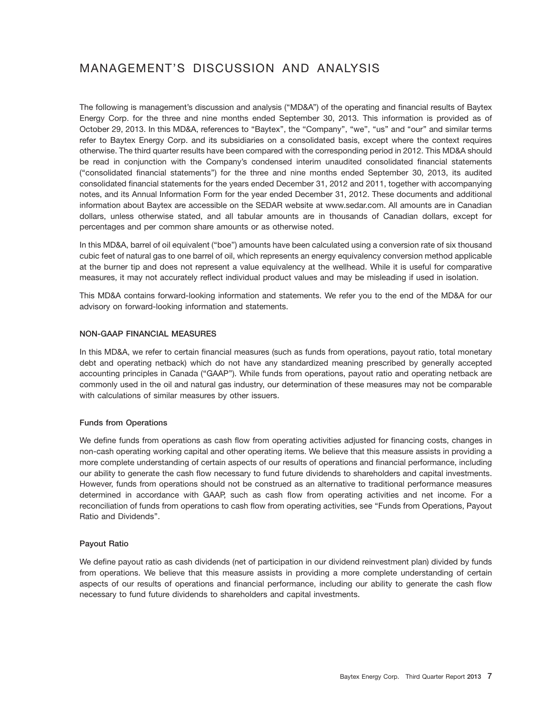## MANAGEMENT'S DISCUSSION AND ANALYSIS

The following is management's discussion and analysis (''MD&A'') of the operating and financial results of Baytex Energy Corp. for the three and nine months ended September 30, 2013. This information is provided as of October 29, 2013. In this MD&A, references to "Baytex", the "Company", "we", "us" and "our" and similar terms refer to Baytex Energy Corp. and its subsidiaries on a consolidated basis, except where the context requires otherwise. The third quarter results have been compared with the corresponding period in 2012. This MD&A should be read in conjunction with the Company's condensed interim unaudited consolidated financial statements (''consolidated financial statements'') for the three and nine months ended September 30, 2013, its audited consolidated financial statements for the years ended December 31, 2012 and 2011, together with accompanying notes, and its Annual Information Form for the year ended December 31, 2012. These documents and additional information about Baytex are accessible on the SEDAR website at www.sedar.com. All amounts are in Canadian dollars, unless otherwise stated, and all tabular amounts are in thousands of Canadian dollars, except for percentages and per common share amounts or as otherwise noted.

In this MD&A, barrel of oil equivalent (''boe'') amounts have been calculated using a conversion rate of six thousand cubic feet of natural gas to one barrel of oil, which represents an energy equivalency conversion method applicable at the burner tip and does not represent a value equivalency at the wellhead. While it is useful for comparative measures, it may not accurately reflect individual product values and may be misleading if used in isolation.

This MD&A contains forward-looking information and statements. We refer you to the end of the MD&A for our advisory on forward-looking information and statements.

## **NON-GAAP FINANCIAL MEASURES**

In this MD&A, we refer to certain financial measures (such as funds from operations, payout ratio, total monetary debt and operating netback) which do not have any standardized meaning prescribed by generally accepted accounting principles in Canada (''GAAP''). While funds from operations, payout ratio and operating netback are commonly used in the oil and natural gas industry, our determination of these measures may not be comparable with calculations of similar measures by other issuers.

## **Funds from Operations**

We define funds from operations as cash flow from operating activities adjusted for financing costs, changes in non-cash operating working capital and other operating items. We believe that this measure assists in providing a more complete understanding of certain aspects of our results of operations and financial performance, including our ability to generate the cash flow necessary to fund future dividends to shareholders and capital investments. However, funds from operations should not be construed as an alternative to traditional performance measures determined in accordance with GAAP, such as cash flow from operating activities and net income. For a reconciliation of funds from operations to cash flow from operating activities, see "Funds from Operations, Payout Ratio and Dividends''.

## **Payout Ratio**

We define payout ratio as cash dividends (net of participation in our dividend reinvestment plan) divided by funds from operations. We believe that this measure assists in providing a more complete understanding of certain aspects of our results of operations and financial performance, including our ability to generate the cash flow necessary to fund future dividends to shareholders and capital investments.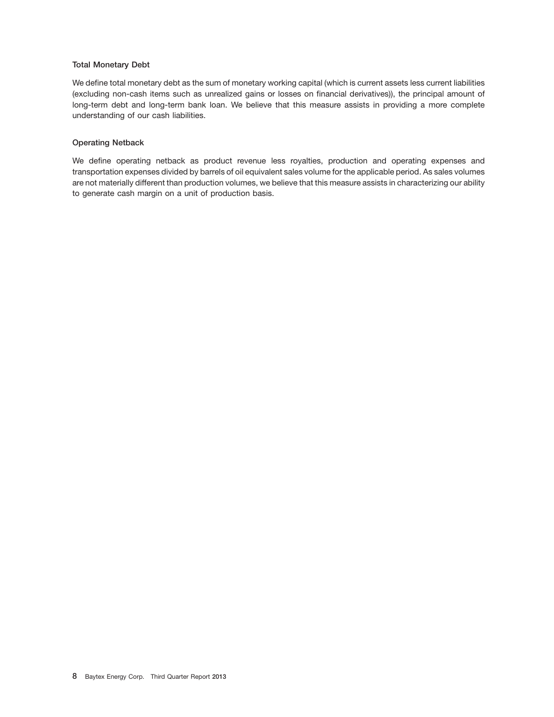## **Total Monetary Debt**

We define total monetary debt as the sum of monetary working capital (which is current assets less current liabilities (excluding non-cash items such as unrealized gains or losses on financial derivatives)), the principal amount of long-term debt and long-term bank loan. We believe that this measure assists in providing a more complete understanding of our cash liabilities.

### **Operating Netback**

We define operating netback as product revenue less royalties, production and operating expenses and transportation expenses divided by barrels of oil equivalent sales volume for the applicable period. As sales volumes are not materially different than production volumes, we believe that this measure assists in characterizing our ability to generate cash margin on a unit of production basis.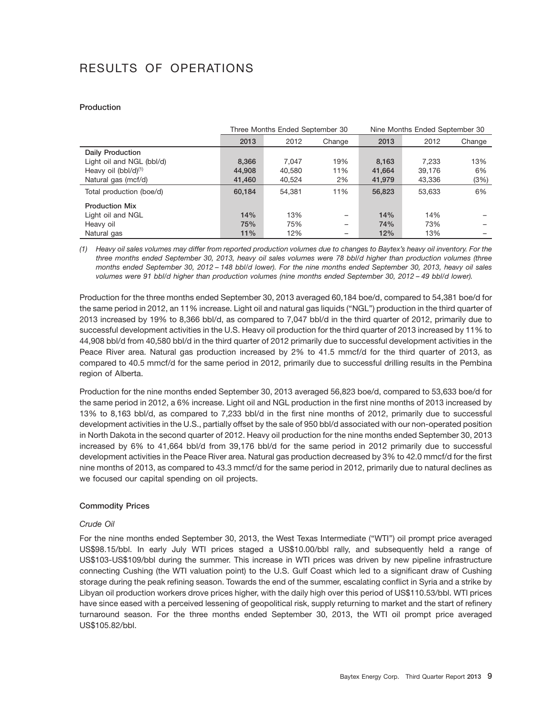## RESULTS OF OPERATIONS

## **Production**

|                           |        | Three Months Ended September 30 |        | Nine Months Ended September 30 |        |        |  |  |
|---------------------------|--------|---------------------------------|--------|--------------------------------|--------|--------|--|--|
|                           | 2013   | 2012                            | Change | 2013                           | 2012   | Change |  |  |
| Daily Production          |        |                                 |        |                                |        |        |  |  |
| Light oil and NGL (bbl/d) | 8,366  | 7.047                           | 19%    | 8,163                          | 7.233  | 13%    |  |  |
| Heavy oil $(bbI/d)^{(1)}$ | 44,908 | 40.580                          | 11%    | 41,664                         | 39.176 | 6%     |  |  |
| Natural gas (mcf/d)       | 41,460 | 40,524                          | 2%     | 41,979                         | 43,336 | (3%)   |  |  |
| Total production (boe/d)  | 60,184 | 54.381                          | 11%    | 56,823                         | 53.633 | 6%     |  |  |
| <b>Production Mix</b>     |        |                                 |        |                                |        |        |  |  |
| Light oil and NGL         | 14%    | 13%                             | -      | 14%                            | 14%    |        |  |  |
| Heavy oil                 | 75%    | 75%                             | -      | 74%                            | 73%    |        |  |  |
| Natural gas               | 11%    | 12%                             | -      | 12%                            | 13%    |        |  |  |

*(1) Heavy oil sales volumes may differ from reported production volumes due to changes to Baytex's heavy oil inventory. For the three months ended September 30, 2013, heavy oil sales volumes were 78 bbl/d higher than production volumes (three months ended September 30, 2012 – 148 bbl/d lower). For the nine months ended September 30, 2013, heavy oil sales volumes were 91 bbl/d higher than production volumes (nine months ended September 30, 2012 – 49 bbl/d lower).*

Production for the three months ended September 30, 2013 averaged 60,184 boe/d, compared to 54,381 boe/d for the same period in 2012, an 11% increase. Light oil and natural gas liquids (''NGL'') production in the third quarter of 2013 increased by 19% to 8,366 bbl/d, as compared to 7,047 bbl/d in the third quarter of 2012, primarily due to successful development activities in the U.S. Heavy oil production for the third quarter of 2013 increased by 11% to 44,908 bbl/d from 40,580 bbl/d in the third quarter of 2012 primarily due to successful development activities in the Peace River area. Natural gas production increased by 2% to 41.5 mmcf/d for the third quarter of 2013, as compared to 40.5 mmcf/d for the same period in 2012, primarily due to successful drilling results in the Pembina region of Alberta.

Production for the nine months ended September 30, 2013 averaged 56,823 boe/d, compared to 53,633 boe/d for the same period in 2012, a 6% increase. Light oil and NGL production in the first nine months of 2013 increased by 13% to 8,163 bbl/d, as compared to 7,233 bbl/d in the first nine months of 2012, primarily due to successful development activities in the U.S., partially offset by the sale of 950 bbl/d associated with our non-operated position in North Dakota in the second quarter of 2012. Heavy oil production for the nine months ended September 30, 2013 increased by 6% to 41,664 bbl/d from 39,176 bbl/d for the same period in 2012 primarily due to successful development activities in the Peace River area. Natural gas production decreased by 3% to 42.0 mmcf/d for the first nine months of 2013, as compared to 43.3 mmcf/d for the same period in 2012, primarily due to natural declines as we focused our capital spending on oil projects.

## **Commodity Prices**

## *Crude Oil*

For the nine months ended September 30, 2013, the West Texas Intermediate (''WTI'') oil prompt price averaged US\$98.15/bbl. In early July WTI prices staged a US\$10.00/bbl rally, and subsequently held a range of US\$103-US\$109/bbl during the summer. This increase in WTI prices was driven by new pipeline infrastructure connecting Cushing (the WTI valuation point) to the U.S. Gulf Coast which led to a significant draw of Cushing storage during the peak refining season. Towards the end of the summer, escalating conflict in Syria and a strike by Libyan oil production workers drove prices higher, with the daily high over this period of US\$110.53/bbl. WTI prices have since eased with a perceived lessening of geopolitical risk, supply returning to market and the start of refinery turnaround season. For the three months ended September 30, 2013, the WTI oil prompt price averaged US\$105.82/bbl.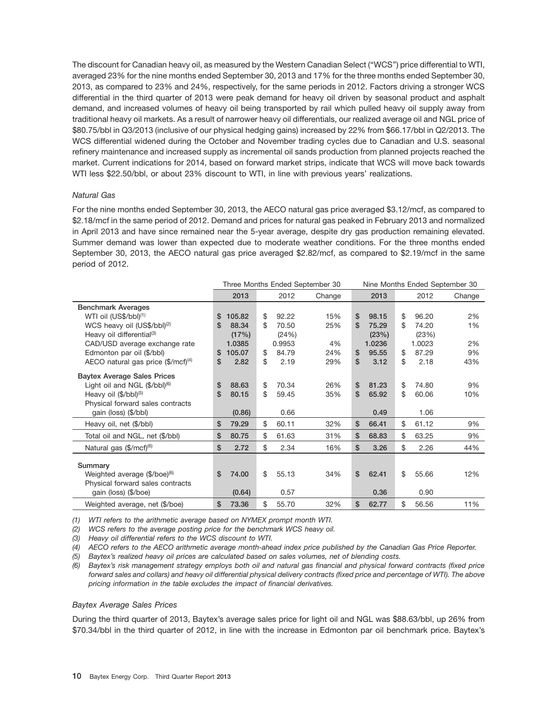The discount for Canadian heavy oil, as measured by the Western Canadian Select (''WCS'') price differential to WTI, averaged 23% for the nine months ended September 30, 2013 and 17% for the three months ended September 30, 2013, as compared to 23% and 24%, respectively, for the same periods in 2012. Factors driving a stronger WCS differential in the third quarter of 2013 were peak demand for heavy oil driven by seasonal product and asphalt demand, and increased volumes of heavy oil being transported by rail which pulled heavy oil supply away from traditional heavy oil markets. As a result of narrower heavy oil differentials, our realized average oil and NGL price of \$80.75/bbl in Q3/2013 (inclusive of our physical hedging gains) increased by 22% from \$66.17/bbl in Q2/2013. The WCS differential widened during the October and November trading cycles due to Canadian and U.S. seasonal refinery maintenance and increased supply as incremental oil sands production from planned projects reached the market. Current indications for 2014, based on forward market strips, indicate that WCS will move back towards WTI less \$22.50/bbl, or about 23% discount to WTI, in line with previous years' realizations.

## *Natural Gas*

For the nine months ended September 30, 2013, the AECO natural gas price averaged \$3.12/mcf, as compared to \$2.18/mcf in the same period of 2012. Demand and prices for natural gas peaked in February 2013 and normalized in April 2013 and have since remained near the 5-year average, despite dry gas production remaining elevated. Summer demand was lower than expected due to moderate weather conditions. For the three months ended September 30, 2013, the AECO natural gas price averaged \$2.82/mcf, as compared to \$2.19/mcf in the same period of 2012.

|                                                           | Three Months Ended September 30<br>Nine Months Ended September 30 |        |     |        |        |    |        |    |        |        |
|-----------------------------------------------------------|-------------------------------------------------------------------|--------|-----|--------|--------|----|--------|----|--------|--------|
|                                                           |                                                                   | 2013   |     | 2012   | Change |    | 2013   |    | 2012   | Change |
| <b>Benchmark Averages</b>                                 |                                                                   |        |     |        |        |    |        |    |        |        |
| WTI oil (US\$/bbl) <sup>(1)</sup>                         | S                                                                 | 105.82 | \$  | 92.22  | 15%    | \$ | 98.15  | \$ | 96.20  | 2%     |
| WCS heavy oil (US\$/bbl) <sup>(2)</sup>                   | \$                                                                | 88.34  | \$. | 70.50  | 25%    | S  | 75.29  | \$ | 74.20  | 1%     |
| Heavy oil differential <sup>(3)</sup>                     |                                                                   | (17%)  |     | (24%)  |        |    | (23%)  |    | (23%)  |        |
| CAD/USD average exchange rate                             |                                                                   | 1.0385 |     | 0.9953 | 4%     |    | 1.0236 |    | 1.0023 | 2%     |
| Edmonton par oil (\$/bbl)                                 | S                                                                 | 105.07 | \$  | 84.79  | 24%    | \$ | 95.55  | \$ | 87.29  | 9%     |
| AECO natural gas price $(\frac{4}{3} / \text{mcf})^{(4)}$ | \$                                                                | 2.82   | \$  | 2.19   | 29%    | \$ | 3.12   | \$ | 2.18   | 43%    |
| <b>Baytex Average Sales Prices</b>                        |                                                                   |        |     |        |        |    |        |    |        |        |
| Light oil and NGL $(\frac{6}{5})^{(6)}$                   | \$                                                                | 88.63  | \$  | 70.34  | 26%    | \$ | 81.23  | \$ | 74.80  | 9%     |
| Heavy oil (\$/bbl) <sup>(5)</sup>                         | \$                                                                | 80.15  | \$  | 59.45  | 35%    | \$ | 65.92  | \$ | 60.06  | 10%    |
| Physical forward sales contracts                          |                                                                   |        |     |        |        |    |        |    |        |        |
| gain (loss) (\$/bbl)                                      |                                                                   | (0.86) |     | 0.66   |        |    | 0.49   |    | 1.06   |        |
| Heavy oil, net (\$/bbl)                                   | \$                                                                | 79.29  | \$  | 60.11  | 32%    | \$ | 66.41  | \$ | 61.12  | 9%     |
| Total oil and NGL, net (\$/bbl)                           | \$                                                                | 80.75  | \$  | 61.63  | 31%    | \$ | 68.83  | \$ | 63.25  | 9%     |
| Natural gas $(\frac{4}{3})$ mcf $)^{(6)}$                 | \$                                                                | 2.72   | \$  | 2.34   | 16%    | \$ | 3.26   | \$ | 2.26   | 44%    |
|                                                           |                                                                   |        |     |        |        |    |        |    |        |        |
| Summary                                                   |                                                                   |        |     |        |        |    |        |    |        |        |
| Weighted average (\$/boe) <sup>(6)</sup>                  | \$                                                                | 74.00  | \$  | 55.13  | 34%    | \$ | 62.41  | \$ | 55.66  | 12%    |
| Physical forward sales contracts                          |                                                                   |        |     |        |        |    |        |    |        |        |
| gain (loss) (\$/boe)                                      |                                                                   | (0.64) |     | 0.57   |        |    | 0.36   |    | 0.90   |        |
| Weighted average, net (\$/boe)                            | \$                                                                | 73.36  | \$  | 55.70  | 32%    | \$ | 62.77  | \$ | 56.56  | 11%    |

*(1) WTI refers to the arithmetic average based on NYMEX prompt month WTI.*

*(2) WCS refers to the average posting price for the benchmark WCS heavy oil.*

*(3) Heavy oil differential refers to the WCS discount to WTI.*

*(4) AECO refers to the AECO arithmetic average month-ahead index price published by the Canadian Gas Price Reporter.*

*(5) Baytex's realized heavy oil prices are calculated based on sales volumes, net of blending costs.*

*(6) Baytex's risk management strategy employs both oil and natural gas financial and physical forward contracts (fixed price forward sales and collars) and heavy oil differential physical delivery contracts (fixed price and percentage of WTI). The above pricing information in the table excludes the impact of financial derivatives.*

### *Baytex Average Sales Prices*

During the third quarter of 2013, Baytex's average sales price for light oil and NGL was \$88.63/bbl, up 26% from \$70.34/bbl in the third quarter of 2012, in line with the increase in Edmonton par oil benchmark price. Baytex's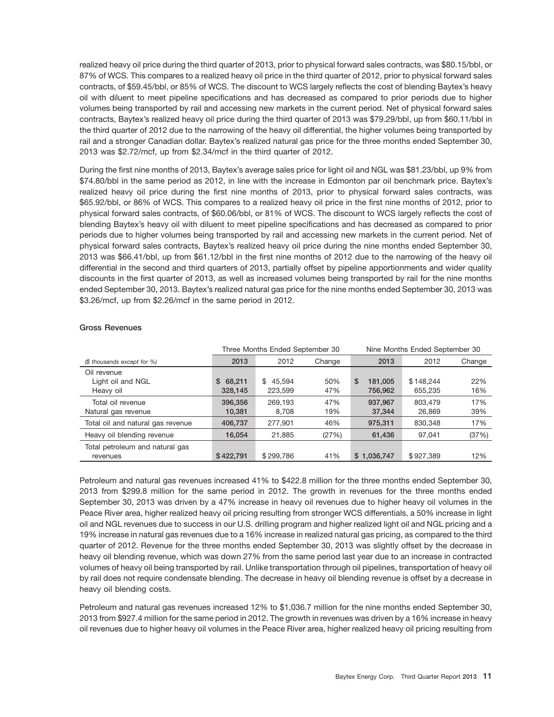realized heavy oil price during the third quarter of 2013, prior to physical forward sales contracts, was \$80.15/bbl, or 87% of WCS. This compares to a realized heavy oil price in the third quarter of 2012, prior to physical forward sales contracts, of \$59.45/bbl, or 85% of WCS. The discount to WCS largely reflects the cost of blending Baytex's heavy oil with diluent to meet pipeline specifications and has decreased as compared to prior periods due to higher volumes being transported by rail and accessing new markets in the current period. Net of physical forward sales contracts, Baytex's realized heavy oil price during the third quarter of 2013 was \$79.29/bbl, up from \$60.11/bbl in the third quarter of 2012 due to the narrowing of the heavy oil differential, the higher volumes being transported by rail and a stronger Canadian dollar. Baytex's realized natural gas price for the three months ended September 30, 2013 was \$2.72/mcf, up from \$2.34/mcf in the third quarter of 2012.

During the first nine months of 2013, Baytex's average sales price for light oil and NGL was \$81.23/bbl, up 9% from \$74.80/bbl in the same period as 2012, in line with the increase in Edmonton par oil benchmark price. Baytex's realized heavy oil price during the first nine months of 2013, prior to physical forward sales contracts, was \$65.92/bbl, or 86% of WCS. This compares to a realized heavy oil price in the first nine months of 2012, prior to physical forward sales contracts, of \$60.06/bbl, or 81% of WCS. The discount to WCS largely reflects the cost of blending Baytex's heavy oil with diluent to meet pipeline specifications and has decreased as compared to prior periods due to higher volumes being transported by rail and accessing new markets in the current period. Net of physical forward sales contracts, Baytex's realized heavy oil price during the nine months ended September 30, 2013 was \$66.41/bbl, up from \$61.12/bbl in the first nine months of 2012 due to the narrowing of the heavy oil differential in the second and third quarters of 2013, partially offset by pipeline apportionments and wider quality discounts in the first quarter of 2013, as well as increased volumes being transported by rail for the nine months ended September 30, 2013. Baytex's realized natural gas price for the nine months ended September 30, 2013 was \$3.26/mcf, up from \$2.26/mcf in the same period in 2012.

|                                   |              | Three Months Ended September 30 |        | Nine Months Ended September 30 |           |        |  |  |  |
|-----------------------------------|--------------|---------------------------------|--------|--------------------------------|-----------|--------|--|--|--|
| (\$ thousands except for %)       | 2013         | 2012                            | Change | 2013                           | 2012      | Change |  |  |  |
| Oil revenue                       |              |                                 |        |                                |           |        |  |  |  |
| Light oil and NGL                 | 68.211<br>S. | 45.594<br>\$                    | 50%    | \$<br>181.005                  | \$148.244 | 22%    |  |  |  |
| Heavy oil                         | 328,145      | 223.599                         | 47%    | 756,962                        | 655.235   | 16%    |  |  |  |
| Total oil revenue                 | 396,356      | 269.193                         | 47%    | 937.967                        | 803,479   | 17%    |  |  |  |
| Natural gas revenue               | 10,381       | 8,708                           | 19%    | 37,344                         | 26,869    | 39%    |  |  |  |
| Total oil and natural gas revenue | 406,737      | 277,901                         | 46%    | 975,311                        | 830.348   | 17%    |  |  |  |
| Heavy oil blending revenue        | 16,054       | 21,885                          | (27%)  | 61,436                         | 97,041    | (37%)  |  |  |  |
| Total petroleum and natural gas   |              |                                 |        |                                |           |        |  |  |  |
| revenues                          | \$422,791    | \$299,786                       | 41%    | \$1,036,747                    | \$927,389 | 12%    |  |  |  |

## **Gross Revenues**

Petroleum and natural gas revenues increased 41% to \$422.8 million for the three months ended September 30, 2013 from \$299.8 million for the same period in 2012. The growth in revenues for the three months ended September 30, 2013 was driven by a 47% increase in heavy oil revenues due to higher heavy oil volumes in the Peace River area, higher realized heavy oil pricing resulting from stronger WCS differentials, a 50% increase in light oil and NGL revenues due to success in our U.S. drilling program and higher realized light oil and NGL pricing and a 19% increase in natural gas revenues due to a 16% increase in realized natural gas pricing, as compared to the third quarter of 2012. Revenue for the three months ended September 30, 2013 was slightly offset by the decrease in heavy oil blending revenue, which was down 27% from the same period last year due to an increase in contracted volumes of heavy oil being transported by rail. Unlike transportation through oil pipelines, transportation of heavy oil by rail does not require condensate blending. The decrease in heavy oil blending revenue is offset by a decrease in heavy oil blending costs.

Petroleum and natural gas revenues increased 12% to \$1,036.7 million for the nine months ended September 30, 2013 from \$927.4 million for the same period in 2012. The growth in revenues was driven by a 16% increase in heavy oil revenues due to higher heavy oil volumes in the Peace River area, higher realized heavy oil pricing resulting from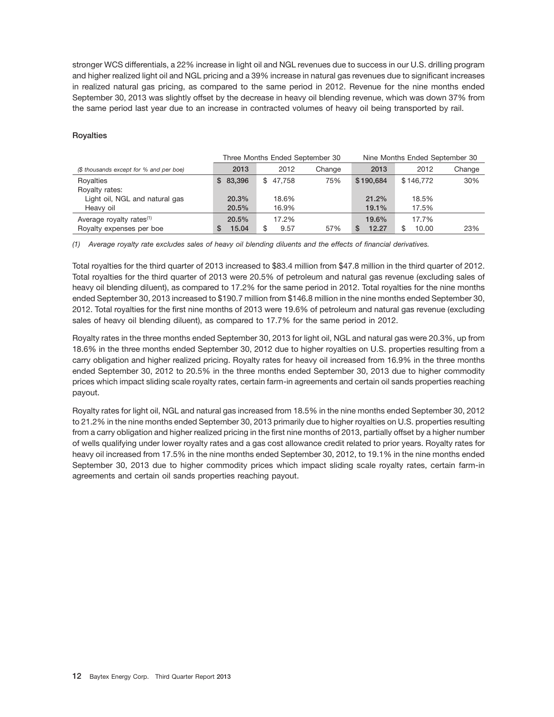stronger WCS differentials, a 22% increase in light oil and NGL revenues due to success in our U.S. drilling program and higher realized light oil and NGL pricing and a 39% increase in natural gas revenues due to significant increases in realized natural gas pricing, as compared to the same period in 2012. Revenue for the nine months ended September 30, 2013 was slightly offset by the decrease in heavy oil blending revenue, which was down 37% from the same period last year due to an increase in contracted volumes of heavy oil being transported by rail.

## **Royalties**

|                                         |            | Three Months Ended September 30 |        | Nine Months Ended September 30 |           |        |  |  |
|-----------------------------------------|------------|---------------------------------|--------|--------------------------------|-----------|--------|--|--|
| (\$ thousands except for % and per boe) | 2013       | 2012                            | Change | 2013                           | 2012      | Change |  |  |
| Royalties                               | \$83,396   | \$47.758                        | 75%    | \$190,684                      | \$146.772 | 30%    |  |  |
| Royalty rates:                          |            |                                 |        |                                |           |        |  |  |
| Light oil, NGL and natural gas          | 20.3%      | 18.6%                           |        | 21.2%                          | 18.5%     |        |  |  |
| Heavy oil                               | 20.5%      | 16.9%                           |        | 19.1%                          | 17.5%     |        |  |  |
| Average royalty rates <sup>(1)</sup>    | 20.5%      | 17.2%                           |        | 19.6%                          | 17.7%     |        |  |  |
| Royalty expenses per boe                | 15.04<br>S | 9.57                            | 57%    | 12.27                          | 10.00     | 23%    |  |  |

*(1) Average royalty rate excludes sales of heavy oil blending diluents and the effects of financial derivatives.*

Total royalties for the third quarter of 2013 increased to \$83.4 million from \$47.8 million in the third quarter of 2012. Total royalties for the third quarter of 2013 were 20.5% of petroleum and natural gas revenue (excluding sales of heavy oil blending diluent), as compared to 17.2% for the same period in 2012. Total royalties for the nine months ended September 30, 2013 increased to \$190.7 million from \$146.8 million in the nine months ended September 30, 2012. Total royalties for the first nine months of 2013 were 19.6% of petroleum and natural gas revenue (excluding sales of heavy oil blending diluent), as compared to 17.7% for the same period in 2012.

Royalty rates in the three months ended September 30, 2013 for light oil, NGL and natural gas were 20.3%, up from 18.6% in the three months ended September 30, 2012 due to higher royalties on U.S. properties resulting from a carry obligation and higher realized pricing. Royalty rates for heavy oil increased from 16.9% in the three months ended September 30, 2012 to 20.5% in the three months ended September 30, 2013 due to higher commodity prices which impact sliding scale royalty rates, certain farm-in agreements and certain oil sands properties reaching payout.

Royalty rates for light oil, NGL and natural gas increased from 18.5% in the nine months ended September 30, 2012 to 21.2% in the nine months ended September 30, 2013 primarily due to higher royalties on U.S. properties resulting from a carry obligation and higher realized pricing in the first nine months of 2013, partially offset by a higher number of wells qualifying under lower royalty rates and a gas cost allowance credit related to prior years. Royalty rates for heavy oil increased from 17.5% in the nine months ended September 30, 2012, to 19.1% in the nine months ended September 30, 2013 due to higher commodity prices which impact sliding scale royalty rates, certain farm-in agreements and certain oil sands properties reaching payout.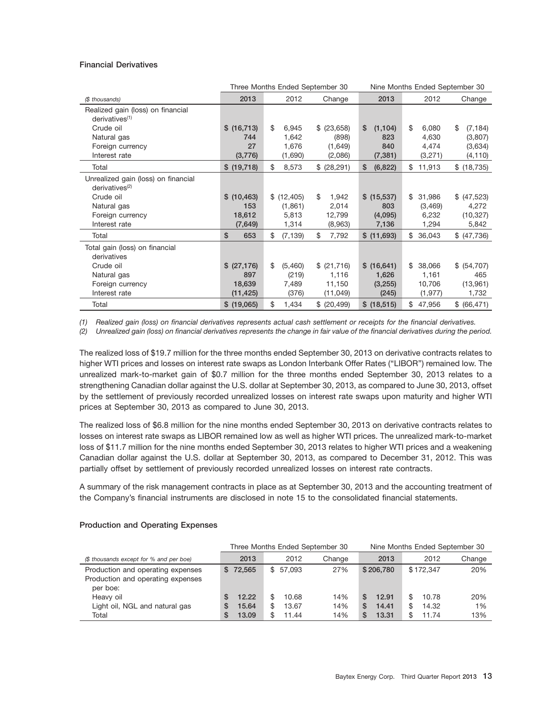## **Financial Derivatives**

|                                                                   |              | Three Months Ended September 30 |              |                | Nine Months Ended September 30 |                |  |  |
|-------------------------------------------------------------------|--------------|---------------------------------|--------------|----------------|--------------------------------|----------------|--|--|
| (\$ thousands)                                                    | 2013         | 2012                            | Change       | 2013           | 2012                           | Change         |  |  |
| Realized gain (loss) on financial<br>derivatives <sup>(1)</sup>   |              |                                 |              |                |                                |                |  |  |
| Crude oil                                                         | \$ (16,713)  | \$<br>6,945                     | \$ (23,658)  | \$<br>(1, 104) | \$<br>6,080                    | \$<br>(7, 184) |  |  |
| Natural gas                                                       | 744          | 1,642                           | (898)        | 823            | 4,630                          | (3,807)        |  |  |
| Foreign currency                                                  | 27           | 1,676                           | (1,649)      | 840            | 4,474                          | (3,634)        |  |  |
| Interest rate                                                     | (3,776)      | (1,690)                         | (2,086)      | (7, 381)       | (3,271)                        | (4, 110)       |  |  |
| Total                                                             | \$ (19,718)  | \$<br>8,573                     | \$ (28, 291) | \$<br>(6, 822) | 11,913<br>\$                   | \$ (18, 735)   |  |  |
| Unrealized gain (loss) on financial<br>derivatives <sup>(2)</sup> |              |                                 |              |                |                                |                |  |  |
| Crude oil                                                         | \$ (10, 463) | \$(12, 405)                     | \$<br>1,942  | \$ (15,537)    | \$<br>31,986                   | \$ (47,523)    |  |  |
| Natural gas                                                       | 153          | (1,861)                         | 2,014        | 803            | (3,469)                        | 4,272          |  |  |
| Foreign currency                                                  | 18,612       | 5,813                           | 12,799       | (4,095)        | 6,232                          | (10, 327)      |  |  |
| Interest rate                                                     | (7,649)      | 1,314                           | (8,963)      | 7,136          | 1,294                          | 5,842          |  |  |
| Total                                                             | \$<br>653    | \$<br>(7, 139)                  | \$<br>7,792  | \$ (11,693)    | 36,043<br>\$                   | \$ (47,736)    |  |  |
| Total gain (loss) on financial<br>derivatives                     |              |                                 |              |                |                                |                |  |  |
| Crude oil                                                         | \$ (27, 176) | \$<br>(5,460)                   | \$ (21,716)  | \$ (16,641)    | 38,066<br>\$                   | \$ (54,707)    |  |  |
| Natural gas                                                       | 897          | (219)                           | 1,116        | 1,626          | 1,161                          | 465            |  |  |
| Foreign currency                                                  | 18,639       | 7,489                           | 11,150       | (3,255)        | 10,706                         | (13,961)       |  |  |
| Interest rate                                                     | (11, 425)    | (376)                           | (11, 049)    | (245)          | (1, 977)                       | 1,732          |  |  |
| Total                                                             | \$(19,065)   | \$<br>1,434                     | \$ (20, 499) | \$ (18,515)    | 47,956<br>\$                   | \$ (66, 471)   |  |  |

*(1) Realized gain (loss) on financial derivatives represents actual cash settlement or receipts for the financial derivatives.*

*(2) Unrealized gain (loss) on financial derivatives represents the change in fair value of the financial derivatives during the period.*

The realized loss of \$19.7 million for the three months ended September 30, 2013 on derivative contracts relates to higher WTI prices and losses on interest rate swaps as London Interbank Offer Rates ("LIBOR") remained low. The unrealized mark-to-market gain of \$0.7 million for the three months ended September 30, 2013 relates to a strengthening Canadian dollar against the U.S. dollar at September 30, 2013, as compared to June 30, 2013, offset by the settlement of previously recorded unrealized losses on interest rate swaps upon maturity and higher WTI prices at September 30, 2013 as compared to June 30, 2013.

The realized loss of \$6.8 million for the nine months ended September 30, 2013 on derivative contracts relates to losses on interest rate swaps as LIBOR remained low as well as higher WTI prices. The unrealized mark-to-market loss of \$11.7 million for the nine months ended September 30, 2013 relates to higher WTI prices and a weakening Canadian dollar against the U.S. dollar at September 30, 2013, as compared to December 31, 2012. This was partially offset by settlement of previously recorded unrealized losses on interest rate contracts.

A summary of the risk management contracts in place as at September 30, 2013 and the accounting treatment of the Company's financial instruments are disclosed in note 15 to the consolidated financial statements.

|                                                                                    |                                   | Three Months Ended September 30     |                   | Nine Months Ended September 30         |                                           |                  |  |  |  |
|------------------------------------------------------------------------------------|-----------------------------------|-------------------------------------|-------------------|----------------------------------------|-------------------------------------------|------------------|--|--|--|
| (\$ thousands except for % and per boe)                                            | 2013                              | 2012                                | Change            | 2013                                   | 2012                                      | Change           |  |  |  |
| Production and operating expenses<br>Production and operating expenses<br>per boe: | \$72,565                          | \$57.093                            | 27%               | \$206,780                              | \$172.347                                 | 20%              |  |  |  |
| Heavy oil<br>Light oil, NGL and natural gas<br>Total                               | 12.22<br>15.64<br>S<br>13.09<br>S | 10.68<br>13.67<br>S<br>11.44<br>\$. | 14%<br>14%<br>14% | 12.91<br>S<br>14.41<br>S<br>S<br>13.31 | \$<br>10.78<br>14.32<br>\$<br>\$<br>11.74 | 20%<br>1%<br>13% |  |  |  |

### **Production and Operating Expenses**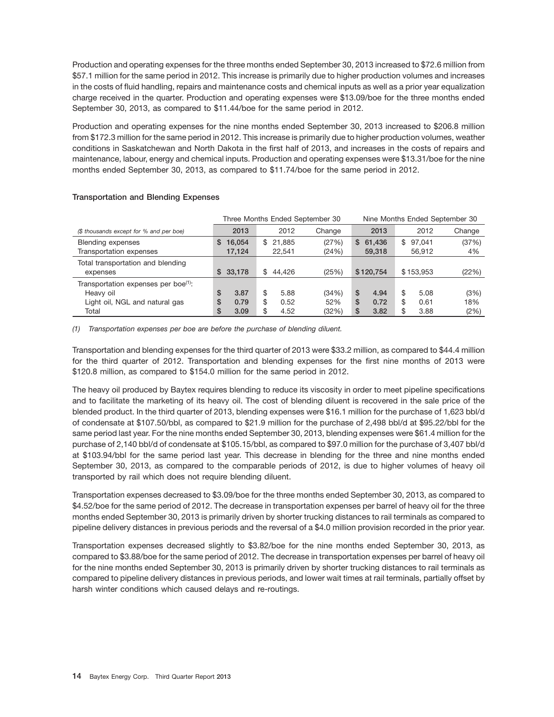Production and operating expenses for the three months ended September 30, 2013 increased to \$72.6 million from \$57.1 million for the same period in 2012. This increase is primarily due to higher production volumes and increases in the costs of fluid handling, repairs and maintenance costs and chemical inputs as well as a prior year equalization charge received in the quarter. Production and operating expenses were \$13.09/boe for the three months ended September 30, 2013, as compared to \$11.44/boe for the same period in 2012.

Production and operating expenses for the nine months ended September 30, 2013 increased to \$206.8 million from \$172.3 million for the same period in 2012. This increase is primarily due to higher production volumes, weather conditions in Saskatchewan and North Dakota in the first half of 2013, and increases in the costs of repairs and maintenance, labour, energy and chemical inputs. Production and operating expenses were \$13.31/boe for the nine months ended September 30, 2013, as compared to \$11.74/boe for the same period in 2012.

|                                                  |             | Three Months Ended September 30 |        | Nine Months Ended September 30 |              |        |  |  |
|--------------------------------------------------|-------------|---------------------------------|--------|--------------------------------|--------------|--------|--|--|
| (\$ thousands except for % and per boe)          | 2013        | 2012                            | Change | 2013                           | 2012         | Change |  |  |
| Blending expenses                                | 16.054<br>S | \$21.885                        | (27%)  | 61.436<br>S.                   | 97.041<br>\$ | (37%)  |  |  |
| Transportation expenses                          | 17.124      | 22.541                          | (24%)  | 59,318                         | 56.912       | 4%     |  |  |
| Total transportation and blending                |             |                                 |        |                                |              |        |  |  |
| expenses                                         | \$33.178    | \$44.426                        | (25%)  | \$120.754                      | \$153,953    | (22%)  |  |  |
| Transportation expenses per boe <sup>(1)</sup> : |             |                                 |        |                                |              |        |  |  |
| Heavy oil                                        | \$<br>3.87  | \$<br>5.88                      | (34%)  | \$<br>4.94                     | \$<br>5.08   | (3%)   |  |  |
| Light oil, NGL and natural gas                   | 0.79<br>S   | 0.52<br>\$                      | 52%    | \$<br>0.72                     | \$<br>0.61   | 18%    |  |  |
| Total                                            | S<br>3.09   | 4.52<br>\$                      | (32%)  | \$<br>3.82                     | \$<br>3.88   | (2%)   |  |  |

## **Transportation and Blending Expenses**

## *(1) Transportation expenses per boe are before the purchase of blending diluent.*

Transportation and blending expenses for the third quarter of 2013 were \$33.2 million, as compared to \$44.4 million for the third quarter of 2012. Transportation and blending expenses for the first nine months of 2013 were \$120.8 million, as compared to \$154.0 million for the same period in 2012.

The heavy oil produced by Baytex requires blending to reduce its viscosity in order to meet pipeline specifications and to facilitate the marketing of its heavy oil. The cost of blending diluent is recovered in the sale price of the blended product. In the third quarter of 2013, blending expenses were \$16.1 million for the purchase of 1,623 bbl/d of condensate at \$107.50/bbl, as compared to \$21.9 million for the purchase of 2,498 bbl/d at \$95.22/bbl for the same period last year. For the nine months ended September 30, 2013, blending expenses were \$61.4 million for the purchase of 2,140 bbl/d of condensate at \$105.15/bbl, as compared to \$97.0 million for the purchase of 3,407 bbl/d at \$103.94/bbl for the same period last year. This decrease in blending for the three and nine months ended September 30, 2013, as compared to the comparable periods of 2012, is due to higher volumes of heavy oil transported by rail which does not require blending diluent.

Transportation expenses decreased to \$3.09/boe for the three months ended September 30, 2013, as compared to \$4.52/boe for the same period of 2012. The decrease in transportation expenses per barrel of heavy oil for the three months ended September 30, 2013 is primarily driven by shorter trucking distances to rail terminals as compared to pipeline delivery distances in previous periods and the reversal of a \$4.0 million provision recorded in the prior year.

Transportation expenses decreased slightly to \$3.82/boe for the nine months ended September 30, 2013, as compared to \$3.88/boe for the same period of 2012. The decrease in transportation expenses per barrel of heavy oil for the nine months ended September 30, 2013 is primarily driven by shorter trucking distances to rail terminals as compared to pipeline delivery distances in previous periods, and lower wait times at rail terminals, partially offset by harsh winter conditions which caused delays and re-routings.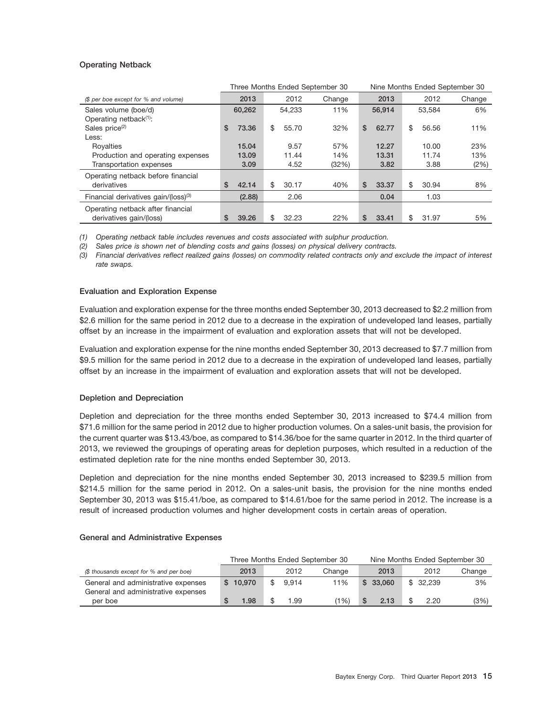## **Operating Netback**

|                                                  |             |    |        | Three Months Ended September 30 | Nine Months Ended September 30 |        |    |        |        |  |
|--------------------------------------------------|-------------|----|--------|---------------------------------|--------------------------------|--------|----|--------|--------|--|
| (\$ per boe except for % and volume)             | 2013        |    | 2012   | Change                          |                                | 2013   |    | 2012   | Change |  |
| Sales volume (boe/d)                             | 60,262      |    | 54.233 | 11%                             |                                | 56.914 |    | 53.584 | 6%     |  |
| Operating netback $(1)$ :                        |             |    |        |                                 |                                |        |    |        |        |  |
| Sales price <sup>(2)</sup>                       | \$<br>73.36 | \$ | 55.70  | 32%                             | \$                             | 62.77  | \$ | 56.56  | 11%    |  |
| Less:                                            |             |    |        |                                 |                                |        |    |        |        |  |
| Royalties                                        | 15.04       |    | 9.57   | 57%                             |                                | 12.27  |    | 10.00  | 23%    |  |
| Production and operating expenses                | 13.09       |    | 11.44  | 14%                             |                                | 13.31  |    | 11.74  | 13%    |  |
| Transportation expenses                          | 3.09        |    | 4.52   | (32%)                           |                                | 3.82   |    | 3.88   | (2%)   |  |
| Operating netback before financial               |             |    |        |                                 |                                |        |    |        |        |  |
| derivatives                                      | \$<br>42.14 | \$ | 30.17  | 40%                             | \$                             | 33.37  | \$ | 30.94  | 8%     |  |
| Financial derivatives gain/(loss) <sup>(3)</sup> | (2.88)      |    | 2.06   |                                 |                                | 0.04   |    | 1.03   |        |  |
| Operating netback after financial                |             |    |        |                                 |                                |        |    |        |        |  |
| derivatives gain/(loss)                          | \$<br>39.26 | \$ | 32.23  | 22%                             | \$                             | 33.41  | \$ | 31.97  | 5%     |  |

*(1) Operating netback table includes revenues and costs associated with sulphur production.*

*(2) Sales price is shown net of blending costs and gains (losses) on physical delivery contracts.*

*(3) Financial derivatives reflect realized gains (losses) on commodity related contracts only and exclude the impact of interest rate swaps.*

## **Evaluation and Exploration Expense**

Evaluation and exploration expense for the three months ended September 30, 2013 decreased to \$2.2 million from \$2.6 million for the same period in 2012 due to a decrease in the expiration of undeveloped land leases, partially offset by an increase in the impairment of evaluation and exploration assets that will not be developed.

Evaluation and exploration expense for the nine months ended September 30, 2013 decreased to \$7.7 million from \$9.5 million for the same period in 2012 due to a decrease in the expiration of undeveloped land leases, partially offset by an increase in the impairment of evaluation and exploration assets that will not be developed.

## **Depletion and Depreciation**

Depletion and depreciation for the three months ended September 30, 2013 increased to \$74.4 million from \$71.6 million for the same period in 2012 due to higher production volumes. On a sales-unit basis, the provision for the current quarter was \$13.43/boe, as compared to \$14.36/boe for the same quarter in 2012. In the third quarter of 2013, we reviewed the groupings of operating areas for depletion purposes, which resulted in a reduction of the estimated depletion rate for the nine months ended September 30, 2013.

Depletion and depreciation for the nine months ended September 30, 2013 increased to \$239.5 million from \$214.5 million for the same period in 2012. On a sales-unit basis, the provision for the nine months ended September 30, 2013 was \$15.41/boe, as compared to \$14.61/boe for the same period in 2012. The increase is a result of increased production volumes and higher development costs in certain areas of operation.

## **General and Administrative Expenses**

|                                         | Three Months Ended September 30 |  |       |        |  | Nine Months Ended September 30 |  |          |        |
|-----------------------------------------|---------------------------------|--|-------|--------|--|--------------------------------|--|----------|--------|
| (\$ thousands except for % and per boe) | 2013                            |  | 2012  | Change |  | 2013                           |  | 2012     | Change |
| General and administrative expenses     | \$10.970                        |  | 9.914 | 11%    |  | \$33,060                       |  | \$32.239 | 3%     |
| General and administrative expenses     |                                 |  |       |        |  |                                |  |          |        |
| per boe                                 | 1.98<br>S                       |  | 1.99  | (1%)   |  | 2.13                           |  | 2.20     | (3%)   |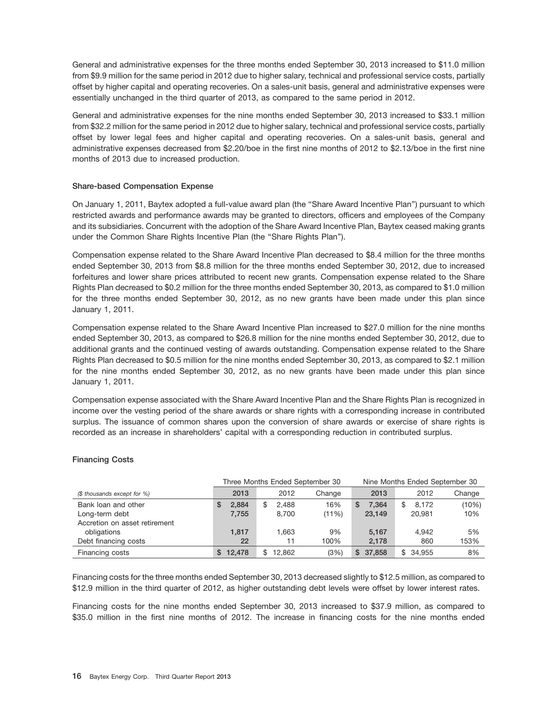General and administrative expenses for the three months ended September 30, 2013 increased to \$11.0 million from \$9.9 million for the same period in 2012 due to higher salary, technical and professional service costs, partially offset by higher capital and operating recoveries. On a sales-unit basis, general and administrative expenses were essentially unchanged in the third quarter of 2013, as compared to the same period in 2012.

General and administrative expenses for the nine months ended September 30, 2013 increased to \$33.1 million from \$32.2 million for the same period in 2012 due to higher salary, technical and professional service costs, partially offset by lower legal fees and higher capital and operating recoveries. On a sales-unit basis, general and administrative expenses decreased from \$2.20/boe in the first nine months of 2012 to \$2.13/boe in the first nine months of 2013 due to increased production.

## **Share-based Compensation Expense**

On January 1, 2011, Baytex adopted a full-value award plan (the ''Share Award Incentive Plan'') pursuant to which restricted awards and performance awards may be granted to directors, officers and employees of the Company and its subsidiaries. Concurrent with the adoption of the Share Award Incentive Plan, Baytex ceased making grants under the Common Share Rights Incentive Plan (the ''Share Rights Plan'').

Compensation expense related to the Share Award Incentive Plan decreased to \$8.4 million for the three months ended September 30, 2013 from \$8.8 million for the three months ended September 30, 2012, due to increased forfeitures and lower share prices attributed to recent new grants. Compensation expense related to the Share Rights Plan decreased to \$0.2 million for the three months ended September 30, 2013, as compared to \$1.0 million for the three months ended September 30, 2012, as no new grants have been made under this plan since January 1, 2011.

Compensation expense related to the Share Award Incentive Plan increased to \$27.0 million for the nine months ended September 30, 2013, as compared to \$26.8 million for the nine months ended September 30, 2012, due to additional grants and the continued vesting of awards outstanding. Compensation expense related to the Share Rights Plan decreased to \$0.5 million for the nine months ended September 30, 2013, as compared to \$2.1 million for the nine months ended September 30, 2012, as no new grants have been made under this plan since January 1, 2011.

Compensation expense associated with the Share Award Incentive Plan and the Share Rights Plan is recognized in income over the vesting period of the share awards or share rights with a corresponding increase in contributed surplus. The issuance of common shares upon the conversion of share awards or exercise of share rights is recorded as an increase in shareholders' capital with a corresponding reduction in contributed surplus.

## **Financing Costs**

|                               |             | Three Months Ended September 30 |        | Nine Months Ended September 30 |             |        |
|-------------------------------|-------------|---------------------------------|--------|--------------------------------|-------------|--------|
| (\$ thousands except for %)   | 2013        | 2012                            | Change | 2013                           | 2012        | Change |
| Bank loan and other           | 2.884<br>S  | 2.488<br>\$                     | 16%    | 7.364<br>S                     | \$<br>8.172 | (10%)  |
| Long-term debt                | 7,755       | 8.700                           | (11%)  | 23.149                         | 20.981      | 10%    |
| Accretion on asset retirement |             |                                 |        |                                |             |        |
| obligations                   | 1.817       | 1.663                           | 9%     | 5.167                          | 4.942       | 5%     |
| Debt financing costs          | 22          | 11                              | 100%   | 2,178                          | 860         | 153%   |
| Financing costs               | 12.478<br>S | 12.862                          | (3%)   | 37,858<br>S                    | \$34.955    | 8%     |

Financing costs for the three months ended September 30, 2013 decreased slightly to \$12.5 million, as compared to \$12.9 million in the third quarter of 2012, as higher outstanding debt levels were offset by lower interest rates.

Financing costs for the nine months ended September 30, 2013 increased to \$37.9 million, as compared to \$35.0 million in the first nine months of 2012. The increase in financing costs for the nine months ended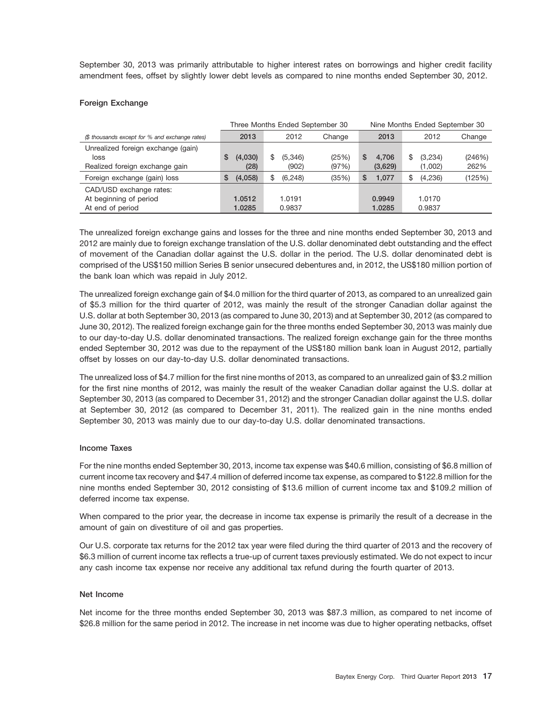September 30, 2013 was primarily attributable to higher interest rates on borrowings and higher credit facility amendment fees, offset by slightly lower debt levels as compared to nine months ended September 30, 2012.

## **Foreign Exchange**

|                                                                              |                      | Three Months Ended September 30 |                | Nine Months Ended September 30 |                         |                |  |
|------------------------------------------------------------------------------|----------------------|---------------------------------|----------------|--------------------------------|-------------------------|----------------|--|
| (\$ thousands except for % and exchange rates)                               | 2013                 | 2012                            | Change         | 2013                           | 2012                    | Change         |  |
| Unrealized foreign exchange (gain)<br>loss<br>Realized foreign exchange gain | (4,030)<br>S<br>(28) | (5,346)<br>\$.<br>(902)         | (25%)<br>(97%) | 4.706<br>S<br>(3,629)          | (3,234)<br>S<br>(1,002) | (246%)<br>262% |  |
| Foreign exchange (gain) loss                                                 | (4,058)<br>S         | (6, 248)                        | (35%)          | 1.077<br>S                     | (4,236)                 | (125%)         |  |
| CAD/USD exchange rates:<br>At beginning of period<br>At end of period        | 1.0512<br>1.0285     | 1.0191<br>0.9837                |                | 0.9949<br>1.0285               | 1.0170<br>0.9837        |                |  |

The unrealized foreign exchange gains and losses for the three and nine months ended September 30, 2013 and 2012 are mainly due to foreign exchange translation of the U.S. dollar denominated debt outstanding and the effect of movement of the Canadian dollar against the U.S. dollar in the period. The U.S. dollar denominated debt is comprised of the US\$150 million Series B senior unsecured debentures and, in 2012, the US\$180 million portion of the bank loan which was repaid in July 2012.

The unrealized foreign exchange gain of \$4.0 million for the third quarter of 2013, as compared to an unrealized gain of \$5.3 million for the third quarter of 2012, was mainly the result of the stronger Canadian dollar against the U.S. dollar at both September 30, 2013 (as compared to June 30, 2013) and at September 30, 2012 (as compared to June 30, 2012). The realized foreign exchange gain for the three months ended September 30, 2013 was mainly due to our day-to-day U.S. dollar denominated transactions. The realized foreign exchange gain for the three months ended September 30, 2012 was due to the repayment of the US\$180 million bank loan in August 2012, partially offset by losses on our day-to-day U.S. dollar denominated transactions.

The unrealized loss of \$4.7 million for the first nine months of 2013, as compared to an unrealized gain of \$3.2 million for the first nine months of 2012, was mainly the result of the weaker Canadian dollar against the U.S. dollar at September 30, 2013 (as compared to December 31, 2012) and the stronger Canadian dollar against the U.S. dollar at September 30, 2012 (as compared to December 31, 2011). The realized gain in the nine months ended September 30, 2013 was mainly due to our day-to-day U.S. dollar denominated transactions.

## **Income Taxes**

For the nine months ended September 30, 2013, income tax expense was \$40.6 million, consisting of \$6.8 million of current income tax recovery and \$47.4 million of deferred income tax expense, as compared to \$122.8 million for the nine months ended September 30, 2012 consisting of \$13.6 million of current income tax and \$109.2 million of deferred income tax expense.

When compared to the prior year, the decrease in income tax expense is primarily the result of a decrease in the amount of gain on divestiture of oil and gas properties.

Our U.S. corporate tax returns for the 2012 tax year were filed during the third quarter of 2013 and the recovery of \$6.3 million of current income tax reflects a true-up of current taxes previously estimated. We do not expect to incur any cash income tax expense nor receive any additional tax refund during the fourth quarter of 2013.

### **Net Income**

Net income for the three months ended September 30, 2013 was \$87.3 million, as compared to net income of \$26.8 million for the same period in 2012. The increase in net income was due to higher operating netbacks, offset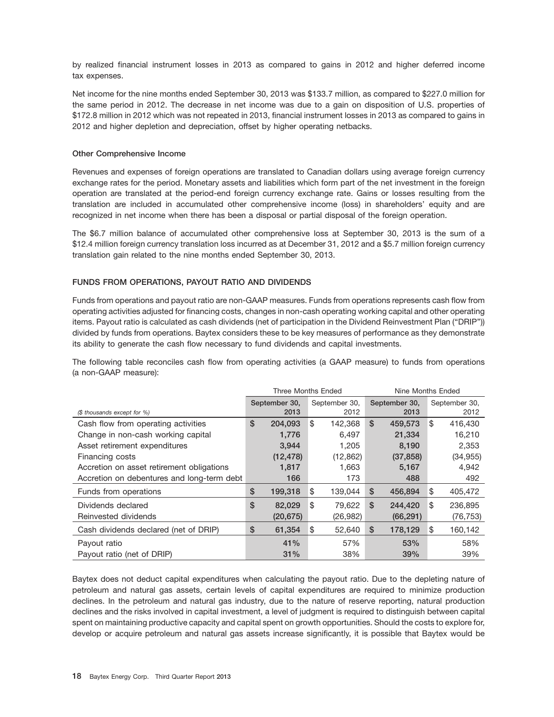by realized financial instrument losses in 2013 as compared to gains in 2012 and higher deferred income tax expenses.

Net income for the nine months ended September 30, 2013 was \$133.7 million, as compared to \$227.0 million for the same period in 2012. The decrease in net income was due to a gain on disposition of U.S. properties of \$172.8 million in 2012 which was not repeated in 2013, financial instrument losses in 2013 as compared to gains in 2012 and higher depletion and depreciation, offset by higher operating netbacks.

## **Other Comprehensive Income**

Revenues and expenses of foreign operations are translated to Canadian dollars using average foreign currency exchange rates for the period. Monetary assets and liabilities which form part of the net investment in the foreign operation are translated at the period-end foreign currency exchange rate. Gains or losses resulting from the translation are included in accumulated other comprehensive income (loss) in shareholders' equity and are recognized in net income when there has been a disposal or partial disposal of the foreign operation.

The \$6.7 million balance of accumulated other comprehensive loss at September 30, 2013 is the sum of a \$12.4 million foreign currency translation loss incurred as at December 31, 2012 and a \$5.7 million foreign currency translation gain related to the nine months ended September 30, 2013.

## **FUNDS FROM OPERATIONS, PAYOUT RATIO AND DIVIDENDS**

Funds from operations and payout ratio are non-GAAP measures. Funds from operations represents cash flow from operating activities adjusted for financing costs, changes in non-cash operating working capital and other operating items. Payout ratio is calculated as cash dividends (net of participation in the Dividend Reinvestment Plan (''DRIP'')) divided by funds from operations. Baytex considers these to be key measures of performance as they demonstrate its ability to generate the cash flow necessary to fund dividends and capital investments.

The following table reconciles cash flow from operating activities (a GAAP measure) to funds from operations (a non-GAAP measure):

|                                            | <b>Three Months Ended</b> |           |    |                       |    | Nine Months Ended     |    |                       |  |
|--------------------------------------------|---------------------------|-----------|----|-----------------------|----|-----------------------|----|-----------------------|--|
|                                            | September 30,<br>2013     |           |    | September 30,<br>2012 |    | September 30,<br>2013 |    | September 30,<br>2012 |  |
| (\$ thousands except for %)                |                           |           |    |                       |    |                       |    |                       |  |
| Cash flow from operating activities        | \$                        | 204.093   | \$ | 142,368               | \$ | 459,573               | \$ | 416,430               |  |
| Change in non-cash working capital         |                           | 1,776     |    | 6.497                 |    | 21,334                |    | 16,210                |  |
| Asset retirement expenditures              |                           | 3,944     |    | 1,205                 |    | 8,190                 |    | 2,353                 |  |
| Financing costs                            |                           | (12, 478) |    | (12, 862)             |    | (37, 858)             |    | (34, 955)             |  |
| Accretion on asset retirement obligations  |                           | 1,817     |    | 1,663                 |    | 5,167                 |    | 4,942                 |  |
| Accretion on debentures and long-term debt |                           | 166       |    | 173                   |    | 488                   |    | 492                   |  |
| Funds from operations                      | \$                        | 199,318   | \$ | 139,044               | \$ | 456,894               | \$ | 405,472               |  |
| Dividends declared                         | \$                        | 82,029    | \$ | 79,622                | \$ | 244,420               | \$ | 236,895               |  |
| Reinvested dividends                       |                           | (20, 675) |    | (26, 982)             |    | (66, 291)             |    | (76, 753)             |  |
| Cash dividends declared (net of DRIP)      | \$                        | 61,354    | \$ | 52,640                | \$ | 178,129               | \$ | 160,142               |  |
| Payout ratio                               |                           | 41%       |    | 57%                   |    | 53%                   |    | 58%                   |  |
| Payout ratio (net of DRIP)                 |                           | 31%       |    | 38%                   |    | 39%                   |    | 39%                   |  |

Baytex does not deduct capital expenditures when calculating the payout ratio. Due to the depleting nature of petroleum and natural gas assets, certain levels of capital expenditures are required to minimize production declines. In the petroleum and natural gas industry, due to the nature of reserve reporting, natural production declines and the risks involved in capital investment, a level of judgment is required to distinguish between capital spent on maintaining productive capacity and capital spent on growth opportunities. Should the costs to explore for, develop or acquire petroleum and natural gas assets increase significantly, it is possible that Baytex would be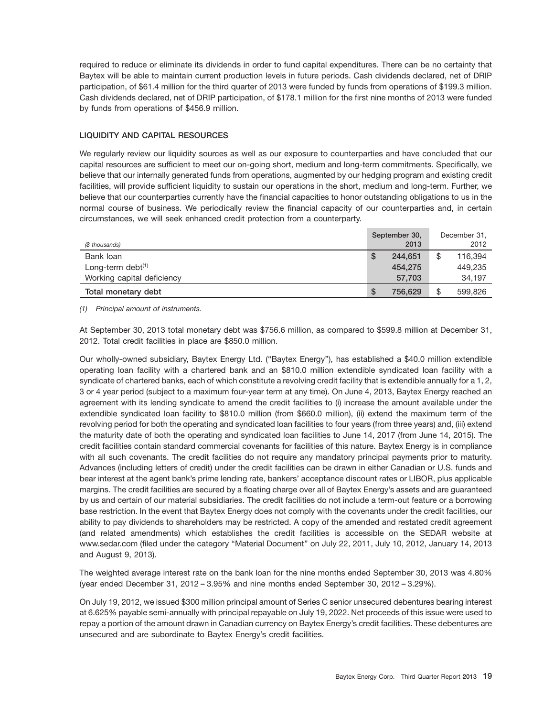required to reduce or eliminate its dividends in order to fund capital expenditures. There can be no certainty that Baytex will be able to maintain current production levels in future periods. Cash dividends declared, net of DRIP participation, of \$61.4 million for the third quarter of 2013 were funded by funds from operations of \$199.3 million. Cash dividends declared, net of DRIP participation, of \$178.1 million for the first nine months of 2013 were funded by funds from operations of \$456.9 million.

## **LIQUIDITY AND CAPITAL RESOURCES**

We regularly review our liquidity sources as well as our exposure to counterparties and have concluded that our capital resources are sufficient to meet our on-going short, medium and long-term commitments. Specifically, we believe that our internally generated funds from operations, augmented by our hedging program and existing credit facilities, will provide sufficient liquidity to sustain our operations in the short, medium and long-term. Further, we believe that our counterparties currently have the financial capacities to honor outstanding obligations to us in the normal course of business. We periodically review the financial capacity of our counterparties and, in certain circumstances, we will seek enhanced credit protection from a counterparty.

| (\$ thousands)             |   | September 30,<br>2013 | December 31,<br>2012 |
|----------------------------|---|-----------------------|----------------------|
| Bank loan                  | Œ | 244.651               | 116.394              |
| Long-term debt $(1)$       |   | 454.275               | 449.235              |
| Working capital deficiency |   | 57.703                | 34,197               |
| Total monetary debt        | S | 756.629               | 599,826              |

*(1) Principal amount of instruments.*

At September 30, 2013 total monetary debt was \$756.6 million, as compared to \$599.8 million at December 31, 2012. Total credit facilities in place are \$850.0 million.

Our wholly-owned subsidiary, Baytex Energy Ltd. (''Baytex Energy''), has established a \$40.0 million extendible operating loan facility with a chartered bank and an \$810.0 million extendible syndicated loan facility with a syndicate of chartered banks, each of which constitute a revolving credit facility that is extendible annually for a 1, 2, 3 or 4 year period (subject to a maximum four-year term at any time). On June 4, 2013, Baytex Energy reached an agreement with its lending syndicate to amend the credit facilities to (i) increase the amount available under the extendible syndicated loan facility to \$810.0 million (from \$660.0 million), (ii) extend the maximum term of the revolving period for both the operating and syndicated loan facilities to four years (from three years) and, (iii) extend the maturity date of both the operating and syndicated loan facilities to June 14, 2017 (from June 14, 2015). The credit facilities contain standard commercial covenants for facilities of this nature. Baytex Energy is in compliance with all such covenants. The credit facilities do not require any mandatory principal payments prior to maturity. Advances (including letters of credit) under the credit facilities can be drawn in either Canadian or U.S. funds and bear interest at the agent bank's prime lending rate, bankers' acceptance discount rates or LIBOR, plus applicable margins. The credit facilities are secured by a floating charge over all of Baytex Energy's assets and are guaranteed by us and certain of our material subsidiaries. The credit facilities do not include a term-out feature or a borrowing base restriction. In the event that Baytex Energy does not comply with the covenants under the credit facilities, our ability to pay dividends to shareholders may be restricted. A copy of the amended and restated credit agreement (and related amendments) which establishes the credit facilities is accessible on the SEDAR website at www.sedar.com (filed under the category ''Material Document'' on July 22, 2011, July 10, 2012, January 14, 2013 and August 9, 2013).

The weighted average interest rate on the bank loan for the nine months ended September 30, 2013 was 4.80% (year ended December 31, 2012 – 3.95% and nine months ended September 30, 2012 – 3.29%).

On July 19, 2012, we issued \$300 million principal amount of Series C senior unsecured debentures bearing interest at 6.625% payable semi-annually with principal repayable on July 19, 2022. Net proceeds of this issue were used to repay a portion of the amount drawn in Canadian currency on Baytex Energy's credit facilities. These debentures are unsecured and are subordinate to Baytex Energy's credit facilities.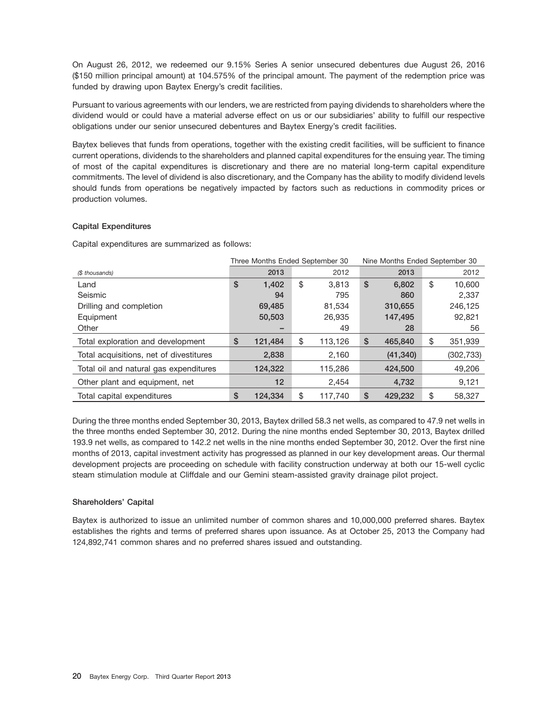On August 26, 2012, we redeemed our 9.15% Series A senior unsecured debentures due August 26, 2016 (\$150 million principal amount) at 104.575% of the principal amount. The payment of the redemption price was funded by drawing upon Baytex Energy's credit facilities.

Pursuant to various agreements with our lenders, we are restricted from paying dividends to shareholders where the dividend would or could have a material adverse effect on us or our subsidiaries' ability to fulfill our respective obligations under our senior unsecured debentures and Baytex Energy's credit facilities.

Baytex believes that funds from operations, together with the existing credit facilities, will be sufficient to finance current operations, dividends to the shareholders and planned capital expenditures for the ensuing year. The timing of most of the capital expenditures is discretionary and there are no material long-term capital expenditure commitments. The level of dividend is also discretionary, and the Company has the ability to modify dividend levels should funds from operations be negatively impacted by factors such as reductions in commodity prices or production volumes.

## **Capital Expenditures**

Capital expenditures are summarized as follows:

|                                         | Three Months Ended September 30 |               | Nine Months Ended September 30 |           |    |            |
|-----------------------------------------|---------------------------------|---------------|--------------------------------|-----------|----|------------|
| (\$ thousands)                          | 2013                            | 2012          |                                | 2013      |    | 2012       |
| Land                                    | \$<br>1.402                     | \$<br>3.813   | \$                             | 6,802     | \$ | 10,600     |
| Seismic                                 | 94                              | 795           |                                | 860       |    | 2,337      |
| Drilling and completion                 | 69,485                          | 81,534        |                                | 310,655   |    | 246,125    |
| Equipment                               | 50,503                          | 26,935        |                                | 147,495   |    | 92,821     |
| Other                                   |                                 | 49            |                                | 28        |    | 56         |
| Total exploration and development       | \$<br>121,484                   | \$<br>113,126 | \$                             | 465,840   | \$ | 351,939    |
| Total acquisitions, net of divestitures | 2,838                           | 2,160         |                                | (41, 340) |    | (302, 733) |
| Total oil and natural gas expenditures  | 124,322                         | 115,286       |                                | 424,500   |    | 49,206     |
| Other plant and equipment, net          | 12                              | 2,454         |                                | 4,732     |    | 9,121      |
| Total capital expenditures              | \$<br>124.334                   | \$<br>117.740 | \$                             | 429.232   | \$ | 58,327     |

During the three months ended September 30, 2013, Baytex drilled 58.3 net wells, as compared to 47.9 net wells in the three months ended September 30, 2012. During the nine months ended September 30, 2013, Baytex drilled 193.9 net wells, as compared to 142.2 net wells in the nine months ended September 30, 2012. Over the first nine months of 2013, capital investment activity has progressed as planned in our key development areas. Our thermal development projects are proceeding on schedule with facility construction underway at both our 15-well cyclic steam stimulation module at Cliffdale and our Gemini steam-assisted gravity drainage pilot project.

## **Shareholders' Capital**

Baytex is authorized to issue an unlimited number of common shares and 10,000,000 preferred shares. Baytex establishes the rights and terms of preferred shares upon issuance. As at October 25, 2013 the Company had 124,892,741 common shares and no preferred shares issued and outstanding.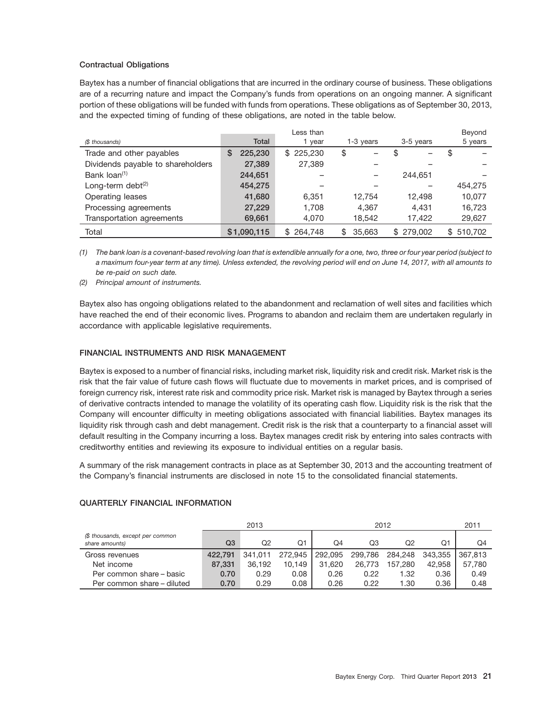## **Contractual Obligations**

Baytex has a number of financial obligations that are incurred in the ordinary course of business. These obligations are of a recurring nature and impact the Company's funds from operations on an ongoing manner. A significant portion of these obligations will be funded with funds from operations. These obligations as of September 30, 2013, and the expected timing of funding of these obligations, are noted in the table below.

|                                   |              | Less than     |              |               | Beyond    |
|-----------------------------------|--------------|---------------|--------------|---------------|-----------|
| (\$ thousands)                    | <b>Total</b> | 1 year        | 1-3 years    | 3-5 years     | 5 years   |
| Trade and other payables          | 225,230<br>S | 225,230<br>\$ | \$           | \$            | D         |
| Dividends payable to shareholders | 27,389       | 27,389        |              |               |           |
| Bank loan <sup>(1)</sup>          | 244,651      |               |              | 244.651       |           |
| Long-term debt $(2)$              | 454,275      |               |              |               | 454.275   |
| Operating leases                  | 41,680       | 6.351         | 12.754       | 12.498        | 10,077    |
| Processing agreements             | 27,229       | 1,708         | 4,367        | 4,431         | 16,723    |
| Transportation agreements         | 69,661       | 4,070         | 18,542       | 17,422        | 29,627    |
| Total                             | \$1,090,115  | 264,748       | 35,663<br>\$ | 279,002<br>\$ | \$510,702 |

*(1) The bank loan is a covenant-based revolving loan that is extendible annually for a one, two, three or four year period (subject to a maximum four-year term at any time). Unless extended, the revolving period will end on June 14, 2017, with all amounts to be re-paid on such date.*

*(2) Principal amount of instruments.*

Baytex also has ongoing obligations related to the abandonment and reclamation of well sites and facilities which have reached the end of their economic lives. Programs to abandon and reclaim them are undertaken regularly in accordance with applicable legislative requirements.

## **FINANCIAL INSTRUMENTS AND RISK MANAGEMENT**

Baytex is exposed to a number of financial risks, including market risk, liquidity risk and credit risk. Market risk is the risk that the fair value of future cash flows will fluctuate due to movements in market prices, and is comprised of foreign currency risk, interest rate risk and commodity price risk. Market risk is managed by Baytex through a series of derivative contracts intended to manage the volatility of its operating cash flow. Liquidity risk is the risk that the Company will encounter difficulty in meeting obligations associated with financial liabilities. Baytex manages its liquidity risk through cash and debt management. Credit risk is the risk that a counterparty to a financial asset will default resulting in the Company incurring a loss. Baytex manages credit risk by entering into sales contracts with creditworthy entities and reviewing its exposure to individual entities on a regular basis.

A summary of the risk management contracts in place as at September 30, 2013 and the accounting treatment of the Company's financial instruments are disclosed in note 15 to the consolidated financial statements.

## **QUARTERLY FINANCIAL INFORMATION**

|                                                    |         | 2013    |         |         | 2011    |         |         |         |
|----------------------------------------------------|---------|---------|---------|---------|---------|---------|---------|---------|
| (\$ thousands, except per common<br>share amounts) | Q3      | O2      | Q1      | O4      | Q3      | Q2      | Ο1      | Q4      |
| Gross revenues                                     | 422.791 | 341.011 | 272.945 | 292,095 | 299,786 | 284,248 | 343.355 | 367.813 |
| Net income                                         | 87.331  | 36.192  | 10.149  | 31.620  | 26,773  | 157.280 | 42.958  | 57.780  |
| Per common share – basic                           | 0.70    | 0.29    | 0.08    | 0.26    | 0.22    | 1.32    | 0.36    | 0.49    |
| Per common share - diluted                         | 0.70    | 0.29    | 0.08    | 0.26    | 0.22    | l.30    | 0.36    | 0.48    |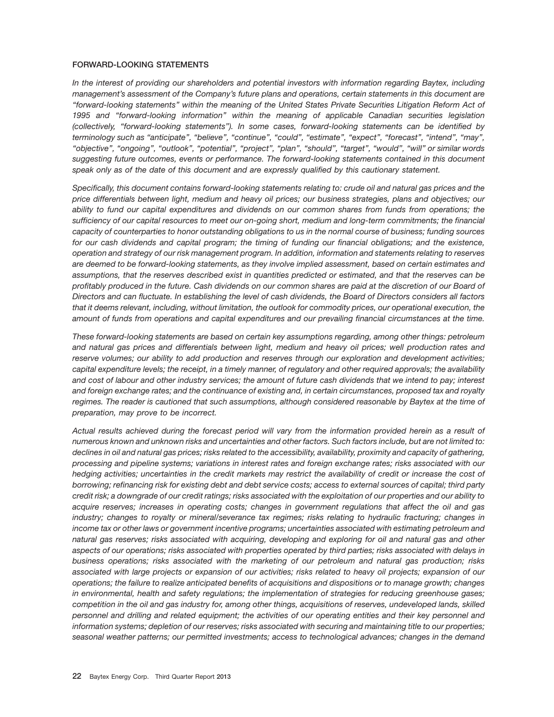## **FORWARD-LOOKING STATEMENTS**

*In the interest of providing our shareholders and potential investors with information regarding Baytex, including management's assessment of the Company's future plans and operations, certain statements in this document are ''forward-looking statements'' within the meaning of the United States Private Securities Litigation Reform Act of 1995 and ''forward-looking information'' within the meaning of applicable Canadian securities legislation (collectively, ''forward-looking statements''). In some cases, forward-looking statements can be identified by terminology such as ''anticipate'', ''believe'', ''continue'', ''could'', ''estimate'', ''expect'', ''forecast'', ''intend'', ''may'', ''objective'', ''ongoing'', ''outlook'', ''potential'', ''project'', ''plan'', ''should'', ''target'', ''would'', ''will'' or similar words suggesting future outcomes, events or performance. The forward-looking statements contained in this document speak only as of the date of this document and are expressly qualified by this cautionary statement.*

*Specifically, this document contains forward-looking statements relating to: crude oil and natural gas prices and the price differentials between light, medium and heavy oil prices; our business strategies, plans and objectives; our ability to fund our capital expenditures and dividends on our common shares from funds from operations; the sufficiency of our capital resources to meet our on-going short, medium and long-term commitments; the financial capacity of counterparties to honor outstanding obligations to us in the normal course of business; funding sources for our cash dividends and capital program; the timing of funding our financial obligations; and the existence, operation and strategy of our risk management program. In addition, information and statements relating to reserves are deemed to be forward-looking statements, as they involve implied assessment, based on certain estimates and assumptions, that the reserves described exist in quantities predicted or estimated, and that the reserves can be profitably produced in the future. Cash dividends on our common shares are paid at the discretion of our Board of Directors and can fluctuate. In establishing the level of cash dividends, the Board of Directors considers all factors that it deems relevant, including, without limitation, the outlook for commodity prices, our operational execution, the amount of funds from operations and capital expenditures and our prevailing financial circumstances at the time.*

*These forward-looking statements are based on certain key assumptions regarding, among other things: petroleum and natural gas prices and differentials between light, medium and heavy oil prices; well production rates and reserve volumes; our ability to add production and reserves through our exploration and development activities; capital expenditure levels; the receipt, in a timely manner, of regulatory and other required approvals; the availability and cost of labour and other industry services; the amount of future cash dividends that we intend to pay; interest and foreign exchange rates; and the continuance of existing and, in certain circumstances, proposed tax and royalty regimes. The reader is cautioned that such assumptions, although considered reasonable by Baytex at the time of preparation, may prove to be incorrect.*

*Actual results achieved during the forecast period will vary from the information provided herein as a result of numerous known and unknown risks and uncertainties and other factors. Such factors include, but are not limited to: declines in oil and natural gas prices; risks related to the accessibility, availability, proximity and capacity of gathering, processing and pipeline systems; variations in interest rates and foreign exchange rates; risks associated with our hedging activities; uncertainties in the credit markets may restrict the availability of credit or increase the cost of borrowing; refinancing risk for existing debt and debt service costs; access to external sources of capital; third party credit risk; a downgrade of our credit ratings; risks associated with the exploitation of our properties and our ability to acquire reserves; increases in operating costs; changes in government regulations that affect the oil and gas industry; changes to royalty or mineral/severance tax regimes; risks relating to hydraulic fracturing; changes in income tax or other laws or government incentive programs; uncertainties associated with estimating petroleum and natural gas reserves; risks associated with acquiring, developing and exploring for oil and natural gas and other aspects of our operations; risks associated with properties operated by third parties; risks associated with delays in business operations; risks associated with the marketing of our petroleum and natural gas production; risks associated with large projects or expansion of our activities; risks related to heavy oil projects; expansion of our operations; the failure to realize anticipated benefits of acquisitions and dispositions or to manage growth; changes in environmental, health and safety regulations; the implementation of strategies for reducing greenhouse gases; competition in the oil and gas industry for, among other things, acquisitions of reserves, undeveloped lands, skilled personnel and drilling and related equipment; the activities of our operating entities and their key personnel and information systems; depletion of our reserves; risks associated with securing and maintaining title to our properties; seasonal weather patterns; our permitted investments; access to technological advances; changes in the demand*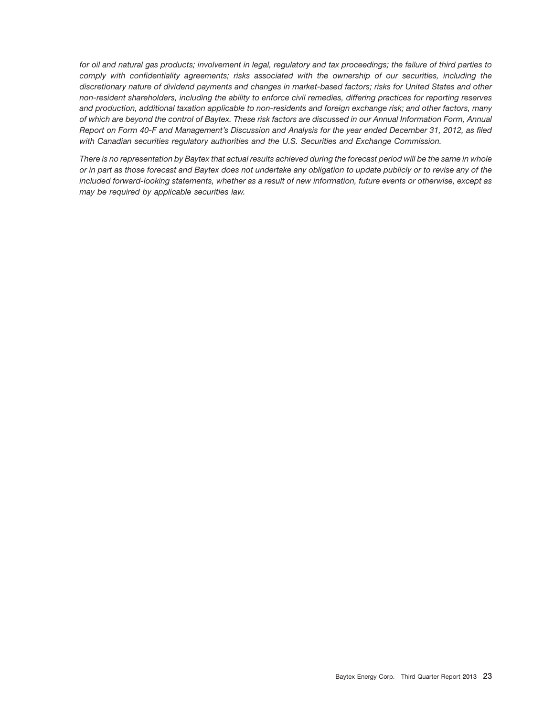*for oil and natural gas products; involvement in legal, regulatory and tax proceedings; the failure of third parties to comply with confidentiality agreements; risks associated with the ownership of our securities, including the discretionary nature of dividend payments and changes in market-based factors; risks for United States and other non-resident shareholders, including the ability to enforce civil remedies, differing practices for reporting reserves and production, additional taxation applicable to non-residents and foreign exchange risk; and other factors, many of which are beyond the control of Baytex. These risk factors are discussed in our Annual Information Form, Annual Report on Form 40-F and Management's Discussion and Analysis for the year ended December 31, 2012, as filed with Canadian securities regulatory authorities and the U.S. Securities and Exchange Commission.*

*There is no representation by Baytex that actual results achieved during the forecast period will be the same in whole or in part as those forecast and Baytex does not undertake any obligation to update publicly or to revise any of the included forward-looking statements, whether as a result of new information, future events or otherwise, except as may be required by applicable securities law.*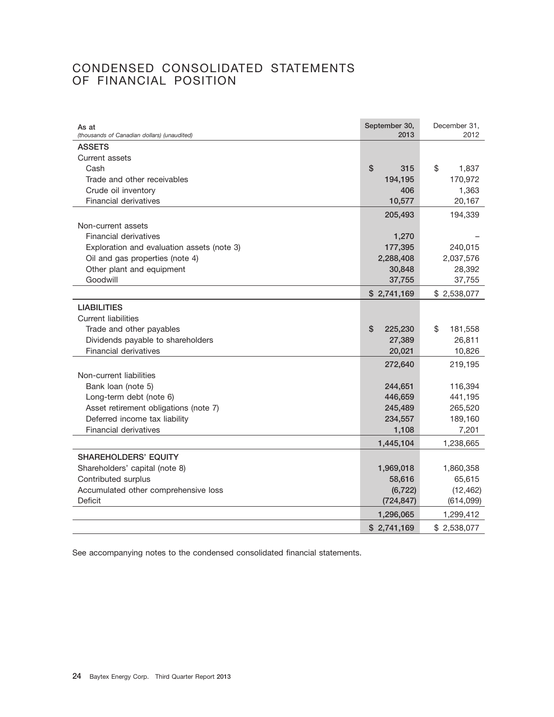## CONDENSED CONSOLIDATED STATEMENTS OF FINANCIAL POSITION

| As at<br>(thousands of Canadian dollars) (unaudited) | September 30,<br>2013 | December 31.<br>2012 |
|------------------------------------------------------|-----------------------|----------------------|
| <b>ASSETS</b>                                        |                       |                      |
| Current assets                                       |                       |                      |
| Cash                                                 | \$<br>315             | \$<br>1,837          |
| Trade and other receivables                          | 194,195               | 170,972              |
| Crude oil inventory                                  | 406                   | 1,363                |
| <b>Financial derivatives</b>                         | 10,577                | 20,167               |
|                                                      | 205,493               | 194,339              |
| Non-current assets                                   |                       |                      |
| <b>Financial derivatives</b>                         | 1,270                 |                      |
| Exploration and evaluation assets (note 3)           | 177,395               | 240,015              |
| Oil and gas properties (note 4)                      | 2,288,408             | 2,037,576            |
| Other plant and equipment                            | 30,848                | 28,392               |
| Goodwill                                             | 37,755                | 37,755               |
|                                                      | \$2,741,169           | \$2,538,077          |
| <b>LIABILITIES</b>                                   |                       |                      |
| <b>Current liabilities</b>                           |                       |                      |
| Trade and other payables                             | \$<br>225,230         | \$<br>181,558        |
| Dividends payable to shareholders                    | 27,389                | 26,811               |
| <b>Financial derivatives</b>                         | 20,021                | 10,826               |
|                                                      | 272,640               | 219,195              |
| Non-current liabilities                              |                       |                      |
| Bank loan (note 5)                                   | 244,651               | 116,394              |
| Long-term debt (note 6)                              | 446,659               | 441,195              |
| Asset retirement obligations (note 7)                | 245,489               | 265,520              |
| Deferred income tax liability                        | 234,557               | 189,160              |
| Financial derivatives                                | 1,108                 | 7,201                |
|                                                      | 1,445,104             | 1,238,665            |
| <b>SHAREHOLDERS' EQUITY</b>                          |                       |                      |
| Shareholders' capital (note 8)                       | 1,969,018             | 1,860,358            |
| Contributed surplus                                  | 58,616                | 65,615               |
| Accumulated other comprehensive loss                 | (6, 722)              | (12, 462)            |
| <b>Deficit</b>                                       | (724, 847)            | (614,099)            |
|                                                      | 1,296,065             | 1,299,412            |
|                                                      | \$2,741,169           | \$2,538,077          |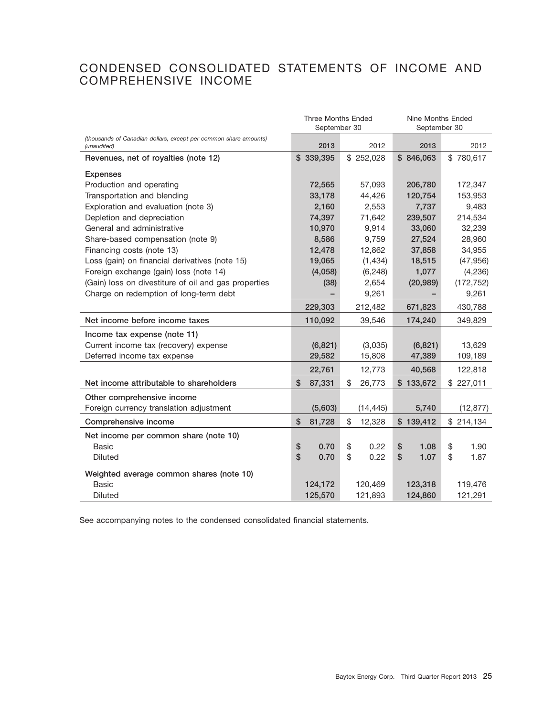## CONDENSED CONSOLIDATED STATEMENTS OF INCOME AND COMPREHENSIVE INCOME

|                                                                  | <b>Three Months Ended</b><br>September 30 |              | Nine Months Ended<br>September 30 |            |  |
|------------------------------------------------------------------|-------------------------------------------|--------------|-----------------------------------|------------|--|
| (thousands of Canadian dollars, except per common share amounts) |                                           |              |                                   |            |  |
| (unaudited)                                                      | 2013                                      | 2012         | 2013                              | 2012       |  |
| Revenues, net of royalties (note 12)                             | \$339,395                                 | \$252,028    | \$846,063                         | \$780,617  |  |
| <b>Expenses</b>                                                  |                                           |              |                                   |            |  |
| Production and operating                                         | 72,565                                    | 57,093       | 206,780                           | 172,347    |  |
| Transportation and blending                                      | 33,178                                    | 44,426       | 120,754                           | 153,953    |  |
| Exploration and evaluation (note 3)                              | 2,160                                     | 2,553        | 7,737                             | 9,483      |  |
| Depletion and depreciation                                       | 74,397                                    | 71,642       | 239,507                           | 214,534    |  |
| General and administrative                                       | 10,970                                    | 9,914        | 33,060                            | 32,239     |  |
| Share-based compensation (note 9)                                | 8,586                                     | 9,759        | 27,524                            | 28,960     |  |
| Financing costs (note 13)                                        | 12,478                                    | 12,862       | 37,858                            | 34,955     |  |
| Loss (gain) on financial derivatives (note 15)                   | 19,065                                    | (1,434)      | 18,515                            | (47, 956)  |  |
| Foreign exchange (gain) loss (note 14)                           | (4,058)                                   | (6, 248)     | 1,077                             | (4, 236)   |  |
| (Gain) loss on divestiture of oil and gas properties             | (38)                                      | 2,654        | (172, 752)                        |            |  |
| Charge on redemption of long-term debt                           |                                           | 9,261        |                                   | 9,261      |  |
|                                                                  | 229,303                                   | 212,482      | 671,823                           | 430,788    |  |
| Net income before income taxes                                   | 110,092                                   | 39,546       | 174,240                           | 349,829    |  |
| Income tax expense (note 11)                                     |                                           |              |                                   |            |  |
| Current income tax (recovery) expense                            | (6, 821)                                  | (3,035)      | (6, 821)                          | 13,629     |  |
| Deferred income tax expense                                      | 29,582                                    | 15,808       | 47,389                            | 109,189    |  |
|                                                                  | 22,761                                    | 12,773       | 40,568                            | 122,818    |  |
| Net income attributable to shareholders                          | S<br>87,331                               | \$<br>26,773 | \$133,672                         | \$227,011  |  |
| Other comprehensive income                                       |                                           |              |                                   |            |  |
| Foreign currency translation adjustment                          | (5,603)                                   | (14, 445)    | 5,740                             | (12, 877)  |  |
| Comprehensive income                                             | \$<br>81,728                              | \$<br>12,328 | \$139,412                         | \$214,134  |  |
| Net income per common share (note 10)                            |                                           |              |                                   |            |  |
| <b>Basic</b>                                                     | \$<br>0.70                                | \$<br>0.22   | \$<br>1.08                        | \$<br>1.90 |  |
| <b>Diluted</b>                                                   | \$<br>0.70                                | \$<br>0.22   | \$<br>1.07                        | \$<br>1.87 |  |
| Weighted average common shares (note 10)                         |                                           |              |                                   |            |  |
| <b>Basic</b>                                                     | 124,172                                   | 120,469      | 123,318                           | 119,476    |  |
| <b>Diluted</b>                                                   | 125,570                                   | 121,893      | 124,860                           | 121,291    |  |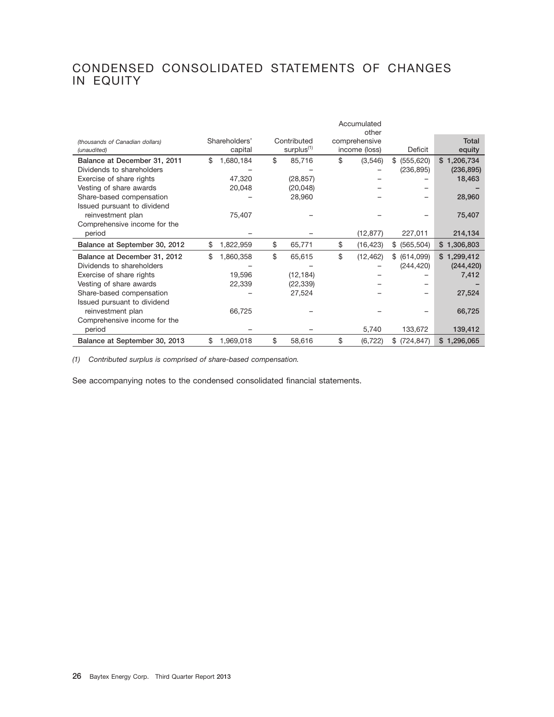## CONDENSED CONSOLIDATED STATEMENTS OF CHANGES IN EQUITY

|                                 | Accumulated<br>other |    |                        |    |               |               |              |
|---------------------------------|----------------------|----|------------------------|----|---------------|---------------|--------------|
| (thousands of Canadian dollars) | Shareholders'        |    | Contributed            |    | comprehensive |               | <b>Total</b> |
| (unaudited)                     | capital              |    | surplus <sup>(1)</sup> |    | income (loss) | Deficit       | equity       |
| Balance at December 31, 2011    | \$<br>1,680,184      | \$ | 85,716                 | \$ | (3,546)       | \$ (555,620)  | \$1,206,734  |
| Dividends to shareholders       |                      |    |                        |    |               | (236, 895)    | (236, 895)   |
| Exercise of share rights        | 47,320               |    | (28, 857)              |    |               |               | 18,463       |
| Vesting of share awards         | 20,048               |    | (20, 048)              |    |               |               |              |
| Share-based compensation        |                      |    | 28,960                 |    |               |               | 28,960       |
| Issued pursuant to dividend     |                      |    |                        |    |               |               |              |
| reinvestment plan               | 75,407               |    |                        |    |               |               | 75,407       |
| Comprehensive income for the    |                      |    |                        |    |               |               |              |
| period                          |                      |    |                        |    | (12, 877)     | 227,011       | 214,134      |
| Balance at September 30, 2012   | \$<br>1,822,959      | \$ | 65,771                 | \$ | (16, 423)     | \$ (565,504)  | \$1,306,803  |
| Balance at December 31, 2012    | \$<br>1,860,358      | \$ | 65,615                 | \$ | (12, 462)     | \$ (614,099)  | \$1,299,412  |
| Dividends to shareholders       |                      |    |                        |    |               | (244, 420)    | (244, 420)   |
| Exercise of share rights        | 19,596               |    | (12, 184)              |    |               |               | 7,412        |
| Vesting of share awards         | 22,339               |    | (22, 339)              |    |               |               |              |
| Share-based compensation        |                      |    | 27,524                 |    |               |               | 27,524       |
| Issued pursuant to dividend     |                      |    |                        |    |               |               |              |
| reinvestment plan               | 66,725               |    |                        |    |               |               | 66,725       |
| Comprehensive income for the    |                      |    |                        |    |               |               |              |
| period                          |                      |    |                        |    | 5,740         | 133,672       | 139,412      |
| Balance at September 30, 2013   | \$<br>1,969,018      | \$ | 58,616                 | \$ | (6, 722)      | \$ (724, 847) | \$1,296,065  |

*(1) Contributed surplus is comprised of share-based compensation.*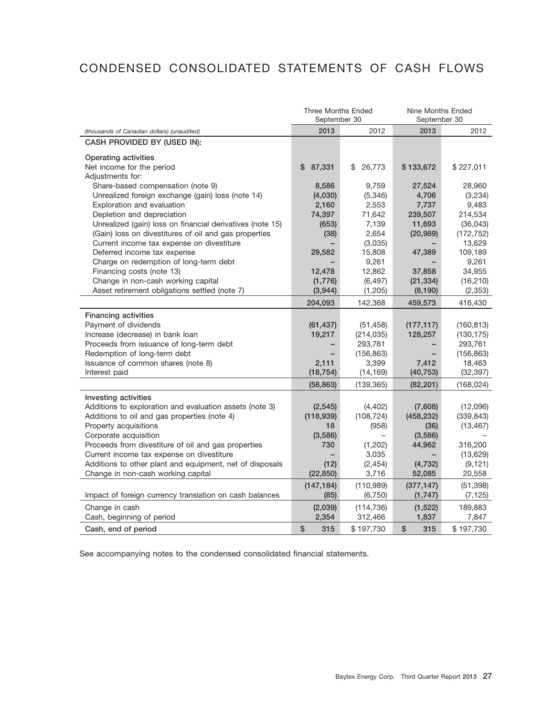## CONDENSED CONSOLIDATED STATEMENTS OF CASH FLOWS

|                                                           | <b>Three Months Ended</b><br>September 30 |              | Nine Months Ended<br>September 30 |            |  |
|-----------------------------------------------------------|-------------------------------------------|--------------|-----------------------------------|------------|--|
| (thousands of Canadian dollars) (unaudited)               | 2013                                      | 2012         | 2013                              | 2012       |  |
| CASH PROVIDED BY (USED IN):                               |                                           |              |                                   |            |  |
| Operating activities<br>Net income for the period         | \$<br>87,331                              | \$<br>26,773 | \$133,672                         | \$227,011  |  |
| Adjustments for:                                          |                                           |              |                                   |            |  |
| Share-based compensation (note 9)                         | 8,586                                     | 9,759        | 27,524                            | 28,960     |  |
| Unrealized foreign exchange (gain) loss (note 14)         | (4,030)                                   | (5,346)      | 4,706                             | (3,234)    |  |
| Exploration and evaluation                                | 2,160                                     | 2,553        | 7,737                             | 9,483      |  |
| Depletion and depreciation                                | 74,397                                    | 71,642       | 239,507                           | 214,534    |  |
| Unrealized (gain) loss on financial derivatives (note 15) | (653)                                     | 7,139        | 11,693                            | (36, 043)  |  |
| (Gain) loss on divestitures of oil and gas properties     | (38)                                      | 2,654        | (20, 989)                         | (172, 752) |  |
| Current income tax expense on divestiture                 |                                           | (3,035)      |                                   | 13,629     |  |
| Deferred income tax expense                               | 29,582                                    | 15,808       | 47,389                            | 109,189    |  |
| Charge on redemption of long-term debt                    |                                           | 9,261        |                                   | 9,261      |  |
| Financing costs (note 13)                                 | 12,478                                    | 12,862       | 37,858                            | 34,955     |  |
| Change in non-cash working capital                        | (1,776)                                   | (6, 497)     | (21, 334)                         | (16, 210)  |  |
| Asset retirement obligations settled (note 7)             | (3,944)                                   | (1, 205)     | (8, 190)                          | (2, 353)   |  |
|                                                           | 204,093                                   | 142,368      | 459,573                           | 416,430    |  |
| <b>Financing activities</b>                               |                                           |              |                                   |            |  |
| Payment of dividends                                      | (61, 437)                                 | (51, 458)    | (177, 117)                        | (160, 813) |  |
| Increase (decrease) in bank loan                          | 19,217                                    | (214, 035)   | 128,257                           | (130, 175) |  |
| Proceeds from issuance of long-term debt                  |                                           | 293,761      |                                   | 293,761    |  |
| Redemption of long-term debt                              |                                           | (156, 863)   |                                   | (156, 863) |  |
| Issuance of common shares (note 8)                        | 2,111                                     | 3,399        | 7,412                             | 18,463     |  |
| Interest paid                                             | (18, 754)                                 | (14, 169)    | (40, 753)                         | (32, 397)  |  |
|                                                           | (58, 863)                                 | (139, 365)   | (82, 201)                         | (168, 024) |  |
| Investing activities                                      |                                           |              |                                   |            |  |
| Additions to exploration and evaluation assets (note 3)   | (2, 545)                                  | (4, 402)     | (7,608)                           | (12,096)   |  |
| Additions to oil and gas properties (note 4)              | (118,939)                                 | (108, 724)   | (458, 232)                        | (339, 843) |  |
| Property acquisitions                                     | 18                                        | (958)        | (36)                              | (13, 467)  |  |
| Corporate acquisition                                     | (3, 586)                                  |              | (3,586)                           |            |  |
| Proceeds from divestiture of oil and gas properties       | 730                                       | (1,202)      | 44,962                            | 316,200    |  |
| Current income tax expense on divestiture                 |                                           | 3,035        |                                   | (13,629)   |  |
| Additions to other plant and equipment, net of disposals  | (12)                                      | (2, 454)     | (4, 732)                          | (9, 121)   |  |
| Change in non-cash working capital                        | (22, 850)                                 | 3,716        | 52,085                            | 20,558     |  |
|                                                           | (147, 184)                                | (110,989)    | (377, 147)                        | (51, 398)  |  |
| Impact of foreign currency translation on cash balances   | (85)                                      | (6, 750)     | (1, 747)                          | (7, 125)   |  |
| Change in cash                                            | (2,039)                                   | (114, 736)   | (1, 522)                          | 189,883    |  |
| Cash, beginning of period                                 | 2,354                                     | 312,466      | 1,837                             | 7,847      |  |
| Cash, end of period                                       | \$<br>315                                 | \$197,730    | \$<br>315                         | \$197,730  |  |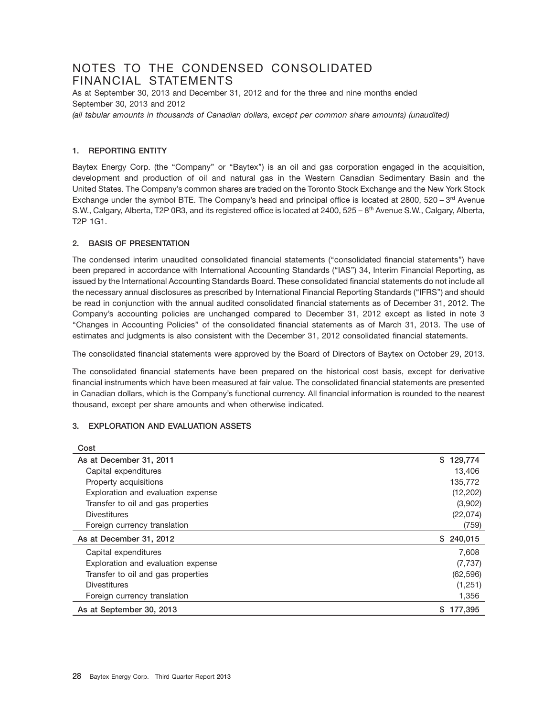## NOTES TO THE CONDENSED CONSOLIDATED FINANCIAL STATEMENTS

As at September 30, 2013 and December 31, 2012 and for the three and nine months ended September 30, 2013 and 2012

*(all tabular amounts in thousands of Canadian dollars, except per common share amounts) (unaudited)*

## **1. REPORTING ENTITY**

Baytex Energy Corp. (the "Company" or "Baytex") is an oil and gas corporation engaged in the acquisition, development and production of oil and natural gas in the Western Canadian Sedimentary Basin and the United States. The Company's common shares are traded on the Toronto Stock Exchange and the New York Stock Exchange under the symbol BTE. The Company's head and principal office is located at 2800, 520 – 3rd Avenue S.W., Calgary, Alberta, T2P 0R3, and its registered office is located at 2400, 525 – 8<sup>th</sup> Avenue S.W., Calgary, Alberta, T2P 1G1.

## **2. BASIS OF PRESENTATION**

The condensed interim unaudited consolidated financial statements (''consolidated financial statements'') have been prepared in accordance with International Accounting Standards (''IAS'') 34, Interim Financial Reporting, as issued by the International Accounting Standards Board. These consolidated financial statements do not include all the necessary annual disclosures as prescribed by International Financial Reporting Standards (''IFRS'') and should be read in conjunction with the annual audited consolidated financial statements as of December 31, 2012. The Company's accounting policies are unchanged compared to December 31, 2012 except as listed in note 3 ''Changes in Accounting Policies'' of the consolidated financial statements as of March 31, 2013. The use of estimates and judgments is also consistent with the December 31, 2012 consolidated financial statements.

The consolidated financial statements were approved by the Board of Directors of Baytex on October 29, 2013.

The consolidated financial statements have been prepared on the historical cost basis, except for derivative financial instruments which have been measured at fair value. The consolidated financial statements are presented in Canadian dollars, which is the Company's functional currency. All financial information is rounded to the nearest thousand, except per share amounts and when otherwise indicated.

## **3. EXPLORATION AND EVALUATION ASSETS**

| Cost                               |               |
|------------------------------------|---------------|
| As at December 31, 2011            | S.<br>129,774 |
| Capital expenditures               | 13,406        |
| Property acquisitions              | 135,772       |
| Exploration and evaluation expense | (12, 202)     |
| Transfer to oil and gas properties | (3,902)       |
| <b>Divestitures</b>                | (22,074)      |
| Foreign currency translation       | (759)         |
| As at December 31, 2012            | 240,015<br>S. |
| Capital expenditures               | 7.608         |
| Exploration and evaluation expense | (7, 737)      |
| Transfer to oil and gas properties | (62, 596)     |
| <b>Divestitures</b>                | (1,251)       |
| Foreign currency translation       | 1,356         |
| As at September 30, 2013           | 177,395<br>S. |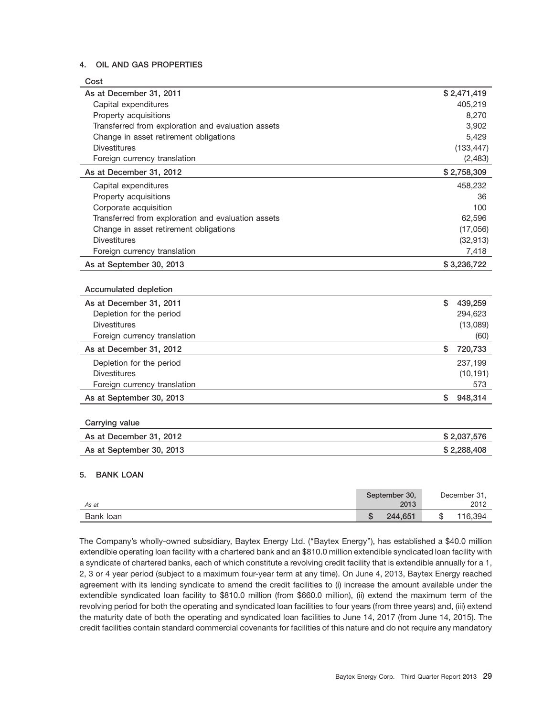## **4. OIL AND GAS PROPERTIES**

| \$2,471,419<br>As at December 31, 2011<br>Capital expenditures<br>405,219<br>Property acquisitions<br>8,270<br>Transferred from exploration and evaluation assets<br>3,902<br>Change in asset retirement obligations<br>5,429<br><b>Divestitures</b><br>(133, 447)<br>(2, 483)<br>Foreign currency translation<br>As at December 31, 2012<br>\$2,758,309<br>Capital expenditures<br>458,232<br>Property acquisitions<br>36<br>Corporate acquisition<br>100<br>Transferred from exploration and evaluation assets<br>62,596<br>Change in asset retirement obligations<br>(17,056)<br><b>Divestitures</b><br>(32, 913)<br>7,418<br>Foreign currency translation<br>As at September 30, 2013<br>\$3,236,722<br>Accumulated depletion<br>\$<br>As at December 31, 2011<br>439,259<br>294,623<br>Depletion for the period<br><b>Divestitures</b><br>(13,089)<br>Foreign currency translation<br>(60)<br>\$<br>As at December 31, 2012<br>720,733<br>Depletion for the period<br>237,199<br><b>Divestitures</b><br>(10, 191)<br>573<br>Foreign currency translation<br>\$<br>As at September 30, 2013<br>948,314<br>Carrying value<br>As at December 31, 2012<br>\$2,037,576<br>As at September 30, 2013<br>\$2,288,408 | Cost |  |
|-------------------------------------------------------------------------------------------------------------------------------------------------------------------------------------------------------------------------------------------------------------------------------------------------------------------------------------------------------------------------------------------------------------------------------------------------------------------------------------------------------------------------------------------------------------------------------------------------------------------------------------------------------------------------------------------------------------------------------------------------------------------------------------------------------------------------------------------------------------------------------------------------------------------------------------------------------------------------------------------------------------------------------------------------------------------------------------------------------------------------------------------------------------------------------------------------------------------|------|--|
|                                                                                                                                                                                                                                                                                                                                                                                                                                                                                                                                                                                                                                                                                                                                                                                                                                                                                                                                                                                                                                                                                                                                                                                                                   |      |  |
|                                                                                                                                                                                                                                                                                                                                                                                                                                                                                                                                                                                                                                                                                                                                                                                                                                                                                                                                                                                                                                                                                                                                                                                                                   |      |  |
|                                                                                                                                                                                                                                                                                                                                                                                                                                                                                                                                                                                                                                                                                                                                                                                                                                                                                                                                                                                                                                                                                                                                                                                                                   |      |  |
|                                                                                                                                                                                                                                                                                                                                                                                                                                                                                                                                                                                                                                                                                                                                                                                                                                                                                                                                                                                                                                                                                                                                                                                                                   |      |  |
|                                                                                                                                                                                                                                                                                                                                                                                                                                                                                                                                                                                                                                                                                                                                                                                                                                                                                                                                                                                                                                                                                                                                                                                                                   |      |  |
|                                                                                                                                                                                                                                                                                                                                                                                                                                                                                                                                                                                                                                                                                                                                                                                                                                                                                                                                                                                                                                                                                                                                                                                                                   |      |  |
|                                                                                                                                                                                                                                                                                                                                                                                                                                                                                                                                                                                                                                                                                                                                                                                                                                                                                                                                                                                                                                                                                                                                                                                                                   |      |  |
|                                                                                                                                                                                                                                                                                                                                                                                                                                                                                                                                                                                                                                                                                                                                                                                                                                                                                                                                                                                                                                                                                                                                                                                                                   |      |  |
|                                                                                                                                                                                                                                                                                                                                                                                                                                                                                                                                                                                                                                                                                                                                                                                                                                                                                                                                                                                                                                                                                                                                                                                                                   |      |  |
|                                                                                                                                                                                                                                                                                                                                                                                                                                                                                                                                                                                                                                                                                                                                                                                                                                                                                                                                                                                                                                                                                                                                                                                                                   |      |  |
|                                                                                                                                                                                                                                                                                                                                                                                                                                                                                                                                                                                                                                                                                                                                                                                                                                                                                                                                                                                                                                                                                                                                                                                                                   |      |  |
|                                                                                                                                                                                                                                                                                                                                                                                                                                                                                                                                                                                                                                                                                                                                                                                                                                                                                                                                                                                                                                                                                                                                                                                                                   |      |  |
|                                                                                                                                                                                                                                                                                                                                                                                                                                                                                                                                                                                                                                                                                                                                                                                                                                                                                                                                                                                                                                                                                                                                                                                                                   |      |  |
|                                                                                                                                                                                                                                                                                                                                                                                                                                                                                                                                                                                                                                                                                                                                                                                                                                                                                                                                                                                                                                                                                                                                                                                                                   |      |  |
|                                                                                                                                                                                                                                                                                                                                                                                                                                                                                                                                                                                                                                                                                                                                                                                                                                                                                                                                                                                                                                                                                                                                                                                                                   |      |  |
|                                                                                                                                                                                                                                                                                                                                                                                                                                                                                                                                                                                                                                                                                                                                                                                                                                                                                                                                                                                                                                                                                                                                                                                                                   |      |  |
|                                                                                                                                                                                                                                                                                                                                                                                                                                                                                                                                                                                                                                                                                                                                                                                                                                                                                                                                                                                                                                                                                                                                                                                                                   |      |  |
|                                                                                                                                                                                                                                                                                                                                                                                                                                                                                                                                                                                                                                                                                                                                                                                                                                                                                                                                                                                                                                                                                                                                                                                                                   |      |  |
|                                                                                                                                                                                                                                                                                                                                                                                                                                                                                                                                                                                                                                                                                                                                                                                                                                                                                                                                                                                                                                                                                                                                                                                                                   |      |  |
|                                                                                                                                                                                                                                                                                                                                                                                                                                                                                                                                                                                                                                                                                                                                                                                                                                                                                                                                                                                                                                                                                                                                                                                                                   |      |  |
|                                                                                                                                                                                                                                                                                                                                                                                                                                                                                                                                                                                                                                                                                                                                                                                                                                                                                                                                                                                                                                                                                                                                                                                                                   |      |  |
|                                                                                                                                                                                                                                                                                                                                                                                                                                                                                                                                                                                                                                                                                                                                                                                                                                                                                                                                                                                                                                                                                                                                                                                                                   |      |  |
|                                                                                                                                                                                                                                                                                                                                                                                                                                                                                                                                                                                                                                                                                                                                                                                                                                                                                                                                                                                                                                                                                                                                                                                                                   |      |  |
|                                                                                                                                                                                                                                                                                                                                                                                                                                                                                                                                                                                                                                                                                                                                                                                                                                                                                                                                                                                                                                                                                                                                                                                                                   |      |  |
|                                                                                                                                                                                                                                                                                                                                                                                                                                                                                                                                                                                                                                                                                                                                                                                                                                                                                                                                                                                                                                                                                                                                                                                                                   |      |  |
|                                                                                                                                                                                                                                                                                                                                                                                                                                                                                                                                                                                                                                                                                                                                                                                                                                                                                                                                                                                                                                                                                                                                                                                                                   |      |  |
|                                                                                                                                                                                                                                                                                                                                                                                                                                                                                                                                                                                                                                                                                                                                                                                                                                                                                                                                                                                                                                                                                                                                                                                                                   |      |  |
|                                                                                                                                                                                                                                                                                                                                                                                                                                                                                                                                                                                                                                                                                                                                                                                                                                                                                                                                                                                                                                                                                                                                                                                                                   |      |  |
|                                                                                                                                                                                                                                                                                                                                                                                                                                                                                                                                                                                                                                                                                                                                                                                                                                                                                                                                                                                                                                                                                                                                                                                                                   |      |  |
|                                                                                                                                                                                                                                                                                                                                                                                                                                                                                                                                                                                                                                                                                                                                                                                                                                                                                                                                                                                                                                                                                                                                                                                                                   |      |  |
|                                                                                                                                                                                                                                                                                                                                                                                                                                                                                                                                                                                                                                                                                                                                                                                                                                                                                                                                                                                                                                                                                                                                                                                                                   |      |  |

## **5. BANK LOAN**

| As at     | September 30,<br>2013 | December 31,<br>2012 |
|-----------|-----------------------|----------------------|
| Bank loan | 244,651               | 116,394<br>ง         |

The Company's wholly-owned subsidiary, Baytex Energy Ltd. (''Baytex Energy''), has established a \$40.0 million extendible operating loan facility with a chartered bank and an \$810.0 million extendible syndicated loan facility with a syndicate of chartered banks, each of which constitute a revolving credit facility that is extendible annually for a 1, 2, 3 or 4 year period (subject to a maximum four-year term at any time). On June 4, 2013, Baytex Energy reached agreement with its lending syndicate to amend the credit facilities to (i) increase the amount available under the extendible syndicated loan facility to \$810.0 million (from \$660.0 million), (ii) extend the maximum term of the revolving period for both the operating and syndicated loan facilities to four years (from three years) and, (iii) extend the maturity date of both the operating and syndicated loan facilities to June 14, 2017 (from June 14, 2015). The credit facilities contain standard commercial covenants for facilities of this nature and do not require any mandatory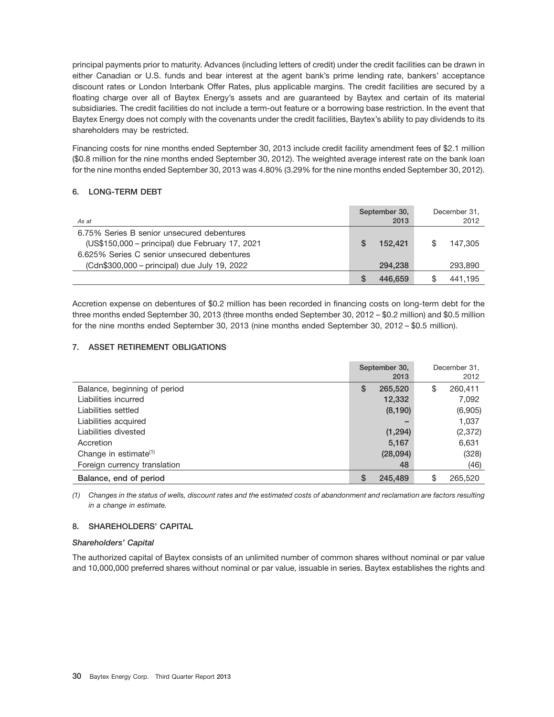principal payments prior to maturity. Advances (including letters of credit) under the credit facilities can be drawn in either Canadian or U.S. funds and bear interest at the agent bank's prime lending rate, bankers' acceptance discount rates or London Interbank Offer Rates, plus applicable margins. The credit facilities are secured by a floating charge over all of Baytex Energy's assets and are guaranteed by Baytex and certain of its material subsidiaries. The credit facilities do not include a term-out feature or a borrowing base restriction. In the event that Baytex Energy does not comply with the covenants under the credit facilities, Baytex's ability to pay dividends to its shareholders may be restricted.

Financing costs for nine months ended September 30, 2013 include credit facility amendment fees of \$2.1 million (\$0.8 million for the nine months ended September 30, 2012). The weighted average interest rate on the bank loan for the nine months ended September 30, 2013 was 4.80% (3.29% for the nine months ended September 30, 2012).

## **6. LONG-TERM DEBT**

| As at                                                                                                                                        | September 30,<br>2013 | December 31,<br>2012 |
|----------------------------------------------------------------------------------------------------------------------------------------------|-----------------------|----------------------|
| 6.75% Series B senior unsecured debentures<br>(US\$150,000 – principal) due February 17, 2021<br>6.625% Series C senior unsecured debentures | 152.421               | 147.305              |
| (Cdn\$300,000 - principal) due July 19, 2022                                                                                                 | 294.238               | 293,890              |
|                                                                                                                                              | 446,659               | 441.195              |

Accretion expense on debentures of \$0.2 million has been recorded in financing costs on long-term debt for the three months ended September 30, 2013 (three months ended September 30, 2012 – \$0.2 million) and \$0.5 million for the nine months ended September 30, 2013 (nine months ended September 30, 2012 – \$0.5 million).

## **7. ASSET RETIREMENT OBLIGATIONS**

|                              |   | September 30,<br>2013 | December 31.<br>2012 |
|------------------------------|---|-----------------------|----------------------|
| Balance, beginning of period | S | 265,520               | \$<br>260,411        |
| Liabilities incurred         |   | 12,332                | 7,092                |
| Liabilities settled          |   | (8, 190)              | (6,905)              |
| Liabilities acquired         |   |                       | 1,037                |
| Liabilities divested         |   | (1, 294)              | (2, 372)             |
| Accretion                    |   | 5,167                 | 6,631                |
| Change in estimate $(1)$     |   | (28,094)              | (328)                |
| Foreign currency translation |   | 48                    | (46)                 |
| Balance, end of period       | S | 245.489               | \$<br>265,520        |

*(1) Changes in the status of wells, discount rates and the estimated costs of abandonment and reclamation are factors resulting in a change in estimate.*

## **8. SHAREHOLDERS' CAPITAL**

## *Shareholders' Capital*

The authorized capital of Baytex consists of an unlimited number of common shares without nominal or par value and 10,000,000 preferred shares without nominal or par value, issuable in series. Baytex establishes the rights and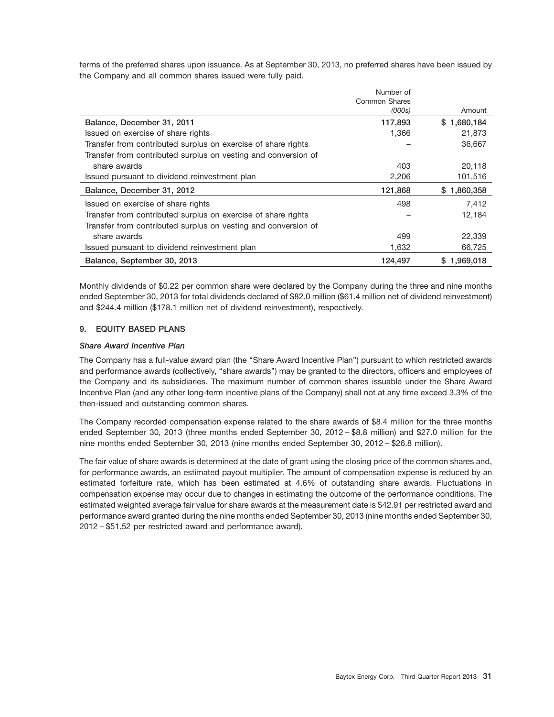terms of the preferred shares upon issuance. As at September 30, 2013, no preferred shares have been issued by the Company and all common shares issued were fully paid.

|                                                                | Number of            |             |
|----------------------------------------------------------------|----------------------|-------------|
|                                                                | <b>Common Shares</b> |             |
|                                                                | (000s)               | Amount      |
| Balance, December 31, 2011                                     | 117,893              | \$1,680,184 |
| Issued on exercise of share rights                             | 1,366                | 21,873      |
| Transfer from contributed surplus on exercise of share rights  |                      | 36,667      |
| Transfer from contributed surplus on vesting and conversion of |                      |             |
| share awards                                                   | 403                  | 20,118      |
| Issued pursuant to dividend reinvestment plan                  | 2,206                | 101,516     |
| Balance, December 31, 2012                                     | 121,868              | \$1,860,358 |
| Issued on exercise of share rights                             | 498                  | 7,412       |
| Transfer from contributed surplus on exercise of share rights  |                      | 12,184      |
| Transfer from contributed surplus on vesting and conversion of |                      |             |
| share awards                                                   | 499                  | 22,339      |
| Issued pursuant to dividend reinvestment plan                  | 1,632                | 66,725      |
| Balance, September 30, 2013                                    | 124,497              | \$1.969.018 |

Monthly dividends of \$0.22 per common share were declared by the Company during the three and nine months ended September 30, 2013 for total dividends declared of \$82.0 million (\$61.4 million net of dividend reinvestment) and \$244.4 million (\$178.1 million net of dividend reinvestment), respectively.

## **9. EQUITY BASED PLANS**

## *Share Award Incentive Plan*

The Company has a full-value award plan (the ''Share Award Incentive Plan'') pursuant to which restricted awards and performance awards (collectively, ''share awards'') may be granted to the directors, officers and employees of the Company and its subsidiaries. The maximum number of common shares issuable under the Share Award Incentive Plan (and any other long-term incentive plans of the Company) shall not at any time exceed 3.3% of the then-issued and outstanding common shares.

The Company recorded compensation expense related to the share awards of \$8.4 million for the three months ended September 30, 2013 (three months ended September 30, 2012 – \$8.8 million) and \$27.0 million for the nine months ended September 30, 2013 (nine months ended September 30, 2012 – \$26.8 million).

The fair value of share awards is determined at the date of grant using the closing price of the common shares and, for performance awards, an estimated payout multiplier. The amount of compensation expense is reduced by an estimated forfeiture rate, which has been estimated at 4.6% of outstanding share awards. Fluctuations in compensation expense may occur due to changes in estimating the outcome of the performance conditions. The estimated weighted average fair value for share awards at the measurement date is \$42.91 per restricted award and performance award granted during the nine months ended September 30, 2013 (nine months ended September 30, 2012 – \$51.52 per restricted award and performance award).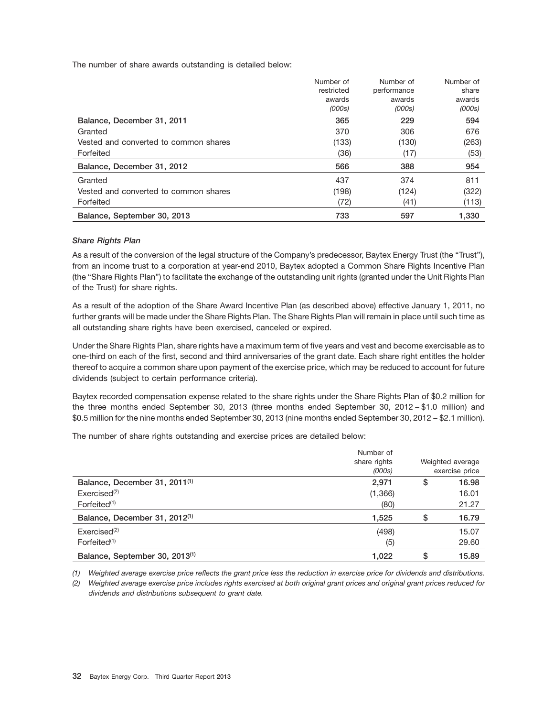The number of share awards outstanding is detailed below:

|                                       | Number of  | Number of   | Number of |
|---------------------------------------|------------|-------------|-----------|
|                                       | restricted | performance | share     |
|                                       | awards     | awards      | awards    |
|                                       | (000s)     | (000s)      | (000s)    |
| Balance, December 31, 2011            | 365        | 229         | 594       |
| Granted                               | 370        | 306         | 676       |
| Vested and converted to common shares | (133)      | (130)       | (263)     |
| Forfeited                             | (36)       | (17)        | (53)      |
| Balance, December 31, 2012            | 566        | 388         | 954       |
| Granted                               | 437        | 374         | 811       |
| Vested and converted to common shares | (198)      | (124)       | (322)     |
| Forfeited                             | (72)       | (41)        | (113)     |
| Balance, September 30, 2013           | 733        | 597         | 1.330     |

## *Share Rights Plan*

As a result of the conversion of the legal structure of the Company's predecessor, Baytex Energy Trust (the "Trust"), from an income trust to a corporation at year-end 2010, Baytex adopted a Common Share Rights Incentive Plan (the ''Share Rights Plan'') to facilitate the exchange of the outstanding unit rights (granted under the Unit Rights Plan of the Trust) for share rights.

As a result of the adoption of the Share Award Incentive Plan (as described above) effective January 1, 2011, no further grants will be made under the Share Rights Plan. The Share Rights Plan will remain in place until such time as all outstanding share rights have been exercised, canceled or expired.

Under the Share Rights Plan, share rights have a maximum term of five years and vest and become exercisable as to one-third on each of the first, second and third anniversaries of the grant date. Each share right entitles the holder thereof to acquire a common share upon payment of the exercise price, which may be reduced to account for future dividends (subject to certain performance criteria).

Baytex recorded compensation expense related to the share rights under the Share Rights Plan of \$0.2 million for the three months ended September 30, 2013 (three months ended September 30, 2012 – \$1.0 million) and \$0.5 million for the nine months ended September 30, 2013 (nine months ended September 30, 2012 – \$2.1 million).

The number of share rights outstanding and exercise prices are detailed below:

|                                            | Number of<br>share rights<br>(000s) | Weighted average<br>exercise price |
|--------------------------------------------|-------------------------------------|------------------------------------|
| Balance, December 31, 2011 <sup>(1)</sup>  | 2,971                               | \$<br>16.98                        |
| Exercise d <sup>(2)</sup>                  | (1,366)                             | 16.01                              |
| Forfeited <sup>(1)</sup>                   | (80)                                | 21.27                              |
| Balance, December 31, 2012 <sup>(1)</sup>  | 1,525                               | \$<br>16.79                        |
| Exercise d <sup>(2)</sup>                  | (498)                               | 15.07                              |
| Forfeited <sup>(1)</sup>                   | (5)                                 | 29.60                              |
| Balance, September 30, 2013 <sup>(1)</sup> | 1,022                               | \$<br>15.89                        |

*(1) Weighted average exercise price reflects the grant price less the reduction in exercise price for dividends and distributions.*

*(2) Weighted average exercise price includes rights exercised at both original grant prices and original grant prices reduced for dividends and distributions subsequent to grant date.*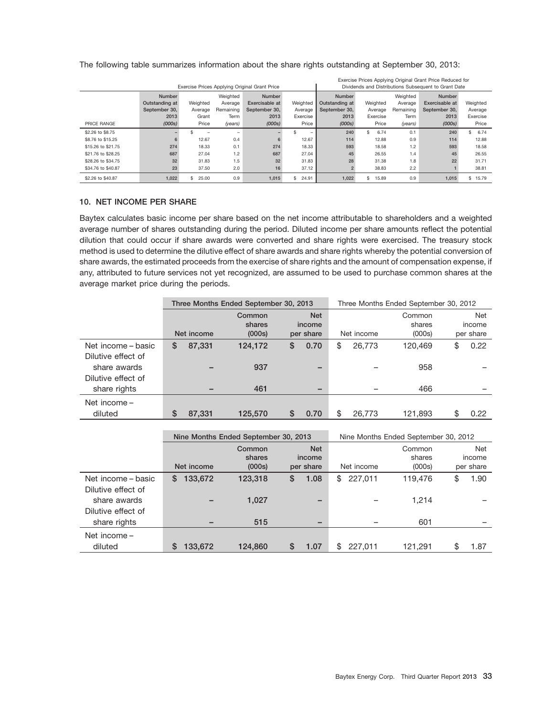| Exercise Prices Applying Original Grant Price Reduced for |                |             |           |                                               |             |                |             |           |                                                      |            |
|-----------------------------------------------------------|----------------|-------------|-----------|-----------------------------------------------|-------------|----------------|-------------|-----------|------------------------------------------------------|------------|
|                                                           |                |             |           | Exercise Prices Applying Original Grant Price |             |                |             |           | Dividends and Distributions Subsequent to Grant Date |            |
|                                                           | <b>Number</b>  |             | Weighted  | <b>Number</b>                                 |             | <b>Number</b>  |             | Weighted  | <b>Number</b>                                        |            |
|                                                           | Outstanding at | Weighted    | Average   | Exercisable at                                | Weighted    | Outstanding at | Weighted    | Average   | Exercisable at                                       | Weighted   |
|                                                           | September 30.  | Average     | Remaining | September 30.                                 | Average     | September 30.  | Average     | Remaining | September 30.                                        | Average    |
|                                                           | 2013           | Grant       | Term      | 2013                                          | Exercise    | 2013           | Exercise    | Term      | 2013                                                 | Exercise   |
| PRICE RANGE                                               | (000s)         | Price       | (years)   | (000s)                                        | Price       | (000s)         | Price       | (years)   | (000s)                                               | Price      |
| \$2,26 to \$8.75                                          |                |             |           |                                               |             | 240            | 6.74<br>\$  | 0.1       | 240                                                  | 6.74<br>\$ |
| \$8.76 to \$15.25                                         | 6              | 12.67       | 0.4       | 6                                             | 12.67       | 114            | 12.88       | 0.9       | 114                                                  | 12.88      |
| \$15,26 to \$21,75                                        | 274            | 18.33       | 0.1       | 274                                           | 18.33       | 593            | 18.58       | 1.2       | 593                                                  | 18.58      |
| \$21,76 to \$28,25                                        | 687            | 27.04       | 1.2       | 687                                           | 27.04       | 45             | 26.55       | 1.4       | 45                                                   | 26.55      |
| \$28,26 to \$34,75                                        | 32             | 31.83       | 1.5       | 32                                            | 31.83       | 28             | 31.38       | 1.8       | 22                                                   | 31.71      |
| \$34,76 to \$40.87                                        | 23             | 37.50       | 2.0       | 16                                            | 37.12       |                | 38.83       | 2.2       |                                                      | 38.81      |
| \$2.26 to \$40.87                                         | 1.022          | \$<br>25.00 | 0.9       | 1.015                                         | 24.91<br>\$ | 1.022          | \$<br>15.89 | 0.9       | 1.015                                                | \$15.79    |

The following table summarizes information about the share rights outstanding at September 30, 2013:

## **10. NET INCOME PER SHARE**

Baytex calculates basic income per share based on the net income attributable to shareholders and a weighted average number of shares outstanding during the period. Diluted income per share amounts reflect the potential dilution that could occur if share awards were converted and share rights were exercised. The treasury stock method is used to determine the dilutive effect of share awards and share rights whereby the potential conversion of share awards, the estimated proceeds from the exercise of share rights and the amount of compensation expense, if any, attributed to future services not yet recognized, are assumed to be used to purchase common shares at the average market price during the periods.

|                    | Three Months Ended September 30, 2013 |        |                            |    |                                   |            |        | Three Months Ended September 30, 2012 |                            |
|--------------------|---------------------------------------|--------|----------------------------|----|-----------------------------------|------------|--------|---------------------------------------|----------------------------|
|                    | Net income                            |        | Common<br>shares<br>(000s) |    | <b>Net</b><br>income<br>per share | Net income |        | Common<br>shares<br>(000s)            | Net<br>income<br>per share |
| Net income – basic | S                                     | 87,331 | 124,172                    | \$ | 0.70                              | \$         | 26,773 | 120.469                               | \$<br>0.22                 |
| Dilutive effect of |                                       |        |                            |    |                                   |            |        |                                       |                            |
| share awards       |                                       |        | 937                        |    | -                                 |            |        | 958                                   |                            |
| Dilutive effect of |                                       |        |                            |    |                                   |            |        |                                       |                            |
| share rights       |                                       |        | 461                        |    | $\overline{\phantom{a}}$          |            |        | 466                                   |                            |
| Net income -       |                                       |        |                            |    |                                   |            |        |                                       |                            |
| diluted            | \$.                                   | 87,331 | 125,570                    | S  | 0.70                              |            | 26,773 | 121,893                               | \$<br>0.22                 |

|                    |                                          | Nine Months Ended September 30, 2013 |                                   |               | Nine Months Ended September 30, 2012 |                                   |
|--------------------|------------------------------------------|--------------------------------------|-----------------------------------|---------------|--------------------------------------|-----------------------------------|
|                    | Common<br>shares<br>Net income<br>(000s) |                                      | <b>Net</b><br>income<br>per share | Net income    | Common<br>shares<br>(000s)           | <b>Net</b><br>income<br>per share |
| Net income – basic | 133,672<br>S                             | 123,318                              | S<br>1.08                         | 227,011<br>\$ | 119.476                              | \$<br>1.90                        |
| Dilutive effect of |                                          |                                      |                                   |               |                                      |                                   |
| share awards       |                                          | 1,027                                | -                                 |               | 1,214                                |                                   |
| Dilutive effect of |                                          | 515                                  |                                   |               |                                      |                                   |
| share rights       |                                          |                                      | -                                 |               | 601                                  |                                   |
| Net income -       |                                          |                                      |                                   |               |                                      |                                   |
| diluted            | 133,672                                  | 124.860                              | \$<br>1.07                        | 227.011<br>\$ | 121.291                              | \$<br>1.87                        |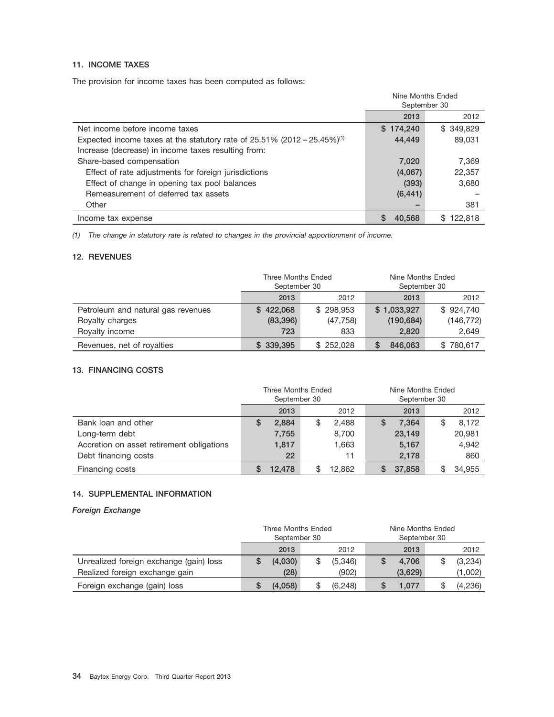## **11. INCOME TAXES**

The provision for income taxes has been computed as follows:

|                                                                                         | Nine Months Ended<br>September 30 |                |
|-----------------------------------------------------------------------------------------|-----------------------------------|----------------|
|                                                                                         | 2013                              | 2012           |
| Net income before income taxes                                                          | \$174,240                         | \$349,829      |
| Expected income taxes at the statutory rate of $25.51\%$ (2012 - 25.45%) <sup>(1)</sup> | 44,449                            | 89,031         |
| Increase (decrease) in income taxes resulting from:                                     |                                   |                |
| Share-based compensation                                                                | 7,020                             | 7,369          |
| Effect of rate adjustments for foreign jurisdictions                                    | (4,067)                           | 22,357         |
| Effect of change in opening tax pool balances                                           | (393)                             | 3,680          |
| Remeasurement of deferred tax assets                                                    | (6, 441)                          |                |
| Other                                                                                   |                                   | 381            |
| Income tax expense                                                                      | 40.568                            | 122.818<br>SS. |

*(1) The change in statutory rate is related to changes in the provincial apportionment of income.*

## **12. REVENUES**

|                                    | Three Months Ended<br>September 30 |           | Nine Months Ended<br>September 30 |                |  |
|------------------------------------|------------------------------------|-----------|-----------------------------------|----------------|--|
|                                    | 2013                               | 2012      | 2013                              | 2012           |  |
| Petroleum and natural gas revenues | \$422,068                          | \$298,953 | \$1,033,927                       | \$924,740      |  |
| Royalty charges                    | (83, 396)                          | (47, 758) | (190, 684)                        | (146, 772)     |  |
| Royalty income                     | 723                                | 833       | 2,820                             | 2,649          |  |
| Revenues, net of royalties         | \$339,395                          | \$252.028 | 846,063                           | 780,617<br>SS. |  |

## **13. FINANCING COSTS**

|                                           | Three Months Ended<br>September 30 |        |    | Nine Months Ended<br>September 30 |   |        |  |        |
|-------------------------------------------|------------------------------------|--------|----|-----------------------------------|---|--------|--|--------|
|                                           |                                    | 2013   |    | 2012                              |   | 2013   |  | 2012   |
| Bank loan and other                       | S                                  | 2.884  | \$ | 2,488                             | S | 7,364  |  | 8,172  |
| Long-term debt                            |                                    | 7,755  |    | 8,700                             |   | 23,149 |  | 20,981 |
| Accretion on asset retirement obligations |                                    | 1,817  |    | 1,663                             |   | 5,167  |  | 4,942  |
| Debt financing costs                      |                                    | 22     |    | 11                                |   | 2,178  |  | 860    |
| Financing costs                           |                                    | 12,478 |    | 12.862                            |   | 37,858 |  | 34.955 |

## **14. SUPPLEMENTAL INFORMATION**

## *Foreign Exchange*

|                                         | Three Months Ended<br>September 30 |         |    | Nine Months Ended<br>September 30 |  |         |  |         |
|-----------------------------------------|------------------------------------|---------|----|-----------------------------------|--|---------|--|---------|
|                                         |                                    | 2013    |    | 2012                              |  | 2013    |  | 2012    |
| Unrealized foreign exchange (gain) loss |                                    | (4,030) | \$ | (5,346)                           |  | 4.706   |  | (3,234) |
| Realized foreign exchange gain          |                                    | (28)    |    | (902)                             |  | (3,629) |  | (1,002) |
| Foreign exchange (gain) loss            |                                    | (4,058) | S  | (6, 248)                          |  | 1.077   |  | (4,236) |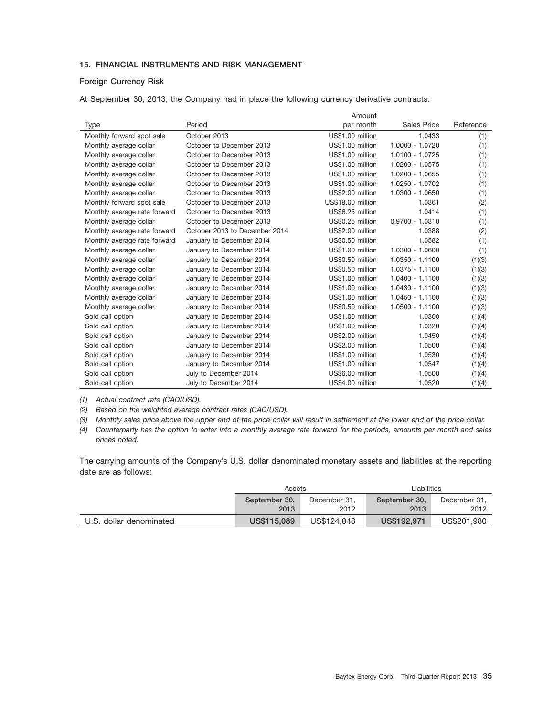## **15. FINANCIAL INSTRUMENTS AND RISK MANAGEMENT**

### **Foreign Currency Risk**

At September 30, 2013, the Company had in place the following currency derivative contracts:

|                                           | Amount                                            |                    |           |
|-------------------------------------------|---------------------------------------------------|--------------------|-----------|
| Period<br>Type                            | per month                                         | <b>Sales Price</b> | Reference |
| October 2013<br>Monthly forward spot sale | US\$1.00 million                                  | 1.0433             | (1)       |
| Monthly average collar                    | October to December 2013<br>US\$1.00 million      | $1.0000 - 1.0720$  | (1)       |
| Monthly average collar                    | October to December 2013<br>US\$1.00 million      | 1.0100 - 1.0725    | (1)       |
| Monthly average collar                    | US\$1.00 million<br>October to December 2013      | 1.0200 - 1.0575    | (1)       |
| Monthly average collar                    | US\$1.00 million<br>October to December 2013      | 1.0200 - 1.0655    | (1)       |
| Monthly average collar                    | October to December 2013<br>US\$1.00 million      | 1.0250 - 1.0702    | (1)       |
| Monthly average collar                    | US\$2.00 million<br>October to December 2013      | 1.0300 - 1.0650    | (1)       |
| Monthly forward spot sale                 | October to December 2013<br>US\$19.00 million     | 1.0361             | (2)       |
| Monthly average rate forward              | October to December 2013<br>US\$6.25 million      | 1.0414             | (1)       |
| Monthly average collar                    | US\$0.25 million<br>October to December 2013      | $0.9700 - 1.0310$  | (1)       |
| Monthly average rate forward              | October 2013 to December 2014<br>US\$2.00 million | 1.0388             | (2)       |
| Monthly average rate forward              | US\$0.50 million<br>January to December 2014      | 1.0582             | (1)       |
| Monthly average collar                    | US\$1.00 million<br>January to December 2014      | 1.0300 - 1.0600    | (1)       |
| Monthly average collar                    | US\$0.50 million<br>January to December 2014      | $1.0350 - 1.1100$  | (1)(3)    |
| Monthly average collar                    | US\$0.50 million<br>January to December 2014      | 1.0375 - 1.1100    | (1)(3)    |
| Monthly average collar                    | US\$1.00 million<br>January to December 2014      | $1.0400 - 1.1100$  | (1)(3)    |
| Monthly average collar                    | January to December 2014<br>US\$1.00 million      | 1.0430 - 1.1100    | (1)(3)    |
| Monthly average collar                    | US\$1.00 million<br>January to December 2014      | $1.0450 - 1.1100$  | (1)(3)    |
| Monthly average collar                    | US\$0.50 million<br>January to December 2014      | 1.0500 - 1.1100    | (1)(3)    |
| Sold call option                          | January to December 2014<br>US\$1.00 million      | 1.0300             | (1)(4)    |
| Sold call option                          | US\$1.00 million<br>January to December 2014      | 1.0320             | (1)(4)    |
| Sold call option                          | US\$2.00 million<br>January to December 2014      | 1.0450             | (1)(4)    |
| Sold call option                          | US\$2.00 million<br>January to December 2014      | 1.0500             | (1)(4)    |
| Sold call option                          | January to December 2014<br>US\$1.00 million      | 1.0530             | (1)(4)    |
| Sold call option                          | US\$1.00 million<br>January to December 2014      | 1.0547             | (1)(4)    |
| Sold call option<br>July to December 2014 | US\$6.00 million                                  | 1.0500             | (1)(4)    |
| Sold call option<br>July to December 2014 | US\$4.00 million                                  | 1.0520             | (1)(4)    |

*(1) Actual contract rate (CAD/USD).*

*(2) Based on the weighted average contract rates (CAD/USD).*

*(3) Monthly sales price above the upper end of the price collar will result in settlement at the lower end of the price collar.*

*(4) Counterparty has the option to enter into a monthly average rate forward for the periods, amounts per month and sales prices noted.*

The carrying amounts of the Company's U.S. dollar denominated monetary assets and liabilities at the reporting date are as follows:

|                         | Assets                        |             | Liabilities   |              |  |
|-------------------------|-------------------------------|-------------|---------------|--------------|--|
|                         | September 30,<br>December 31, |             | September 30, | December 31, |  |
|                         | 2013                          | 2012        | 2013          | 2012         |  |
| U.S. dollar denominated | US\$115,089                   | US\$124,048 | US\$192,971   | US\$201.980  |  |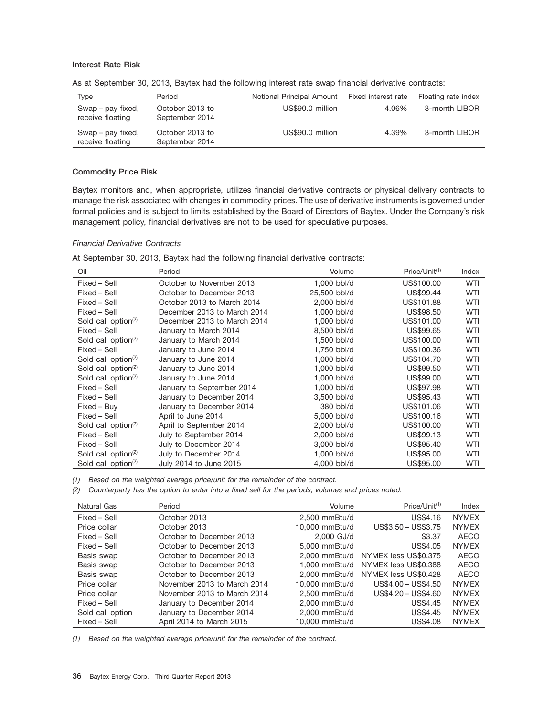## **Interest Rate Risk**

| Type                                  | Period                            | Notional Principal Amount | Fixed interest rate | Floating rate index |
|---------------------------------------|-----------------------------------|---------------------------|---------------------|---------------------|
| Swap – pay fixed,<br>receive floating | October 2013 to<br>September 2014 | US\$90.0 million          | 4.06%               | 3-month LIBOR       |
| Swap – pay fixed,<br>receive floating | October 2013 to<br>September 2014 | US\$90.0 million          | 4.39%               | 3-month LIBOR       |

As at September 30, 2013, Baytex had the following interest rate swap financial derivative contracts:

## **Commodity Price Risk**

Baytex monitors and, when appropriate, utilizes financial derivative contracts or physical delivery contracts to manage the risk associated with changes in commodity prices. The use of derivative instruments is governed under formal policies and is subject to limits established by the Board of Directors of Baytex. Under the Company's risk management policy, financial derivatives are not to be used for speculative purposes.

### *Financial Derivative Contracts*

At September 30, 2013, Baytex had the following financial derivative contracts:

| Oil                             | Period                      | Volume       | Price/Unit <sup>(1)</sup> | Index      |
|---------------------------------|-----------------------------|--------------|---------------------------|------------|
| Fixed - Sell                    | October to November 2013    | 1,000 bbl/d  | US\$100.00                | <b>WTI</b> |
| Fixed – Sell                    | October to December 2013    | 25,500 bbl/d | US\$99.44                 | <b>WTI</b> |
| Fixed – Sell                    | October 2013 to March 2014  | 2,000 bbl/d  | US\$101.88                | <b>WTI</b> |
| Fixed – Sell                    | December 2013 to March 2014 | 1,000 bbl/d  | US\$98.50                 | <b>WTI</b> |
| Sold call option <sup>(2)</sup> | December 2013 to March 2014 | 1,000 bbl/d  | US\$101.00                | <b>WTI</b> |
| Fixed - Sell                    | January to March 2014       | 8,500 bbl/d  | US\$99.65                 | <b>WTI</b> |
| Sold call option <sup>(2)</sup> | January to March 2014       | 1,500 bbl/d  | US\$100.00                | WTI        |
| Fixed – Sell                    | January to June 2014        | 1,750 bbl/d  | US\$100.36                | <b>WTI</b> |
| Sold call option <sup>(2)</sup> | January to June 2014        | 1,000 bbl/d  | US\$104.70                | <b>WTI</b> |
| Sold call option <sup>(2)</sup> | January to June 2014        | 1.000 bbl/d  | US\$99.50                 | <b>WTI</b> |
| Sold call option <sup>(2)</sup> | January to June 2014        | 1,000 bbl/d  | US\$99.00                 | <b>WTI</b> |
| Fixed – Sell                    | January to September 2014   | 1,000 bbl/d  | US\$97.98                 | <b>WTI</b> |
| Fixed – Sell                    | January to December 2014    | 3.500 bbl/d  | US\$95.43                 | <b>WTI</b> |
| Fixed – Buy                     | January to December 2014    | 380 bbl/d    | US\$101.06                | <b>WTI</b> |
| Fixed – Sell                    | April to June 2014          | 5,000 bbl/d  | US\$100.16                | <b>WTI</b> |
| Sold call option <sup>(2)</sup> | April to September 2014     | 2,000 bbl/d  | US\$100.00                | <b>WTI</b> |
| Fixed – Sell                    | July to September 2014      | 2,000 bbl/d  | US\$99.13                 | <b>WTI</b> |
| Fixed – Sell                    | July to December 2014       | 3,000 bbl/d  | US\$95.40                 | WTI        |
| Sold call option <sup>(2)</sup> | July to December 2014       | 1,000 bbl/d  | US\$95.00                 | <b>WTI</b> |
| Sold call option <sup>(2)</sup> | July 2014 to June 2015      | 4,000 bbl/d  | US\$95.00                 | <b>WTI</b> |

*(1) Based on the weighted average price/unit for the remainder of the contract.*

*(2) Counterparty has the option to enter into a fixed sell for the periods, volumes and prices noted.*

| Natural Gas      | Period                      | Volume          | $Price/Unit^{(1)}$   | Index        |
|------------------|-----------------------------|-----------------|----------------------|--------------|
| Fixed – Sell     | October 2013                | 2.500 mmBtu/d   | US\$4.16             | <b>NYMEX</b> |
| Price collar     | October 2013                | 10,000 mmBtu/d  | US\$3.50 - US\$3.75  | <b>NYMEX</b> |
| Fixed - Sell     | October to December 2013    | 2,000 GJ/d      | \$3.37               | AECO         |
| Fixed - Sell     | October to December 2013    | 5.000 mmBtu/d   | US\$4.05             | <b>NYMEX</b> |
| Basis swap       | October to December 2013    | 2.000 mmBtu/d   | NYMEX less US\$0.375 | AECO         |
| Basis swap       | October to December 2013    | 1.000 mmBtu/d   | NYMEX less US\$0.388 | AECO         |
| Basis swap       | October to December 2013    | $2.000$ mmBtu/d | NYMEX less US\$0.428 | AECO         |
| Price collar     | November 2013 to March 2014 | 10,000 mmBtu/d  | $US$4.00 - US$4.50$  | <b>NYMEX</b> |
| Price collar     | November 2013 to March 2014 | 2.500 mmBtu/d   | US\$4.20 - US\$4.60  | <b>NYMEX</b> |
| Fixed – Sell     | January to December 2014    | 2.000 mmBtu/d   | US\$4.45             | <b>NYMEX</b> |
| Sold call option | January to December 2014    | 2.000 mmBtu/d   | US\$4.45             | <b>NYMEX</b> |
| Fixed - Sell     | April 2014 to March 2015    | 10.000 mmBtu/d  | US\$4.08             | <b>NYMEX</b> |

*(1) Based on the weighted average price/unit for the remainder of the contract.*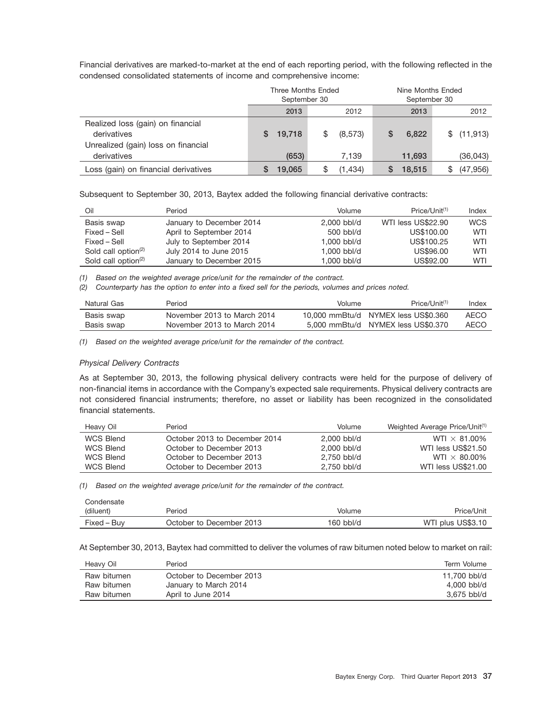Financial derivatives are marked-to-market at the end of each reporting period, with the following reflected in the condensed consolidated statements of income and comprehensive income:

|                                                                                         | Three Months Ended<br>September 30 |        |    | Nine Months Ended<br>September 30 |  |        |  |            |
|-----------------------------------------------------------------------------------------|------------------------------------|--------|----|-----------------------------------|--|--------|--|------------|
|                                                                                         |                                    | 2013   |    | 2012                              |  | 2013   |  | 2012       |
| Realized loss (gain) on financial<br>derivatives<br>Unrealized (gain) loss on financial | S                                  | 19,718 | \$ | (8,573)                           |  | 6,822  |  | \$(11,913) |
| derivatives                                                                             |                                    | (653)  |    | 7.139                             |  | 11,693 |  | (36,043)   |
| Loss (gain) on financial derivatives                                                    |                                    | 19,065 | S  | (1,434)                           |  | 18,515 |  | (47, 956)  |

Subsequent to September 30, 2013, Baytex added the following financial derivative contracts:

| Oil                                          | Period                   | Volume      | Price/Unit <sup>(1)</sup> | Index      |
|----------------------------------------------|--------------------------|-------------|---------------------------|------------|
| Basis swap                                   | January to December 2014 | 2,000 bbl/d | WTI less US\$22.90        | <b>WCS</b> |
| Fixed – Sell                                 | April to September 2014  | 500 bbl/d   | US\$100,00                | <b>WTI</b> |
| Fixed – Sell                                 | July to September 2014   | 1.000 bbl/d | US\$100.25                | WTI        |
| Sold call option <sup><math>(2)</math></sup> | July 2014 to June 2015   | 1.000 bbl/d | US\$96.00                 | WTI        |
| Sold call option <sup><math>(2)</math></sup> | January to December 2015 | 1.000 bbl/d | US\$92.00                 | WTI        |

*(1) Based on the weighted average price/unit for the remainder of the contract.*

*(2) Counterparty has the option to enter into a fixed sell for the periods, volumes and prices noted.*

| Natural Gas | Period                      | Volume | Price/Unit <sup>(1)</sup>           | Index |
|-------------|-----------------------------|--------|-------------------------------------|-------|
| Basis swap  | November 2013 to March 2014 |        | 10.000 mmBtu/d NYMEX less US\$0.360 | AECO  |
| Basis swap  | November 2013 to March 2014 |        | 5,000 mmBtu/d NYMEX less US\$0.370  | AECO  |

*(1) Based on the weighted average price/unit for the remainder of the contract.*

### *Physical Delivery Contracts*

As at September 30, 2013, the following physical delivery contracts were held for the purpose of delivery of non-financial items in accordance with the Company's expected sale requirements. Physical delivery contracts are not considered financial instruments; therefore, no asset or liability has been recognized in the consolidated financial statements.

| Heavy Oil        | Period                        | Volume      | Weighted Average Price/Unit <sup>(1)</sup> |
|------------------|-------------------------------|-------------|--------------------------------------------|
| <b>WCS Blend</b> | October 2013 to December 2014 | 2.000 bbl/d | WTI $\times$ 81.00%                        |
| WCS Blend        | October to December 2013      | 2.000 bbl/d | WTI less US\$21.50                         |
| <b>WCS Blend</b> | October to December 2013      | 2.750 bbl/d | WTI $\times$ 80.00%                        |
| <b>WCS Blend</b> | October to December 2013      | 2.750 bbl/d | WTI less US\$21.00                         |

*(1) Based on the weighted average price/unit for the remainder of the contract.*

| Condensate  |                          |             |                   |
|-------------|--------------------------|-------------|-------------------|
| (diluent)   | Period                   | Volume      | Price/Unit        |
| Fixed - Buv | October to December 2013 | $160$ bbl/d | WTI plus US\$3.10 |

At September 30, 2013, Baytex had committed to deliver the volumes of raw bitumen noted below to market on rail:

| Heavy Oil   | Period                   | Term Volume  |
|-------------|--------------------------|--------------|
| Raw bitumen | October to December 2013 | 11.700 bbl/d |
| Raw bitumen | January to March 2014    | 4,000 bbl/d  |
| Raw bitumen | April to June 2014       | 3.675 bbl/d  |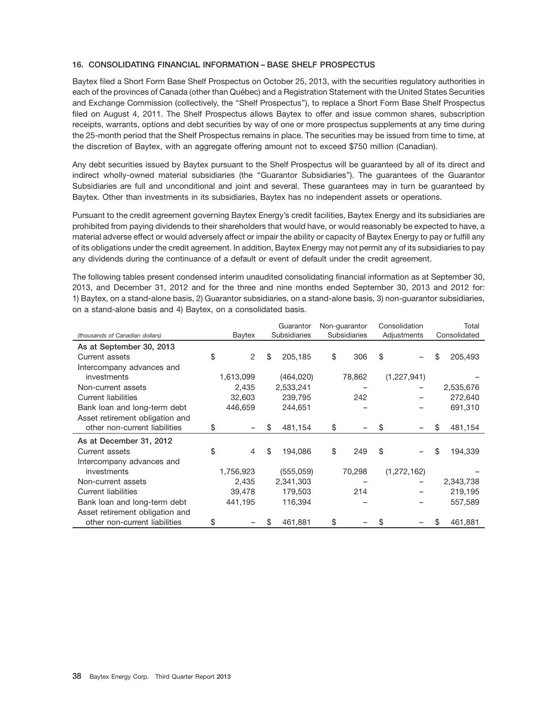## **16. CONSOLIDATING FINANCIAL INFORMATION – BASE SHELF PROSPECTUS**

Baytex filed a Short Form Base Shelf Prospectus on October 25, 2013, with the securities regulatory authorities in each of the provinces of Canada (other than Québec) and a Registration Statement with the United States Securities and Exchange Commission (collectively, the ''Shelf Prospectus''), to replace a Short Form Base Shelf Prospectus filed on August 4, 2011. The Shelf Prospectus allows Baytex to offer and issue common shares, subscription receipts, warrants, options and debt securities by way of one or more prospectus supplements at any time during the 25-month period that the Shelf Prospectus remains in place. The securities may be issued from time to time, at the discretion of Baytex, with an aggregate offering amount not to exceed \$750 million (Canadian).

Any debt securities issued by Baytex pursuant to the Shelf Prospectus will be guaranteed by all of its direct and indirect wholly-owned material subsidiaries (the "Guarantor Subsidiaries"). The guarantees of the Guarantor Subsidiaries are full and unconditional and joint and several. These guarantees may in turn be guaranteed by Baytex. Other than investments in its subsidiaries, Baytex has no independent assets or operations.

Pursuant to the credit agreement governing Baytex Energy's credit facilities, Baytex Energy and its subsidiaries are prohibited from paying dividends to their shareholders that would have, or would reasonably be expected to have, a material adverse effect or would adversely affect or impair the ability or capacity of Baytex Energy to pay or fulfill any of its obligations under the credit agreement. In addition, Baytex Energy may not permit any of its subsidiaries to pay any dividends during the continuance of a default or event of default under the credit agreement.

The following tables present condensed interim unaudited consolidating financial information as at September 30, 2013, and December 31, 2012 and for the three and nine months ended September 30, 2013 and 2012 for: 1) Baytex, on a stand-alone basis, 2) Guarantor subsidiaries, on a stand-alone basis, 3) non-guarantor subsidiaries, on a stand-alone basis and 4) Baytex, on a consolidated basis.

|                                 |    |                |     | Guarantor    | Non-quarantor       | Consolidation |             |    | Total        |
|---------------------------------|----|----------------|-----|--------------|---------------------|---------------|-------------|----|--------------|
| (thousands of Canadian dollars) |    | Baytex         |     | Subsidiaries | <b>Subsidiaries</b> |               | Adjustments |    | Consolidated |
| As at September 30, 2013        |    |                |     |              |                     |               |             |    |              |
| Current assets                  | \$ | 2              | \$  | 205,185      | \$<br>306           | \$            |             | \$ | 205,493      |
| Intercompany advances and       |    |                |     |              |                     |               |             |    |              |
| investments                     |    | 1,613,099      |     | (464, 020)   | 78,862              |               | (1,227,941) |    |              |
| Non-current assets              |    | 2.435          |     | 2,533,241    |                     |               |             |    | 2,535,676    |
| <b>Current liabilities</b>      |    | 32,603         |     | 239,795      | 242                 |               |             |    | 272,640      |
| Bank loan and long-term debt    |    | 446,659        |     | 244,651      |                     |               |             |    | 691,310      |
| Asset retirement obligation and |    |                |     |              |                     |               |             |    |              |
| other non-current liabilities   | \$ |                | \$. | 481,154      | \$                  | \$            |             | \$ | 481,154      |
| As at December 31, 2012         |    |                |     |              |                     |               |             |    |              |
| Current assets                  | \$ | $\overline{4}$ | \$  | 194.086      | \$<br>249           | \$            |             | \$ | 194,339      |
| Intercompany advances and       |    |                |     |              |                     |               |             |    |              |
| investments                     |    | 1,756,923      |     | (555,059)    | 70,298              |               | (1,272,162) |    |              |
| Non-current assets              |    | 2,435          |     | 2,341,303    |                     |               |             |    | 2,343,738    |
| <b>Current liabilities</b>      |    | 39,478         |     | 179,503      | 214                 |               |             |    | 219,195      |
| Bank loan and long-term debt    |    | 441,195        |     | 116,394      |                     |               |             |    | 557,589      |
| Asset retirement obligation and |    |                |     |              |                     |               |             |    |              |
| other non-current liabilities   | S  |                |     | 461,881      | \$                  | \$            |             | S  | 461,881      |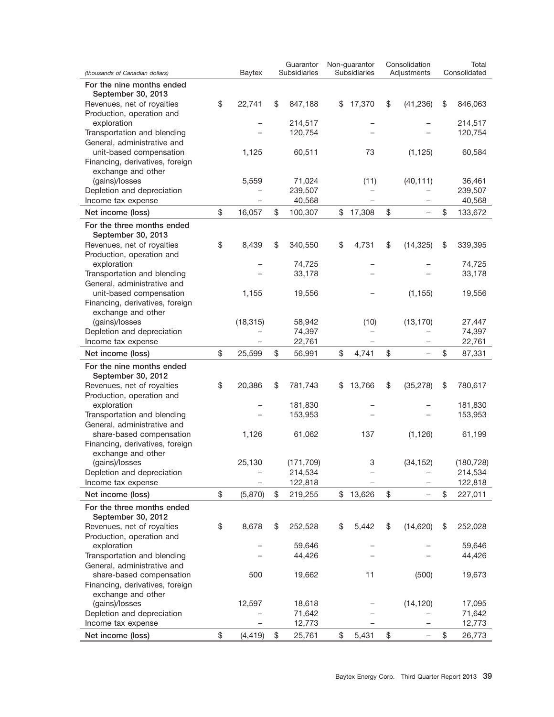| (thousands of Canadian dollars)                         | Baytex         | Guarantor<br>Subsidiaries | Non-guarantor<br>Subsidiaries | Consolidation<br>Adjustments | Total<br>Consolidated |
|---------------------------------------------------------|----------------|---------------------------|-------------------------------|------------------------------|-----------------------|
| For the nine months ended                               |                |                           |                               |                              |                       |
| September 30, 2013                                      |                |                           |                               |                              |                       |
| Revenues, net of royalties<br>Production, operation and | \$<br>22,741   | \$<br>847,188             | \$<br>17,370                  | \$<br>(41, 236)              | \$<br>846,063         |
| exploration                                             |                | 214,517                   |                               |                              | 214,517               |
| Transportation and blending                             |                | 120,754                   |                               |                              | 120,754               |
| General, administrative and                             |                |                           |                               |                              |                       |
| unit-based compensation                                 | 1,125          | 60,511                    | 73                            | (1, 125)                     | 60,584                |
| Financing, derivatives, foreign                         |                |                           |                               |                              |                       |
| exchange and other                                      |                |                           |                               |                              |                       |
| (gains)/losses                                          | 5,559          | 71,024                    | (11)                          | (40, 111)                    | 36,461                |
| Depletion and depreciation                              |                | 239,507                   |                               |                              | 239,507               |
| Income tax expense                                      |                | 40,568                    |                               |                              | 40,568                |
| Net income (loss)                                       | \$<br>16,057   | \$<br>100,307             | \$<br>17,308                  | \$                           | \$<br>133,672         |
| For the three months ended                              |                |                           |                               |                              |                       |
| September 30, 2013                                      |                |                           |                               |                              |                       |
| Revenues, net of royalties                              | \$<br>8,439    | \$<br>340,550             | \$<br>4,731                   | \$<br>(14, 325)              | \$<br>339,395         |
| Production, operation and                               |                |                           |                               |                              |                       |
| exploration                                             |                | 74,725                    |                               |                              | 74,725                |
| Transportation and blending                             |                | 33,178                    |                               |                              | 33,178                |
| General, administrative and<br>unit-based compensation  | 1,155          | 19,556                    |                               | (1, 155)                     | 19,556                |
| Financing, derivatives, foreign                         |                |                           |                               |                              |                       |
| exchange and other                                      |                |                           |                               |                              |                       |
| (gains)/losses                                          | (18, 315)      | 58,942                    | (10)                          | (13, 170)                    | 27,447                |
| Depletion and depreciation                              |                | 74,397                    |                               |                              | 74,397                |
| Income tax expense                                      |                | 22,761                    | $\overline{\phantom{0}}$      |                              | 22,761                |
| Net income (loss)                                       | \$<br>25,599   | \$<br>56,991              | \$<br>4,741                   | \$                           | \$<br>87,331          |
| For the nine months ended                               |                |                           |                               |                              |                       |
| September 30, 2012                                      |                |                           |                               |                              |                       |
| Revenues, net of royalties                              | \$<br>20,386   | \$<br>781,743             | \$<br>13,766                  | \$<br>(35, 278)              | \$<br>780,617         |
| Production, operation and                               |                |                           |                               |                              |                       |
| exploration                                             |                | 181,830                   |                               |                              | 181,830               |
| Transportation and blending                             |                | 153,953                   |                               |                              | 153,953               |
| General, administrative and                             |                |                           |                               |                              |                       |
| share-based compensation                                | 1,126          | 61,062                    | 137                           | (1, 126)                     | 61,199                |
| Financing, derivatives, foreign                         |                |                           |                               |                              |                       |
| exchange and other                                      |                |                           |                               |                              |                       |
| (gains)/losses                                          | 25,130         | (171, 709)                | 3                             | (34, 152)                    | (180, 728)            |
| Depletion and depreciation                              |                | 214,534                   |                               |                              | 214,534               |
| Income tax expense                                      |                | 122,818                   |                               |                              | 122,818               |
| Net income (loss)                                       | \$<br>(5,870)  | \$<br>219,255             | \$<br>13,626                  | \$                           | \$<br>227,011         |
| For the three months ended<br>September 30, 2012        |                |                           |                               |                              |                       |
| Revenues, net of royalties                              | \$<br>8,678    | \$<br>252,528             | \$<br>5,442                   | \$<br>(14, 620)              | \$<br>252,028         |
| Production, operation and                               |                |                           |                               |                              |                       |
| exploration                                             |                | 59,646                    |                               |                              | 59,646                |
| Transportation and blending                             |                | 44,426                    |                               |                              | 44,426                |
| General, administrative and                             |                |                           |                               |                              |                       |
| share-based compensation                                | 500            | 19,662                    | 11                            | (500)                        | 19,673                |
| Financing, derivatives, foreign                         |                |                           |                               |                              |                       |
| exchange and other                                      |                |                           |                               |                              |                       |
| (gains)/losses                                          | 12,597         | 18,618                    |                               | (14, 120)                    | 17,095                |
| Depletion and depreciation                              |                | 71,642                    |                               |                              | 71,642                |
| Income tax expense                                      |                | 12,773                    |                               |                              | 12,773                |
| Net income (loss)                                       | \$<br>(4, 419) | \$<br>25,761              | \$<br>5,431                   | \$                           | \$<br>26,773          |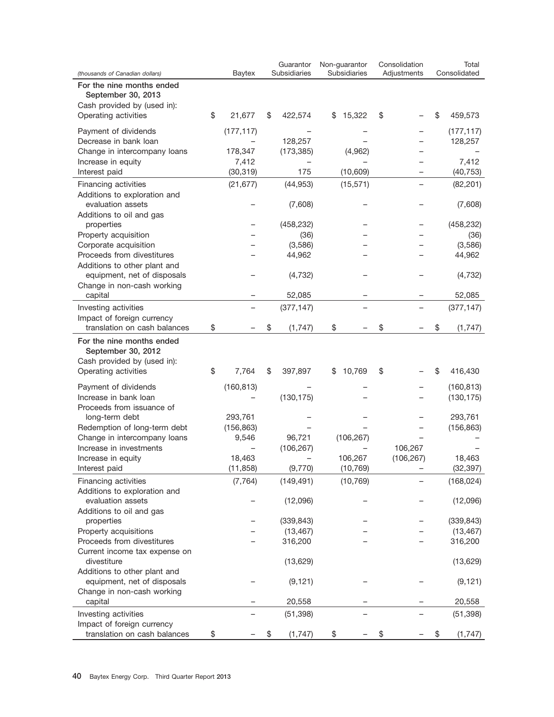|                                                      |                     |    | Guarantor<br>Subsidiaries | Non-guarantor<br>Subsidiaries | Consolidation | Total<br>Consolidated |
|------------------------------------------------------|---------------------|----|---------------------------|-------------------------------|---------------|-----------------------|
| (thousands of Canadian dollars)                      | Baytex              |    |                           |                               | Adjustments   |                       |
| For the nine months ended                            |                     |    |                           |                               |               |                       |
| September 30, 2013<br>Cash provided by (used in):    |                     |    |                           |                               |               |                       |
| Operating activities                                 | \$<br>21,677        | \$ | 422,574                   | \$15,322                      | \$            | \$<br>459,573         |
|                                                      |                     |    |                           |                               |               |                       |
| Payment of dividends                                 | (177, 117)          |    |                           |                               |               | (177, 117)            |
| Decrease in bank loan                                |                     |    | 128,257                   |                               |               | 128,257               |
| Change in intercompany loans                         | 178,347             |    | (173, 385)                | (4,962)                       |               |                       |
| Increase in equity<br>Interest paid                  | 7,412<br>(30, 319)  |    | 175                       | (10, 609)                     |               | 7,412<br>(40, 753)    |
|                                                      |                     |    |                           |                               |               |                       |
| Financing activities<br>Additions to exploration and | (21, 677)           |    | (44, 953)                 | (15, 571)                     |               | (82, 201)             |
| evaluation assets                                    |                     |    | (7,608)                   |                               |               | (7,608)               |
| Additions to oil and gas                             |                     |    |                           |                               |               |                       |
| properties                                           |                     |    | (458, 232)                |                               |               | (458, 232)            |
| Property acquisition                                 |                     |    | (36)                      |                               |               | (36)                  |
| Corporate acquisition                                |                     |    | (3,586)                   |                               |               | (3,586)               |
| Proceeds from divestitures                           |                     |    | 44,962                    |                               |               | 44,962                |
| Additions to other plant and                         |                     |    |                           |                               |               |                       |
| equipment, net of disposals                          |                     |    | (4, 732)                  |                               |               | (4, 732)              |
| Change in non-cash working                           |                     |    |                           |                               |               |                       |
| capital                                              |                     |    | 52,085                    |                               |               | 52,085                |
| Investing activities                                 |                     |    | (377, 147)                |                               |               | (377, 147)            |
| Impact of foreign currency                           |                     |    |                           |                               |               |                       |
| translation on cash balances                         | \$                  | \$ | (1,747)                   | \$                            | \$            | \$<br>(1,747)         |
| For the nine months ended<br>September 30, 2012      |                     |    |                           |                               |               |                       |
| Cash provided by (used in):                          |                     |    |                           |                               |               |                       |
| Operating activities                                 | \$<br>7,764         | S  | 397,897                   | \$10,769                      | \$            | \$<br>416,430         |
| Payment of dividends                                 | (160, 813)          |    |                           |                               |               | (160, 813)            |
| Increase in bank loan                                |                     |    | (130, 175)                |                               |               | (130, 175)            |
| Proceeds from issuance of                            |                     |    |                           |                               |               |                       |
| long-term debt                                       | 293,761             |    |                           |                               |               | 293,761               |
| Redemption of long-term debt                         | (156, 863)          |    |                           |                               |               | (156, 863)            |
| Change in intercompany loans                         | 9,546               |    | 96,721                    | (106, 267)                    |               |                       |
| Increase in investments                              |                     |    | (106, 267)                |                               | 106,267       |                       |
| Increase in equity<br>Interest paid                  | 18,463<br>(11, 858) |    | (9,770)                   | 106,267<br>(10, 769)          | (106, 267)    | 18,463<br>(32, 397)   |
|                                                      |                     |    |                           |                               |               |                       |
| Financing activities                                 | (7, 764)            |    | (149, 491)                | (10, 769)                     |               | (168, 024)            |
| Additions to exploration and<br>evaluation assets    |                     |    | (12,096)                  |                               |               | (12,096)              |
| Additions to oil and gas                             |                     |    |                           |                               |               |                       |
| properties                                           |                     |    | (339, 843)                |                               |               | (339, 843)            |
| Property acquisitions                                |                     |    | (13, 467)                 |                               |               | (13, 467)             |
| Proceeds from divestitures                           |                     |    | 316,200                   |                               |               | 316,200               |
| Current income tax expense on                        |                     |    |                           |                               |               |                       |
| divestiture                                          |                     |    | (13,629)                  |                               |               | (13,629)              |
| Additions to other plant and                         |                     |    |                           |                               |               |                       |
| equipment, net of disposals                          |                     |    | (9, 121)                  |                               |               | (9, 121)              |
| Change in non-cash working                           |                     |    |                           |                               |               |                       |
| capital                                              |                     |    | 20,558                    |                               |               | 20,558                |
| Investing activities                                 |                     |    | (51, 398)                 |                               |               | (51, 398)             |
| Impact of foreign currency                           |                     |    |                           |                               |               |                       |
| translation on cash balances                         | \$                  | \$ | (1, 747)                  | \$                            | \$            | \$<br>(1,747)         |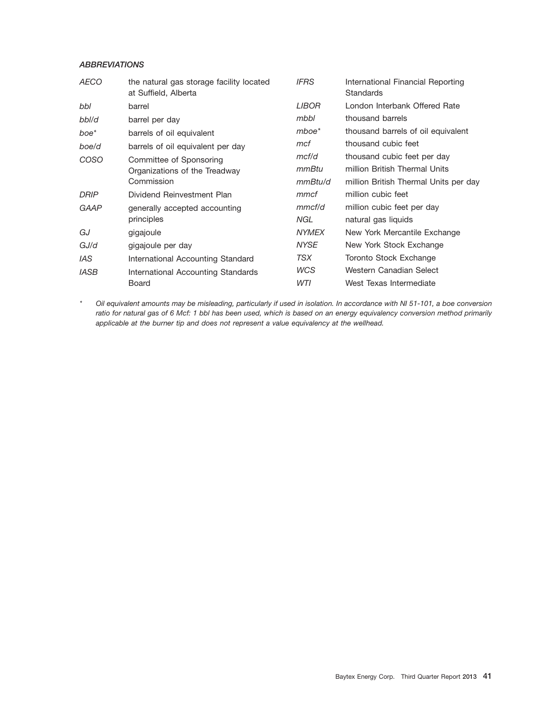## *ABBREVIATIONS*

| <b>AECO</b>      | the natural gas storage facility located<br>at Suffield, Alberta | <b>IFRS</b>  | International Financial Reporting<br><b>Standards</b> |
|------------------|------------------------------------------------------------------|--------------|-------------------------------------------------------|
| bbl              | barrel                                                           | <i>LIBOR</i> | London Interbank Offered Rate                         |
| bbl/d            | barrel per day                                                   | mbbl         | thousand barrels                                      |
| boe <sup>*</sup> | barrels of oil equivalent                                        | $mboe*$      | thousand barrels of oil equivalent                    |
| boe/d            | barrels of oil equivalent per day                                | mcf          | thousand cubic feet                                   |
| COSO             | Committee of Sponsoring                                          | mcf/d        | thousand cubic feet per day                           |
|                  | Organizations of the Treadway                                    | mmBtu        | million British Thermal Units                         |
|                  | Commission                                                       | mmBtu/d      | million British Thermal Units per day                 |
| DRIP             | Dividend Reinvestment Plan                                       | mmcf         | million cubic feet                                    |
| <b>GAAP</b>      | generally accepted accounting                                    | mmcf/d       | million cubic feet per day                            |
|                  | principles                                                       | NGL          | natural gas liquids                                   |
| GJ               | gigajoule                                                        | <b>NYMEX</b> | New York Mercantile Exchange                          |
| GJ/d             | gigajoule per day                                                | <b>NYSE</b>  | New York Stock Exchange                               |
| <i>IAS</i>       | International Accounting Standard                                | TSX          | Toronto Stock Exchange                                |
| <b>IASB</b>      | International Accounting Standards                               | <b>WCS</b>   | Western Canadian Select                               |
|                  | Board                                                            | WTI          | West Texas Intermediate                               |

*\* Oil equivalent amounts may be misleading, particularly if used in isolation. In accordance with NI 51-101, a boe conversion ratio for natural gas of 6 Mcf: 1 bbl has been used, which is based on an energy equivalency conversion method primarily applicable at the burner tip and does not represent a value equivalency at the wellhead.*